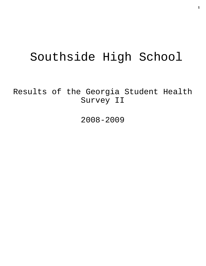# Southside High School

Results of the Georgia Student Health Survey II

2008-2009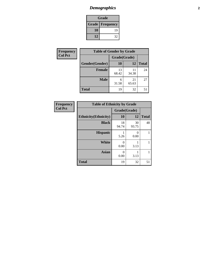# *Demographics* **2**

| Grade                    |    |  |  |  |
|--------------------------|----|--|--|--|
| <b>Grade   Frequency</b> |    |  |  |  |
| 10                       | 19 |  |  |  |
| 12                       | 32 |  |  |  |

| <b>Frequency</b> | <b>Table of Gender by Grade</b> |              |             |              |  |
|------------------|---------------------------------|--------------|-------------|--------------|--|
| <b>Col Pct</b>   |                                 | Grade(Grade) |             |              |  |
|                  | Gender(Gender)                  | <b>10</b>    | 12          | <b>Total</b> |  |
|                  | Female                          | 13<br>68.42  | 11<br>34.38 | 24           |  |
|                  | <b>Male</b>                     | 6<br>31.58   | 21<br>65.63 | 27           |  |
|                  | <b>Total</b>                    | 19           | 32          | 51           |  |

| <b>Frequency</b> |
|------------------|
| <b>Col Pct</b>   |

| <b>Table of Ethnicity by Grade</b> |              |             |              |  |  |  |
|------------------------------------|--------------|-------------|--------------|--|--|--|
|                                    | Grade(Grade) |             |              |  |  |  |
| <b>Ethnicity</b> (Ethnicity)       | 10           | 12          | <b>Total</b> |  |  |  |
| <b>Black</b>                       | 18<br>94.74  | 30<br>93.75 | 48           |  |  |  |
| <b>Hispanic</b>                    | 5.26         | 0<br>0.00   |              |  |  |  |
| <b>White</b>                       | 0<br>0.00    | 3.13        |              |  |  |  |
| <b>Asian</b>                       | 0<br>0.00    | 3.13        | 1            |  |  |  |
| <b>Total</b>                       | 19           | 32          | 51           |  |  |  |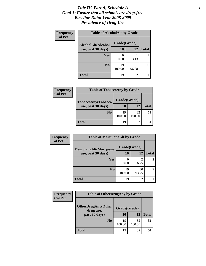#### *Title IV, Part A, Schedule A* **3** *Goal 1: Ensure that all schools are drug-free Baseline Data: Year 2008-2009 Prevalence of Drug Use*

| Frequency<br><b>Col Pct</b> | <b>Table of AlcoholAlt by Grade</b> |              |             |              |  |  |
|-----------------------------|-------------------------------------|--------------|-------------|--------------|--|--|
|                             | AlcoholAlt(Alcohol                  | Grade(Grade) |             |              |  |  |
|                             | use, past 30 days)                  | 10           | 12          | <b>Total</b> |  |  |
|                             | Yes                                 | 0.00         | 3.13        |              |  |  |
|                             | N <sub>0</sub>                      | 19<br>100.00 | 31<br>96.88 | 50           |  |  |
|                             | <b>Total</b>                        | 19           | 32          | 51           |  |  |

| <b>Frequency</b> | <b>Table of TobaccoAny by Grade</b> |              |              |              |  |
|------------------|-------------------------------------|--------------|--------------|--------------|--|
| <b>Col Pct</b>   | TobaccoAny(Tobacco                  | Grade(Grade) |              |              |  |
|                  | use, past 30 days)                  | 10           | 12           | <b>Total</b> |  |
|                  | N <sub>0</sub>                      | 19<br>100.00 | 32<br>100.00 | 51           |  |
|                  | <b>Total</b>                        | 19           | 32           |              |  |

| Frequency      | <b>Table of MarijuanaAlt by Grade</b> |              |                        |              |  |
|----------------|---------------------------------------|--------------|------------------------|--------------|--|
| <b>Col Pct</b> | MarijuanaAlt(Marijuana                | Grade(Grade) |                        |              |  |
|                | use, past 30 days)                    | 10           | 12                     | <b>Total</b> |  |
|                | Yes                                   | 0.00         | $\overline{2}$<br>6.25 |              |  |
|                | N <sub>0</sub>                        | 19<br>100.00 | 30<br>93.75            | 49           |  |
|                | <b>Total</b>                          | 19           | 32                     | 51           |  |

| <b>Frequency</b> | <b>Table of OtherDrugAny by Grade</b> |              |              |              |
|------------------|---------------------------------------|--------------|--------------|--------------|
| <b>Col Pct</b>   | <b>OtherDrugAny(Other</b>             | Grade(Grade) |              |              |
|                  | drug use,<br>past 30 days)            | 10           | 12           | <b>Total</b> |
|                  | N <sub>0</sub>                        | 19<br>100.00 | 32<br>100.00 | 51           |
|                  | Total                                 | 19           | 32           |              |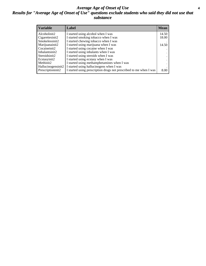#### *Average Age of Onset of Use* **4** *Results for "Average Age of Onset of Use" questions exclude students who said they did not use that substance*

| <b>Variable</b>     | Label                                                              | <b>Mean</b>          |
|---------------------|--------------------------------------------------------------------|----------------------|
| Alcoholinit2        | I started using alcohol when I was                                 | 14.50                |
| Cigarettesinit2     | I started smoking tobacco when I was                               | 18.00                |
| Smokelessinit2      | I started chewing tobacco when I was                               |                      |
| Marijuanainit2      | I started using marijuana when I was                               | 14.50                |
| Cocaineinit2        | I started using cocaine when I was                                 |                      |
| Inhalantsinit2      | I started using inhalants when I was                               |                      |
| Steroidsinit2       | I started using steroids when I was                                | $\ddot{\phantom{1}}$ |
| Ecstasyinit2        | I started using ecstasy when I was                                 | $\cdot$              |
| Methinit2           | I started using methamphetamines when I was                        |                      |
| Hallucinogensinit2  | I started using hallucinogens when I was                           |                      |
| Prescription in it2 | I started using prescription drugs not prescribed to me when I was | 8.00                 |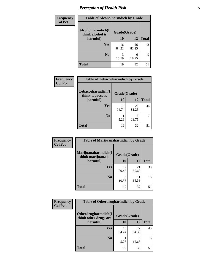## *Perception of Health Risk* **5**

| <b>Frequency</b> | <b>Table of Alcoholharmdich by Grade</b> |              |             |              |  |
|------------------|------------------------------------------|--------------|-------------|--------------|--|
| <b>Col Pct</b>   | Alcoholharmdich(I<br>think alcohol is    | Grade(Grade) |             |              |  |
|                  | harmful)                                 | 10           | 12          | <b>Total</b> |  |
|                  | Yes                                      | 16<br>84.21  | 26<br>81.25 | 42           |  |
|                  | N <sub>0</sub>                           | 3<br>15.79   | 6<br>18.75  | 9            |  |
|                  | <b>Total</b>                             | 19           | 32          | 51           |  |

| <b>Frequency</b> | <b>Table of Tobaccoharmdich by Grade</b> |              |             |              |  |
|------------------|------------------------------------------|--------------|-------------|--------------|--|
| <b>Col Pct</b>   | Tobaccoharmdich(I<br>think tobacco is    | Grade(Grade) |             |              |  |
|                  | harmful)                                 | 10           | 12          | <b>Total</b> |  |
|                  | Yes                                      | 18<br>94.74  | 26<br>81.25 | 44           |  |
|                  | N <sub>0</sub>                           | 5.26         | 6<br>18.75  |              |  |
|                  | Total                                    | 19           | 32          | 51           |  |

| Frequency      | <b>Table of Marijuanaharmdich by Grade</b> |              |             |              |  |  |
|----------------|--------------------------------------------|--------------|-------------|--------------|--|--|
| <b>Col Pct</b> | Marijuanaharmdich(I<br>think marijuana is  | Grade(Grade) |             |              |  |  |
|                | harmful)                                   | <b>10</b>    | 12          | <b>Total</b> |  |  |
|                | Yes                                        | 17<br>89.47  | 21<br>65.63 | 38           |  |  |
|                | N <sub>0</sub>                             | 10.53        | 11<br>34.38 | 13           |  |  |
|                | <b>Total</b>                               | 19           | 32          | 51           |  |  |

| Frequency      | <b>Table of Otherdrugharmdich by Grade</b>   |              |             |              |  |
|----------------|----------------------------------------------|--------------|-------------|--------------|--|
| <b>Col Pct</b> | Otherdrugharmdich(I<br>think other drugs are | Grade(Grade) |             |              |  |
|                | harmful)                                     | 10           | 12          | <b>Total</b> |  |
|                | Yes                                          | 18<br>94.74  | 27<br>84.38 | 45           |  |
|                | N <sub>0</sub>                               | 5.26         | 5<br>15.63  | 6            |  |
|                | <b>Total</b>                                 | 19           | 32          | 51           |  |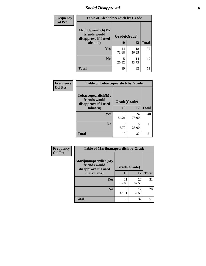## *Social Disapproval* **6**

| Frequency      |                                                             | <b>Table of Alcoholpeerdich by Grade</b> |             |              |  |  |
|----------------|-------------------------------------------------------------|------------------------------------------|-------------|--------------|--|--|
| <b>Col Pct</b> | Alcoholpeerdich(My<br>friends would<br>disapprove if I used | Grade(Grade)                             |             |              |  |  |
|                | alcohol)                                                    | 10                                       | 12          | <b>Total</b> |  |  |
|                | <b>Yes</b>                                                  | 14<br>73.68                              | 18<br>56.25 | 32           |  |  |
|                | N <sub>0</sub>                                              | 5<br>26.32                               | 14<br>43.75 | 19           |  |  |
|                | <b>Total</b>                                                | 19                                       | 32          | 51           |  |  |

| <b>Frequency</b> |
|------------------|
| <b>Col Pct</b>   |

|                                                             | <b>Table of Tobaccopeerdich by Grade</b> |             |              |  |  |  |
|-------------------------------------------------------------|------------------------------------------|-------------|--------------|--|--|--|
| Tobaccopeerdich(My<br>friends would<br>disapprove if I used | Grade(Grade)                             |             |              |  |  |  |
| tobacco)                                                    | 10                                       | 12          | <b>Total</b> |  |  |  |
| Yes                                                         | 16<br>84.21                              | 24<br>75.00 | 40           |  |  |  |
| N <sub>0</sub>                                              | 3<br>15.79                               | 8<br>25.00  | 11           |  |  |  |
| <b>Total</b>                                                | 19                                       | 32          |              |  |  |  |

| Frequency      | <b>Table of Marijuanapeerdich by Grade</b>                    |              |             |              |  |
|----------------|---------------------------------------------------------------|--------------|-------------|--------------|--|
| <b>Col Pct</b> | Marijuanapeerdich(My<br>friends would<br>disapprove if I used | Grade(Grade) |             |              |  |
|                | marijuana)                                                    | 10           | 12          | <b>Total</b> |  |
|                | <b>Yes</b>                                                    | 11<br>57.89  | 20<br>62.50 | 31           |  |
|                | N <sub>0</sub>                                                | 8<br>42.11   | 12<br>37.50 | 20           |  |
|                | <b>Total</b>                                                  | 19           | 32          | 51           |  |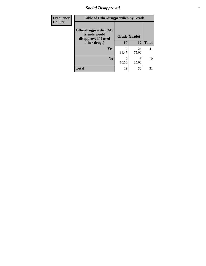## *Social Disapproval* **7**

| Frequency      | <b>Table of Otherdrugpeerdich by Grade</b>                    |              |             |              |  |
|----------------|---------------------------------------------------------------|--------------|-------------|--------------|--|
| <b>Col Pct</b> | Otherdrugpeerdich(My<br>friends would<br>disapprove if I used | Grade(Grade) |             |              |  |
|                | other drugs)                                                  | 10           | 12          | <b>Total</b> |  |
|                | <b>Yes</b>                                                    | 17<br>89.47  | 24<br>75.00 | 41           |  |
|                | N <sub>0</sub>                                                | 10.53        | 8<br>25.00  | 10           |  |
|                | <b>Total</b>                                                  | 19           | 32          | 51           |  |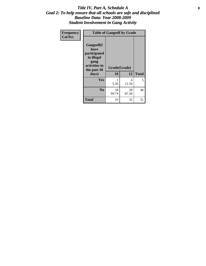#### Title IV, Part A, Schedule A **8** *Goal 2: To help ensure that all schools are safe and disciplined Baseline Data: Year 2008-2009 Student Involvement in Gang Activity*

| Frequency      |                                                                                                   | <b>Table of Gangself by Grade</b> |             |              |  |
|----------------|---------------------------------------------------------------------------------------------------|-----------------------------------|-------------|--------------|--|
| <b>Col Pct</b> | Gangself(I<br>have<br>participated<br>in illegal<br>gang<br>activities in<br>the past 30<br>days) | Grade(Grade)<br>10                | 12          | <b>Total</b> |  |
|                | Yes                                                                                               | 1<br>5.26                         | 4<br>12.50  | 5            |  |
|                | N <sub>0</sub>                                                                                    | 18<br>94.74                       | 28<br>87.50 | 46           |  |
|                | <b>Total</b>                                                                                      | 19                                | 32          | 51           |  |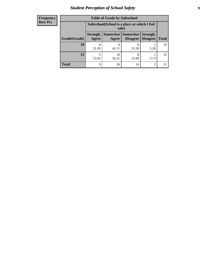# *Student Perception of School Safety* **9**

| <b>Frequency</b> |
|------------------|
| <b>Row Pct</b>   |

| <b>Table of Grade by Safeschool</b> |                                 |                                                        |                             |                                    |              |
|-------------------------------------|---------------------------------|--------------------------------------------------------|-----------------------------|------------------------------------|--------------|
|                                     |                                 | Safeschool (School is a place at which I feel<br>safe) |                             |                                    |              |
| Grade(Grade)                        | <b>Strongly</b><br><b>Agree</b> | Somewhat  <br>Agree                                    | <b>Somewhat</b><br>Disagree | <b>Strongly</b><br><b>Disagree</b> | <b>Total</b> |
| 10                                  | 4<br>21.05                      | 8<br>42.11                                             | 6<br>31.58                  | 5.26                               | 19           |
| 12                                  | 5<br>15.63                      | 18<br>56.25                                            | 8<br>25.00                  | 3.13                               | 32           |
| Total                               | 9                               | 26                                                     | 14                          | 2                                  | 51           |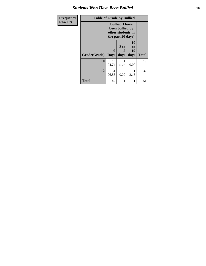#### *Students Who Have Been Bullied* **10**

| Frequency      | <b>Table of Grade by Bullied</b> |              |                                                                                     |                        |              |  |
|----------------|----------------------------------|--------------|-------------------------------------------------------------------------------------|------------------------|--------------|--|
| <b>Row Pct</b> |                                  |              | <b>Bullied</b> (I have<br>been bullied by<br>other students in<br>the past 30 days) |                        |              |  |
|                | Grade(Grade)   Days              | $\mathbf{0}$ | 3 to<br>5<br>days                                                                   | 10<br>to<br>19<br>days | <b>Total</b> |  |
|                | 10                               | 18<br>94.74  | 5.26                                                                                | 0<br>0.00              | 19           |  |
|                | 12                               | 31<br>96.88  | $\theta$<br>0.00                                                                    | 1<br>3.13              | 32           |  |
|                | <b>Total</b>                     | 49           | 1                                                                                   | 1                      | 51           |  |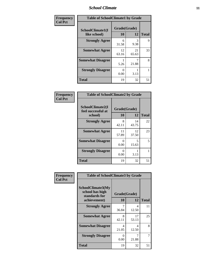#### *School Climate* **11**

| Frequency      | <b>Table of SchoolClimate1 by Grade</b> |                    |             |              |  |
|----------------|-----------------------------------------|--------------------|-------------|--------------|--|
| <b>Col Pct</b> | SchoolClimate1(I<br>like school)        | Grade(Grade)<br>10 | 12          | <b>Total</b> |  |
|                | <b>Strongly Agree</b>                   | 6<br>31.58         | 3<br>9.38   | 9            |  |
|                | <b>Somewhat Agree</b>                   | 12<br>63.16        | 21<br>65.63 | 33           |  |
|                | <b>Somewhat Disagree</b>                | 5.26               | 21.88       | 8            |  |
|                | <b>Strongly Disagree</b>                | 0.00               | 3.13        |              |  |
|                | <b>Total</b>                            | 19                 | 32          | 51           |  |

| Frequency<br>Col Pct |  |
|----------------------|--|

|                                                   | <b>Table of SchoolClimate2 by Grade</b> |             |              |  |  |  |
|---------------------------------------------------|-----------------------------------------|-------------|--------------|--|--|--|
| SchoolClimate2(I<br>feel successful at<br>school) | Grade(Grade)<br>10                      | 12          | <b>Total</b> |  |  |  |
| <b>Strongly Agree</b>                             | 8<br>42.11                              | 14<br>43.75 | 22           |  |  |  |
| <b>Somewhat Agree</b>                             | 11<br>57.89                             | 12<br>37.50 | 23           |  |  |  |
| <b>Somewhat Disagree</b>                          | 0.00                                    | 5<br>15.63  | 5            |  |  |  |
| <b>Strongly Disagree</b>                          | 0<br>0.00                               | 3.13        | 1            |  |  |  |
| <b>Total</b>                                      | 19                                      | 32          | 51           |  |  |  |

| Frequency      | <b>Table of SchoolClimate3 by Grade</b>                               |                           |             |              |  |
|----------------|-----------------------------------------------------------------------|---------------------------|-------------|--------------|--|
| <b>Col Pct</b> | SchoolClimate3(My<br>school has high<br>standards for<br>achievement) | Grade(Grade)<br><b>10</b> | 12          | <b>Total</b> |  |
|                | <b>Strongly Agree</b>                                                 | 36.84                     | 4<br>12.50  | 11           |  |
|                | <b>Somewhat Agree</b>                                                 | 8<br>42.11                | 17<br>53.13 | 25           |  |
|                | <b>Somewhat Disagree</b>                                              | 4<br>21.05                | 4<br>12.50  | 8            |  |
|                | <b>Strongly Disagree</b>                                              | 0<br>0.00                 | 7<br>21.88  |              |  |
|                | Total                                                                 | 19                        | 32          | 51           |  |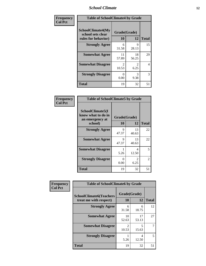#### *School Climate* **12**

| Frequency      | <b>Table of SchoolClimate4 by Grade</b>                              |                         |             |              |
|----------------|----------------------------------------------------------------------|-------------------------|-------------|--------------|
| <b>Col Pct</b> | <b>SchoolClimate4(My</b><br>school sets clear<br>rules for behavior) | Grade(Grade)<br>10      | 12          | <b>Total</b> |
|                | <b>Strongly Agree</b>                                                | 6<br>31.58              | 9<br>28.13  | 15           |
|                | <b>Somewhat Agree</b>                                                | 11<br>57.89             | 18<br>56.25 | 29           |
|                | <b>Somewhat Disagree</b>                                             | $\mathfrak{D}$<br>10.53 | 2<br>6.25   | 4            |
|                | <b>Strongly Disagree</b>                                             | 0<br>0.00               | 3<br>9.38   | 3            |
|                | <b>Total</b>                                                         | 19                      | 32          | 51           |

| <b>Table of SchoolClimate5 by Grade</b>                              |                    |             |              |  |
|----------------------------------------------------------------------|--------------------|-------------|--------------|--|
| SchoolClimate5(I<br>know what to do in<br>an emergency at<br>school) | Grade(Grade)<br>10 | 12          | <b>Total</b> |  |
|                                                                      |                    |             |              |  |
| <b>Strongly Agree</b>                                                | 9<br>47.37         | 13<br>40.63 | 22           |  |
| <b>Somewhat Agree</b>                                                | 9<br>47.37         | 13<br>40.63 | 22           |  |
| <b>Somewhat Disagree</b>                                             | 5.26               | 4<br>12.50  | 5            |  |
| <b>Strongly Disagree</b>                                             | 0<br>0.00          | 2<br>6.25   | 2            |  |
| <b>Total</b>                                                         | 19                 | 32          | 51           |  |

| Frequency      | <b>Table of SchoolClimate6 by Grade</b>                  |                         |             |              |
|----------------|----------------------------------------------------------|-------------------------|-------------|--------------|
| <b>Col Pct</b> | <b>SchoolClimate6(Teachers</b><br>treat me with respect) | Grade(Grade)<br>10      | 12          | <b>Total</b> |
|                | <b>Strongly Agree</b>                                    | 6<br>31.58              | 6<br>18.75  | 12           |
|                | <b>Somewhat Agree</b>                                    | 10<br>52.63             | 17<br>53.13 | 27           |
|                | <b>Somewhat Disagree</b>                                 | $\mathfrak{D}$<br>10.53 | 5<br>15.63  |              |
|                | <b>Strongly Disagree</b>                                 | 5.26                    | 4<br>12.50  | 5            |
|                | <b>Total</b>                                             | 19                      | 32          | 51           |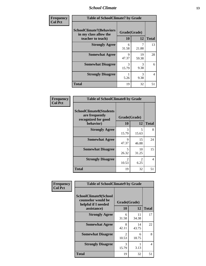#### *School Climate* **13**

| Frequency      | <b>Table of SchoolClimate7 by Grade</b>                                       |                    |                       |              |
|----------------|-------------------------------------------------------------------------------|--------------------|-----------------------|--------------|
| <b>Col Pct</b> | <b>SchoolClimate7(Behaviors</b><br>in my class allow the<br>teacher to teach) | Grade(Grade)<br>10 | 12                    | <b>Total</b> |
|                | <b>Strongly Agree</b>                                                         | 6<br>31.58         | 7<br>21.88            | 13           |
|                | <b>Somewhat Agree</b>                                                         | 9<br>47.37         | 19<br>59.38           | 28           |
|                | <b>Somewhat Disagree</b>                                                      | 3<br>15.79         | $\mathcal{R}$<br>9.38 | 6            |
|                | <b>Strongly Disagree</b>                                                      | 5.26               | 3<br>9.38             | 4            |
|                | <b>Total</b>                                                                  | 19                 | 32                    | 51           |

| Frequency      | <b>Table of SchoolClimate8 by Grade</b>                                              |                        |                        |              |
|----------------|--------------------------------------------------------------------------------------|------------------------|------------------------|--------------|
| <b>Col Pct</b> | <b>SchoolClimate8(Students</b><br>are frequently<br>recognized for good<br>behavior) | Grade(Grade)<br>10     | 12                     | <b>Total</b> |
|                | <b>Strongly Agree</b>                                                                | 3<br>15.79             | 5<br>15.63             | 8            |
|                | <b>Somewhat Agree</b>                                                                | 9<br>47.37             | 15<br>46.88            | 24           |
|                | <b>Somewhat Disagree</b>                                                             | 5<br>26.32             | 10<br>31.25            | 15           |
|                | <b>Strongly Disagree</b>                                                             | $\mathcal{D}$<br>10.53 | $\mathfrak{D}$<br>6.25 | 4            |
|                | <b>Total</b>                                                                         | 19                     | 32                     | 51           |

| Frequency      | <b>Table of SchoolClimate9 by Grade</b>                                                  |                                      |             |              |
|----------------|------------------------------------------------------------------------------------------|--------------------------------------|-------------|--------------|
| <b>Col Pct</b> | <b>SchoolClimate9(School</b><br>counselor would be<br>helpful if I needed<br>assistance) | Grade(Grade)<br>10                   | 12          | <b>Total</b> |
|                | <b>Strongly Agree</b>                                                                    | 6<br>31.58                           | 11<br>34.38 | 17           |
|                | <b>Somewhat Agree</b>                                                                    | 8<br>42.11                           | 14<br>43.75 | 22           |
|                | <b>Somewhat Disagree</b>                                                                 | $\mathcal{D}_{\mathcal{L}}$<br>10.53 | 6<br>18.75  | 8            |
|                | <b>Strongly Disagree</b>                                                                 | 3<br>15.79                           | 3.13        | 4            |
|                | Total                                                                                    | 19                                   | 32          | 51           |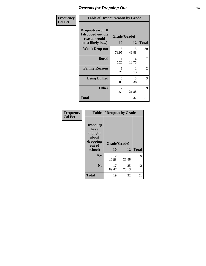#### *Reasons for Dropping Out* **14**

| Frequency      | <b>Table of Dropoutreason by Grade</b>                                   |                    |             |              |
|----------------|--------------------------------------------------------------------------|--------------------|-------------|--------------|
| <b>Col Pct</b> | Dropoutreason(If<br>I dropped out the<br>reason would<br>most likely be) | Grade(Grade)<br>10 | 12          | <b>Total</b> |
|                | Won't Drop out                                                           | 15<br>78.95        | 15<br>46.88 | 30           |
|                | <b>Bored</b>                                                             | 5.26               | 6<br>18.75  | 7            |
|                | <b>Family Reasons</b>                                                    | 5.26               | 3.13        | 2            |
|                | <b>Being Bullied</b>                                                     | 0<br>0.00          | 3<br>9.38   | 3            |
|                | <b>Other</b>                                                             | 2<br>10.53         | 7<br>21.88  | 9            |
|                | <b>Total</b>                                                             | 19                 | 32          | 51           |

| Frequency<br><b>Col Pct</b> | <b>Table of Dropout by Grade</b>                                       |                    |             |              |  |
|-----------------------------|------------------------------------------------------------------------|--------------------|-------------|--------------|--|
|                             | Dropout(I<br>have<br>thought<br>about<br>dropping<br>out of<br>school) | Grade(Grade)<br>10 | 12          | <b>Total</b> |  |
|                             | Yes                                                                    |                    | 7           | 9            |  |
|                             |                                                                        | 2<br>10.53         | 21.88       |              |  |
|                             | N <sub>0</sub>                                                         | 17<br>89.47        | 25<br>78.13 | 42           |  |
|                             | <b>Total</b>                                                           | 19                 | 32          | 51           |  |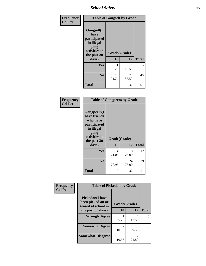*School Safety* **15**

| Frequency      |                                                                                                   | <b>Table of Gangself by Grade</b> |             |              |  |
|----------------|---------------------------------------------------------------------------------------------------|-----------------------------------|-------------|--------------|--|
| <b>Col Pct</b> | Gangself(I<br>have<br>participated<br>in illegal<br>gang<br>activities in<br>the past 30<br>days) | Grade(Grade)<br>10                | 12          | <b>Total</b> |  |
|                | Yes                                                                                               | 5.26                              | 4<br>12.50  | 5            |  |
|                | N <sub>0</sub>                                                                                    | 18<br>94.74                       | 28<br>87.50 | 46           |  |
|                | <b>Total</b>                                                                                      | 19                                | 32          | 51           |  |

| Frequency<br><b>Col Pct</b> | <b>Table of Gangpeers by Grade</b>                                                                                             |                    |             |              |
|-----------------------------|--------------------------------------------------------------------------------------------------------------------------------|--------------------|-------------|--------------|
|                             | <b>Gangpeers</b> (I<br>have friends<br>who have<br>participated<br>in illegal<br>gang<br>activities in<br>the past 30<br>days) | Grade(Grade)<br>10 | 12          | <b>Total</b> |
|                             | <b>Yes</b>                                                                                                                     | 4<br>21.05         | 8<br>25.00  | 12           |
|                             | N <sub>0</sub>                                                                                                                 | 15<br>78.95        | 24<br>75.00 | 39           |
|                             | <b>Total</b>                                                                                                                   | 19                 | 32          | 51           |

| Frequency      | <b>Table of Pickedon by Grade</b>                                  |                                      |            |              |
|----------------|--------------------------------------------------------------------|--------------------------------------|------------|--------------|
| <b>Col Pct</b> | <b>Pickedon(I have</b><br>been picked on or<br>teased at school in | Grade(Grade)                         |            |              |
|                | the past 30 days)                                                  | 10                                   | 12         | <b>Total</b> |
|                | <b>Strongly Agree</b>                                              | 5.26                                 | 4<br>12.50 | 5            |
|                | <b>Somewhat Agree</b>                                              | $\mathcal{D}_{\mathcal{L}}$<br>10.53 | 3<br>9.38  | 5            |
|                | <b>Somewhat Disagree</b>                                           | $\mathfrak{D}$<br>10.53              | 21.88      | 9            |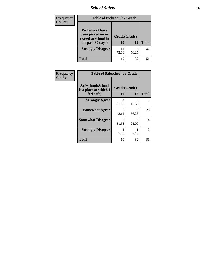# *School Safety* **16**

| <b>Frequency</b> | <b>Table of Pickedon by Grade</b>                                                        |                    |             |              |
|------------------|------------------------------------------------------------------------------------------|--------------------|-------------|--------------|
| <b>Col Pct</b>   | <b>Pickedon</b> (I have<br>been picked on or<br>teased at school in<br>the past 30 days) | Grade(Grade)<br>10 | 12          | <b>Total</b> |
|                  | <b>Strongly Disagree</b>                                                                 | 14<br>73.68        | 18<br>56.25 | 32           |
|                  | Total                                                                                    | 19                 | 32          |              |

| Frequency      | <b>Table of Safeschool by Grade</b>                      |                    |             |                |
|----------------|----------------------------------------------------------|--------------------|-------------|----------------|
| <b>Col Pct</b> | Safeschool(School<br>is a place at which I<br>feel safe) | Grade(Grade)<br>10 | 12          | <b>Total</b>   |
|                | <b>Strongly Agree</b>                                    | 4<br>21.05         | 5<br>15.63  | 9              |
|                | <b>Somewhat Agree</b>                                    | 8<br>42.11         | 18<br>56.25 | 26             |
|                | <b>Somewhat Disagree</b>                                 | 6<br>31.58         | 8<br>25.00  | 14             |
|                | <b>Strongly Disagree</b>                                 | 5.26               | 3.13        | $\overline{2}$ |
|                | <b>Total</b>                                             | 19                 | 32          | 51             |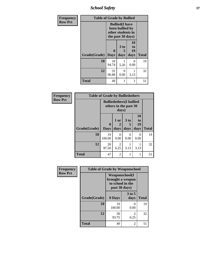*School Safety* **17**

| Frequency      | <b>Table of Grade by Bullied</b> |                  |                                                                                     |                        |              |
|----------------|----------------------------------|------------------|-------------------------------------------------------------------------------------|------------------------|--------------|
| <b>Row Pct</b> |                                  |                  | <b>Bullied</b> (I have<br>been bullied by<br>other students in<br>the past 30 days) |                        |              |
|                | Grade(Grade)                     | 0<br><b>Days</b> | 3 to<br>5<br>days                                                                   | 10<br>to<br>19<br>days | <b>Total</b> |
|                | 10                               | 18<br>94.74      | 5.26                                                                                | $\mathcal{O}$<br>0.00  | 19           |
|                | 12                               | 31<br>96.88      | 0<br>0.00                                                                           | 3.13                   | 32           |
|                | <b>Total</b>                     | 49               | 1                                                                                   |                        | 51           |

| Frequency      |              | <b>Table of Grade by Bulliedothers</b> |                                                                  |                              |                        |              |
|----------------|--------------|----------------------------------------|------------------------------------------------------------------|------------------------------|------------------------|--------------|
| <b>Row Pct</b> |              |                                        | <b>Bulliedothers(I bullied</b><br>others in the past 30<br>days) |                              |                        |              |
|                | Grade(Grade) | $\mathbf{0}$<br><b>Days</b>            | 1 or<br>2<br>days                                                | 3 <sub>to</sub><br>5<br>days | 10<br>to<br>19<br>days | <b>Total</b> |
|                | 10           | 19<br>100.00                           | 0<br>0.00                                                        | 0<br>0.00                    | $\Omega$<br>0.00       | 19           |
|                | 12           | 28<br>87.50                            | 2<br>6.25                                                        | 3.13                         | 3.13                   | 32           |
|                | <b>Total</b> | 47                                     | 2                                                                |                              |                        | 51           |

| Frequency      | <b>Table of Grade by Weaponschool</b> |                                                                         |                  |              |  |
|----------------|---------------------------------------|-------------------------------------------------------------------------|------------------|--------------|--|
| <b>Row Pct</b> |                                       | Weaponschool(I<br>brought a weapon<br>to school in the<br>past 30 days) |                  |              |  |
|                | Grade(Grade)                          | 0 Days                                                                  | $3$ to 5<br>days | <b>Total</b> |  |
|                | 10                                    | 19<br>100.00                                                            | 0.00             | 19           |  |
|                | 12                                    | 30<br>93.75                                                             | 2<br>6.25        | 32           |  |
|                | <b>Total</b>                          | 49                                                                      | 2                | 51           |  |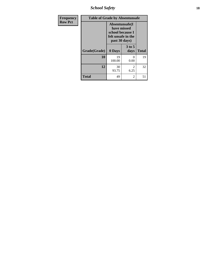*School Safety* **18**

| <b>Frequency</b> |              | <b>Table of Grade by Absentunsafe</b>                                                     |                  |              |  |
|------------------|--------------|-------------------------------------------------------------------------------------------|------------------|--------------|--|
| <b>Row Pct</b>   |              | Absentunsafe(I)<br>have missed<br>school because I<br>felt unsafe in the<br>past 30 days) |                  |              |  |
|                  | Grade(Grade) | 0 Days                                                                                    | $3$ to 5<br>days | <b>Total</b> |  |
|                  | 10           | 19<br>100.00                                                                              | 0<br>0.00        | 19           |  |
|                  | 12           | 30<br>93.75                                                                               | 2<br>6.25        | 32           |  |
|                  | <b>Total</b> | 49                                                                                        | 2                | 51           |  |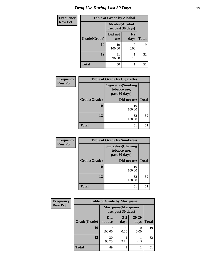# *Drug Use During Last 30 Days* **19**

| <b>Frequency</b> | <b>Table of Grade by Alcohol</b> |                                       |                 |              |
|------------------|----------------------------------|---------------------------------------|-----------------|--------------|
| <b>Row Pct</b>   |                                  | Alcohol(Alcohol<br>use, past 30 days) |                 |              |
|                  | Grade(Grade)                     | Did not<br><b>use</b>                 | $1 - 2$<br>days | <b>Total</b> |
|                  | 10                               | 19<br>100.00                          | 0<br>0.00       | 19           |
|                  | 12                               | 31<br>96.88                           | 3.13            | 32           |
|                  | <b>Total</b>                     | 50                                    |                 | 51           |

| Frequency      | <b>Table of Grade by Cigarettes</b> |                                                             |              |  |
|----------------|-------------------------------------|-------------------------------------------------------------|--------------|--|
| <b>Row Pct</b> |                                     | <b>Cigarettes</b> (Smoking<br>tobacco use,<br>past 30 days) |              |  |
|                | Grade(Grade)                        | Did not use                                                 | <b>Total</b> |  |
|                | <b>10</b>                           | 19<br>100.00                                                | 19           |  |
|                | 12                                  | 32<br>100.00                                                | 32           |  |
|                | <b>Total</b>                        | 51                                                          | 51           |  |

| Frequency      |              | <b>Table of Grade by Smokeless</b>                         |              |  |  |
|----------------|--------------|------------------------------------------------------------|--------------|--|--|
| <b>Row Pct</b> |              | <b>Smokeless</b> (Chewing<br>tobacco use,<br>past 30 days) |              |  |  |
|                | Grade(Grade) | Did not use                                                | <b>Total</b> |  |  |
|                | 10           | 19<br>100.00                                               | 19           |  |  |
|                | 12           | 32<br>100.00                                               | 32           |  |  |
|                | <b>Total</b> | 51                                                         | 51           |  |  |

| <b>Frequency</b> | <b>Table of Grade by Marijuana</b>         |                       |                 |               |              |
|------------------|--------------------------------------------|-----------------------|-----------------|---------------|--------------|
| <b>Row Pct</b>   | Marijuana (Marijuana<br>use, past 30 days) |                       |                 |               |              |
|                  | Grade(Grade)                               | <b>Did</b><br>not use | $3 - 5$<br>days | 20-29<br>days | <b>Total</b> |
|                  | 10                                         | 19<br>100.00          | 0.00            | 0<br>0.00     | 19           |
|                  | 12                                         | 30<br>93.75           | 3.13            | 3.13          | 32           |
|                  | <b>Total</b>                               | 49                    |                 |               | 51           |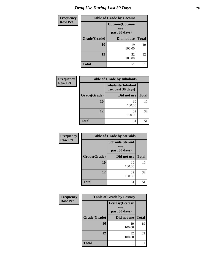| <b>Frequency</b> | <b>Table of Grade by Cocaine</b> |                                                  |              |  |
|------------------|----------------------------------|--------------------------------------------------|--------------|--|
| <b>Row Pct</b>   |                                  | <b>Cocaine</b> (Cocaine<br>use,<br>past 30 days) |              |  |
|                  | Grade(Grade)                     | Did not use                                      | <b>Total</b> |  |
|                  | 10                               | 19<br>100.00                                     | 19           |  |
|                  | 12                               | 32<br>100.00                                     | 32           |  |
|                  | <b>Total</b>                     | 51                                               | 51           |  |

| Frequency      |              | <b>Table of Grade by Inhalants</b>               |              |
|----------------|--------------|--------------------------------------------------|--------------|
| <b>Row Pct</b> |              | <b>Inhalants</b> (Inhalant<br>use, past 30 days) |              |
|                | Grade(Grade) | Did not use                                      | <b>Total</b> |
|                | 10           | 19<br>100.00                                     | 19           |
|                | 12           | 32<br>100.00                                     | 32           |
|                | <b>Total</b> | 51                                               | 51           |

| Frequency      | <b>Table of Grade by Steroids</b> |                                                   |              |  |  |
|----------------|-----------------------------------|---------------------------------------------------|--------------|--|--|
| <b>Row Pct</b> |                                   | <b>Steroids</b> (Steroid<br>use,<br>past 30 days) |              |  |  |
|                | Grade(Grade)                      | Did not use                                       | <b>Total</b> |  |  |
|                | 10                                | 19<br>100.00                                      | 19           |  |  |
|                | 12                                | 32<br>100.00                                      | 32           |  |  |
|                | <b>Total</b>                      | 51                                                | 51           |  |  |

| Frequency      | <b>Table of Grade by Ecstasy</b> |                                                  |              |
|----------------|----------------------------------|--------------------------------------------------|--------------|
| <b>Row Pct</b> |                                  | <b>Ecstasy</b> (Ecstasy<br>use,<br>past 30 days) |              |
|                | Grade(Grade)                     | Did not use                                      | <b>Total</b> |
|                | 10                               | 19<br>100.00                                     | 19           |
|                | 12                               | 32<br>100.00                                     | 32           |
|                | <b>Total</b>                     | 51                                               | 51           |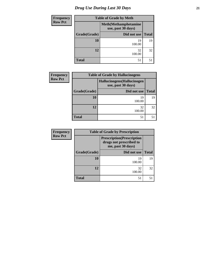# *Drug Use During Last 30 Days* **21**

| <b>Frequency</b> | <b>Table of Grade by Meth</b>                      |              |              |  |  |
|------------------|----------------------------------------------------|--------------|--------------|--|--|
| <b>Row Pct</b>   | <b>Meth</b> (Methamphetamine<br>use, past 30 days) |              |              |  |  |
|                  | Grade(Grade)                                       | Did not use  | <b>Total</b> |  |  |
|                  | 10                                                 | 19<br>100.00 | 19           |  |  |
|                  | 12                                                 | 32<br>100.00 | 32           |  |  |
|                  | <b>Total</b>                                       | 51           | 51           |  |  |

| <b>Frequency</b> | <b>Table of Grade by Hallucinogens</b> |              |              |  |  |
|------------------|----------------------------------------|--------------|--------------|--|--|
| <b>Row Pct</b>   |                                        |              |              |  |  |
|                  | Grade(Grade)                           | Did not use  | <b>Total</b> |  |  |
|                  | 10                                     | 19<br>100.00 | 19           |  |  |
|                  | 12                                     | 32<br>100.00 | 32           |  |  |
|                  | <b>Total</b>                           | 51           | 51           |  |  |

| <b>Frequency</b> |                                                                                   | <b>Table of Grade by Prescription</b> |              |  |  |  |
|------------------|-----------------------------------------------------------------------------------|---------------------------------------|--------------|--|--|--|
| <b>Row Pct</b>   | <b>Prescription</b> (Prescription<br>drugs not prescribed to<br>me, past 30 days) |                                       |              |  |  |  |
|                  | Grade(Grade)                                                                      | Did not use                           | <b>Total</b> |  |  |  |
|                  | 10                                                                                | 19<br>100.00                          | 19           |  |  |  |
|                  | 12                                                                                | 32<br>100.00                          | 32           |  |  |  |
|                  | <b>Total</b>                                                                      | 51                                    | 51           |  |  |  |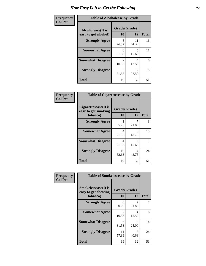| Frequency      | <b>Table of Alcoholease by Grade</b>              |                         |             |              |  |
|----------------|---------------------------------------------------|-------------------------|-------------|--------------|--|
| <b>Col Pct</b> | <b>Alcoholease</b> (It is<br>easy to get alcohol) | Grade(Grade)<br>10      | 12          | <b>Total</b> |  |
|                | <b>Strongly Agree</b>                             | 5<br>26.32              | 11<br>34.38 | 16           |  |
|                | <b>Somewhat Agree</b>                             | 6<br>31.58              | 5<br>15.63  | 11           |  |
|                | <b>Somewhat Disagree</b>                          | $\mathfrak{D}$<br>10.53 | 4<br>12.50  | 6            |  |
|                | <b>Strongly Disagree</b>                          | 6<br>31.58              | 12<br>37.50 | 18           |  |
|                | <b>Total</b>                                      | 19                      | 32          | 51           |  |

| Frequency      | <b>Table of Cigarettesease by Grade</b>                  |                    |             |              |
|----------------|----------------------------------------------------------|--------------------|-------------|--------------|
| <b>Col Pct</b> | Cigarettesease (It is<br>easy to get smoking<br>tobacco) | Grade(Grade)<br>10 | 12          | <b>Total</b> |
|                | <b>Strongly Agree</b>                                    | 5.26               | 21.88       | 8            |
|                | <b>Somewhat Agree</b>                                    | 4<br>21.05         | 6<br>18.75  | 10           |
|                | <b>Somewhat Disagree</b>                                 | 4<br>21.05         | 5<br>15.63  | 9            |
|                | <b>Strongly Disagree</b>                                 | 10<br>52.63        | 14<br>43.75 | 24           |
|                | Total                                                    | 19                 | 32          | 51           |

| Frequency      | <b>Table of Smokelessease by Grade</b>                         |                         |             |              |
|----------------|----------------------------------------------------------------|-------------------------|-------------|--------------|
| <b>Col Pct</b> | <b>Smokelessease</b> (It is<br>easy to get chewing<br>tobacco) | Grade(Grade)<br>10      | 12          | <b>Total</b> |
|                | <b>Strongly Agree</b>                                          | 0<br>0.00               | 21.88       | 7            |
|                | <b>Somewhat Agree</b>                                          | $\mathfrak{D}$<br>10.53 | 4<br>12.50  | 6            |
|                | <b>Somewhat Disagree</b>                                       | 6<br>31.58              | 8<br>25.00  | 14           |
|                | <b>Strongly Disagree</b>                                       | 11<br>57.89             | 13<br>40.63 | 24           |
|                | <b>Total</b>                                                   | 19                      | 32          | 51           |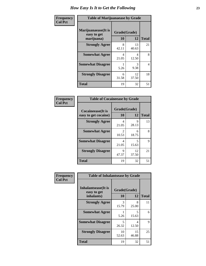| Frequency      | <b>Table of Marijuanaease by Grade</b>           |                    |             |              |
|----------------|--------------------------------------------------|--------------------|-------------|--------------|
| <b>Col Pct</b> | Marijuanaease(It is<br>easy to get<br>marijuana) | Grade(Grade)<br>10 | 12          | <b>Total</b> |
|                | <b>Strongly Agree</b>                            | 8<br>42.11         | 13<br>40.63 | 21           |
|                | <b>Somewhat Agree</b>                            | 4<br>21.05         | 4<br>12.50  | 8            |
|                | <b>Somewhat Disagree</b>                         | 5.26               | 3<br>9.38   | 4            |
|                | <b>Strongly Disagree</b>                         | 6<br>31.58         | 12<br>37.50 | 18           |
|                | <b>Total</b>                                     | 19                 | 32          | 51           |

| <b>Table of Cocaineease by Grade</b>              |                    |             |              |  |  |
|---------------------------------------------------|--------------------|-------------|--------------|--|--|
| <b>Cocaineease</b> (It is<br>easy to get cocaine) | Grade(Grade)<br>10 | 12          | <b>Total</b> |  |  |
| <b>Strongly Agree</b>                             | 4<br>21.05         | 9<br>28.13  | 13           |  |  |
| <b>Somewhat Agree</b>                             | 2<br>10.53         | 6<br>18.75  | 8            |  |  |
| <b>Somewhat Disagree</b>                          | 4<br>21.05         | 5<br>15.63  | 9            |  |  |
| <b>Strongly Disagree</b>                          | 9<br>47.37         | 12<br>37.50 | 21           |  |  |
| <b>Total</b>                                      | 19                 | 32          | 51           |  |  |

| Frequency      | <b>Table of Inhalantsease by Grade</b>                   |                    |             |              |  |
|----------------|----------------------------------------------------------|--------------------|-------------|--------------|--|
| <b>Col Pct</b> | <b>Inhalantsease</b> (It is<br>easy to get<br>inhalants) | Grade(Grade)<br>10 | 12          | <b>Total</b> |  |
|                | <b>Strongly Agree</b>                                    | 3<br>15.79         | 8<br>25.00  | 11           |  |
|                | <b>Somewhat Agree</b>                                    | 5.26               | 5<br>15.63  | 6            |  |
|                | <b>Somewhat Disagree</b>                                 | 5<br>26.32         | 4<br>12.50  | 9            |  |
|                | <b>Strongly Disagree</b>                                 | 10<br>52.63        | 15<br>46.88 | 25           |  |
|                | <b>Total</b>                                             | 19                 | 32          | 51           |  |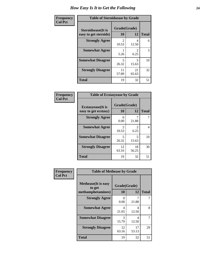| Frequency      | <b>Table of Steroidsease by Grade</b>               |                         |                        |              |  |
|----------------|-----------------------------------------------------|-------------------------|------------------------|--------------|--|
| <b>Col Pct</b> | <b>Steroidsease</b> (It is<br>easy to get steroids) | Grade(Grade)<br>10      | 12                     | <b>Total</b> |  |
|                | <b>Strongly Agree</b>                               | $\mathfrak{D}$<br>10.53 | 4<br>12.50             | 6            |  |
|                | <b>Somewhat Agree</b>                               | 5.26                    | $\mathfrak{D}$<br>6.25 | 3            |  |
|                | <b>Somewhat Disagree</b>                            | 5<br>26.32              | 5<br>15.63             | 10           |  |
|                | <b>Strongly Disagree</b>                            | 11<br>57.89             | 21<br>65.63            | 32           |  |
|                | <b>Total</b>                                        | 19                      | 32                     | 51           |  |

| Frequency      | <b>Table of Ecstasyease by Grade</b>              |                           |                       |              |  |
|----------------|---------------------------------------------------|---------------------------|-----------------------|--------------|--|
| <b>Col Pct</b> | <b>Ecstasyease</b> (It is<br>easy to get ecstasy) | Grade(Grade)<br><b>10</b> | 12                    | <b>Total</b> |  |
|                | <b>Strongly Agree</b>                             | $\left( \right)$<br>0.00  | 21.88                 |              |  |
|                | <b>Somewhat Agree</b>                             | $\mathfrak{D}$<br>10.53   | $\mathcal{L}$<br>6.25 | 4            |  |
|                | <b>Somewhat Disagree</b>                          | 5<br>26.32                | 5<br>15.63            | 10           |  |
|                | <b>Strongly Disagree</b>                          | 12<br>63.16               | 18<br>56.25           | 30           |  |
|                | <b>Total</b>                                      | 19                        | 32                    | 51           |  |

| Frequency      | <b>Table of Methease by Grade</b>                          |                    |             |              |
|----------------|------------------------------------------------------------|--------------------|-------------|--------------|
| <b>Col Pct</b> | <b>Methease</b> (It is easy<br>to get<br>methamphetamines) | Grade(Grade)<br>10 | 12          | <b>Total</b> |
|                | <b>Strongly Agree</b>                                      | O<br>0.00          | 7<br>21.88  |              |
|                | <b>Somewhat Agree</b>                                      | 4<br>21.05         | 4<br>12.50  | 8            |
|                | <b>Somewhat Disagree</b>                                   | 3<br>15.79         | 4<br>12.50  |              |
|                | <b>Strongly Disagree</b>                                   | 12<br>63.16        | 17<br>53.13 | 29           |
|                | <b>Total</b>                                               | 19                 | 32          | 51           |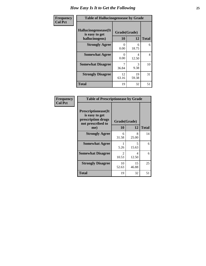| Frequency      | <b>Table of Hallucinogensease by Grade</b>               |                    |             |                |
|----------------|----------------------------------------------------------|--------------------|-------------|----------------|
| <b>Col Pct</b> | Hallucinogensease(It<br>is easy to get<br>hallucinogens) | Grade(Grade)<br>10 | 12          | <b>Total</b>   |
|                | <b>Strongly Agree</b>                                    | 0<br>0.00          | 6<br>18.75  | 6              |
|                | <b>Somewhat Agree</b>                                    | 0<br>0.00          | 4<br>12.50  | $\overline{4}$ |
|                | <b>Somewhat Disagree</b>                                 | 36.84              | 3<br>9.38   | 10             |
|                | <b>Strongly Disagree</b>                                 | 12<br>63.16        | 19<br>59.38 | 31             |
|                | <b>Total</b>                                             | 19                 | 32          | 51             |

| <b>Frequency</b><br>Col Pct |
|-----------------------------|
|                             |

| <b>Table of Prescriptionease by Grade</b>                                                |                                      |             |              |  |
|------------------------------------------------------------------------------------------|--------------------------------------|-------------|--------------|--|
| <b>Prescriptionease</b> (It<br>is easy to get<br>prescription drugs<br>not prescribed to | Grade(Grade)                         |             |              |  |
| me)                                                                                      | 10                                   | 12          | <b>Total</b> |  |
| <b>Strongly Agree</b>                                                                    | 6<br>31.58                           | 8<br>25.00  | 14           |  |
| <b>Somewhat Agree</b>                                                                    | 5.26                                 | 5<br>15.63  | 6            |  |
| <b>Somewhat Disagree</b>                                                                 | $\mathcal{D}_{\mathcal{L}}$<br>10.53 | Δ<br>12.50  | 6            |  |
| <b>Strongly Disagree</b>                                                                 | 10<br>52.63                          | 15<br>46.88 | 25           |  |
| <b>Total</b>                                                                             | 19                                   | 32          | 51           |  |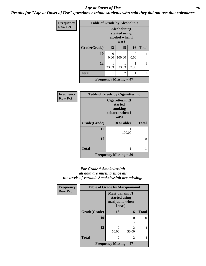#### *Age at Onset of Use* **26** *Results for "Age at Onset of Use" questions exclude students who said they did not use that substance*

| Frequency      | <b>Table of Grade by Alcoholinit</b> |                                                          |                               |       |              |
|----------------|--------------------------------------|----------------------------------------------------------|-------------------------------|-------|--------------|
| <b>Row Pct</b> |                                      | Alcoholinit(I<br>started using<br>alcohol when I<br>was) |                               |       |              |
|                | Grade(Grade)                         | 12                                                       | 15                            | 16    | <b>Total</b> |
|                | 10                                   | ∩<br>0.00                                                | 100.00                        | 0.00  |              |
|                | 12                                   | 33.33                                                    | 33.33                         | 33.33 | 3            |
|                | <b>Total</b>                         |                                                          | 2                             |       | 4            |
|                |                                      |                                                          | <b>Frequency Missing = 47</b> |       |              |

| <b>Frequency</b> | <b>Table of Grade by Cigarettesinit</b> |                                                                  |              |  |  |
|------------------|-----------------------------------------|------------------------------------------------------------------|--------------|--|--|
| <b>Row Pct</b>   |                                         | Cigarettesinit(I<br>started<br>smoking<br>tobacco when I<br>was) |              |  |  |
|                  | Grade(Grade)                            | 18 or older                                                      | <b>Total</b> |  |  |
|                  | 10                                      | 100.00                                                           |              |  |  |
|                  | 12                                      | 0                                                                | 0            |  |  |
|                  | <b>Total</b>                            |                                                                  |              |  |  |
|                  |                                         | Frequency Missing $= 50$                                         |              |  |  |

#### *For Grade \* Smokelessinit all data are missing since all the levels of variable Smokelessinit are missing.*

| <b>Frequency</b> | <b>Table of Grade by Marijuanainit</b> |                                                              |                         |              |
|------------------|----------------------------------------|--------------------------------------------------------------|-------------------------|--------------|
| <b>Row Pct</b>   |                                        | Marijuanainit(I<br>started using<br>marijuana when<br>I was) |                         |              |
|                  | Grade(Grade)                           | 13                                                           | 16                      | <b>Total</b> |
|                  | 10                                     | 0                                                            | 0                       | 0            |
|                  |                                        |                                                              |                         |              |
|                  | 12                                     | $\mathfrak{D}$<br>50.00                                      | $\mathfrak{D}$<br>50.00 | 4            |
|                  | <b>Total</b>                           | 2                                                            | $\overline{2}$          | 4            |
|                  |                                        | <b>Frequency Missing = 47</b>                                |                         |              |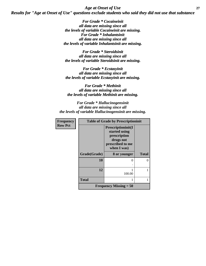*Age at Onset of Use* **27** *Results for "Age at Onset of Use" questions exclude students who said they did not use that substance*

> *For Grade \* Cocaineinit all data are missing since all the levels of variable Cocaineinit are missing. For Grade \* Inhalantsinit all data are missing since all the levels of variable Inhalantsinit are missing.*

*For Grade \* Steroidsinit all data are missing since all the levels of variable Steroidsinit are missing.*

*For Grade \* Ecstasyinit all data are missing since all the levels of variable Ecstasyinit are missing.*

*For Grade \* Methinit all data are missing since all the levels of variable Methinit are missing.*

*For Grade \* Hallucinogensinit all data are missing since all the levels of variable Hallucinogensinit are missing.*

| <b>Frequency</b> | <b>Table of Grade by Prescriptioninit</b> |                                                                                                     |              |  |
|------------------|-------------------------------------------|-----------------------------------------------------------------------------------------------------|--------------|--|
| <b>Row Pct</b>   |                                           | Prescriptioninit(I<br>started using<br>prescription<br>drugs not<br>prescribed to me<br>when I was) |              |  |
|                  | Grade(Grade)                              | 8 or younger                                                                                        | <b>Total</b> |  |
|                  | 10                                        | $\mathbf{\Omega}$                                                                                   |              |  |
|                  | 12                                        | 100.00                                                                                              |              |  |
|                  | <b>Total</b>                              |                                                                                                     |              |  |
|                  |                                           | <b>Frequency Missing = 50</b>                                                                       |              |  |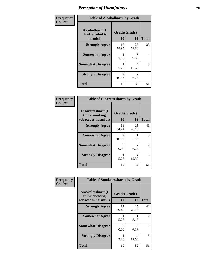| Frequency      | <b>Table of Alcoholharm by Grade</b>          |                                      |                                     |              |  |
|----------------|-----------------------------------------------|--------------------------------------|-------------------------------------|--------------|--|
| <b>Col Pct</b> | Alcoholharm(I<br>think alcohol is<br>harmful) | Grade(Grade)<br>10                   | 12                                  | <b>Total</b> |  |
|                | <b>Strongly Agree</b>                         | 15<br>78.95                          | 23<br>71.88                         | 38           |  |
|                | <b>Somewhat Agree</b>                         | 5.26                                 | 3<br>9.38                           | 4            |  |
|                | <b>Somewhat Disagree</b>                      | 5.26                                 | 4<br>12.50                          | 5            |  |
|                | <b>Strongly Disagree</b>                      | $\mathcal{D}_{\mathcal{L}}$<br>10.53 | $\mathcal{D}_{\mathcal{L}}$<br>6.25 | 4            |  |
|                | <b>Total</b>                                  | 19                                   | 32                                  | 51           |  |

| <b>Table of Cigarettesharm by Grade</b>                  |                    |             |                |  |  |  |
|----------------------------------------------------------|--------------------|-------------|----------------|--|--|--|
| Cigarettesharm(I<br>think smoking<br>tobacco is harmful) | Grade(Grade)<br>10 | 12          | <b>Total</b>   |  |  |  |
| <b>Strongly Agree</b>                                    | 16<br>84.21        | 25<br>78.13 | 41             |  |  |  |
| <b>Somewhat Agree</b>                                    | 2<br>10.53         | 3.13        | 3              |  |  |  |
| <b>Somewhat Disagree</b>                                 | 0<br>0.00          | 2<br>6.25   | $\mathfrak{D}$ |  |  |  |
| <b>Strongly Disagree</b>                                 | 5.26               | 4<br>12.50  | 5              |  |  |  |
| <b>Total</b>                                             | 19                 | 32          | 51             |  |  |  |

| Frequency      | <b>Table of Smokelessharm by Grade</b>                  |                    |             |              |
|----------------|---------------------------------------------------------|--------------------|-------------|--------------|
| <b>Col Pct</b> | Smokelessharm(I<br>think chewing<br>tobacco is harmful) | Grade(Grade)<br>10 | 12          | <b>Total</b> |
|                | <b>Strongly Agree</b>                                   | 17<br>89.47        | 25<br>78.13 | 42           |
|                | <b>Somewhat Agree</b>                                   | 5.26               | 3.13        | 2            |
|                | <b>Somewhat Disagree</b>                                | 0<br>0.00          | 2<br>6.25   | 2            |
|                | <b>Strongly Disagree</b>                                | 5.26               | 4<br>12.50  | 5            |
|                | <b>Total</b>                                            | 19                 | 32          | 51           |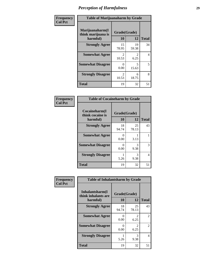| Frequency      | <b>Table of Marijuanaharm by Grade</b>            |                         |                                   |              |
|----------------|---------------------------------------------------|-------------------------|-----------------------------------|--------------|
| <b>Col Pct</b> | Marijuanaharm(I<br>think marijuana is<br>harmful) | Grade(Grade)<br>10      | 12                                | <b>Total</b> |
|                | <b>Strongly Agree</b>                             | 15<br>78.95             | 19<br>59.38                       | 34           |
|                | <b>Somewhat Agree</b>                             | 2<br>10.53              | 2<br>6.25                         | 4            |
|                | <b>Somewhat Disagree</b>                          | $\mathbf{0}$<br>0.00    | $\overline{\phantom{0}}$<br>15.63 | 5            |
|                | <b>Strongly Disagree</b>                          | $\mathfrak{D}$<br>10.53 | 6<br>18.75                        | 8            |
|                | <b>Total</b>                                      | 19                      | 32                                | 51           |

| <b>Table of Cocaineharm by Grade</b>          |                    |             |              |  |  |
|-----------------------------------------------|--------------------|-------------|--------------|--|--|
| Cocaineharm(I<br>think cocaine is<br>harmful) | Grade(Grade)<br>10 | 12          | <b>Total</b> |  |  |
| <b>Strongly Agree</b>                         | 18<br>94.74        | 25<br>78.13 | 43           |  |  |
| <b>Somewhat Agree</b>                         | 0<br>0.00          | 3.13        | 1            |  |  |
| <b>Somewhat Disagree</b>                      | 0<br>0.00          | 3<br>9.38   | 3            |  |  |
| <b>Strongly Disagree</b>                      | 5.26               | 3<br>9.38   | 4            |  |  |
| <b>Total</b>                                  | 19                 | 32          | 51           |  |  |

| Frequency      | <b>Table of Inhalantsharm by Grade</b>              |                           |                        |              |  |
|----------------|-----------------------------------------------------|---------------------------|------------------------|--------------|--|
| <b>Col Pct</b> | Inhalantsharm(I)<br>think inhalants are<br>harmful) | Grade(Grade)<br><b>10</b> | 12                     | <b>Total</b> |  |
|                | <b>Strongly Agree</b>                               | 18<br>94.74               | 25<br>78.13            | 43           |  |
|                | <b>Somewhat Agree</b>                               | 0<br>0.00                 | $\mathfrak{D}$<br>6.25 | 2            |  |
|                | <b>Somewhat Disagree</b>                            | 0<br>0.00                 | $\mathfrak{D}$<br>6.25 | 2            |  |
|                | <b>Strongly Disagree</b>                            | 5.26                      | 3<br>9.38              | 4            |  |
|                | <b>Total</b>                                        | 19                        | 32                     | 51           |  |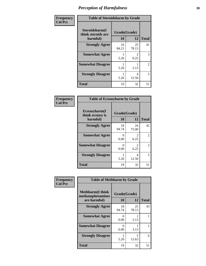| Frequency      | <b>Table of Steroidsharm by Grade</b>            |                    |                        |                |
|----------------|--------------------------------------------------|--------------------|------------------------|----------------|
| <b>Col Pct</b> | Steroidsharm(I<br>think steroids are<br>harmful) | Grade(Grade)<br>10 | 12                     | <b>Total</b>   |
|                | <b>Strongly Agree</b>                            | 16<br>84.21        | 25<br>78.13            | 41             |
|                | <b>Somewhat Agree</b>                            | 5.26               | $\mathfrak{D}$<br>6.25 | 3              |
|                | <b>Somewhat Disagree</b>                         | 5.26               | 3.13                   | $\mathfrak{D}$ |
|                | <b>Strongly Disagree</b>                         | 5.26               | 4<br>12.50             | 5              |
|                | <b>Total</b>                                     | 19                 | 32                     | 51             |

| <b>Table of Ecstasyharm by Grade</b>          |              |                        |    |  |  |  |
|-----------------------------------------------|--------------|------------------------|----|--|--|--|
| Ecstasyharm(I<br>think ecstasy is<br>harmful) | <b>Total</b> |                        |    |  |  |  |
| <b>Strongly Agree</b>                         | 18<br>94.74  | 24<br>75.00            | 42 |  |  |  |
| <b>Somewhat Agree</b>                         | 0<br>0.00    | $\mathfrak{D}$<br>6.25 | 2  |  |  |  |
| <b>Somewhat Disagree</b>                      | 0<br>0.00    | $\mathfrak{D}$<br>6.25 | 2  |  |  |  |
| <b>Strongly Disagree</b>                      | 1<br>5.26    | 4<br>12.50             | 5  |  |  |  |
| Total                                         | 19           | 32                     | 51 |  |  |  |

| Frequency      | <b>Table of Methharm by Grade</b>                           |                    |             |              |
|----------------|-------------------------------------------------------------|--------------------|-------------|--------------|
| <b>Col Pct</b> | <b>Methharm(I think</b><br>methamphetamines<br>are harmful) | Grade(Grade)<br>10 | 12          | <b>Total</b> |
|                | <b>Strongly Agree</b>                                       | 18<br>94.74        | 25<br>78.13 | 43           |
|                | <b>Somewhat Agree</b>                                       | 0<br>0.00          | 3.13        |              |
|                | <b>Somewhat Disagree</b>                                    | 0<br>0.00          | 3.13        |              |
|                | <b>Strongly Disagree</b>                                    | 5.26               | 5<br>15.63  | 6            |
|                | <b>Total</b>                                                | 19                 | 32          | 51           |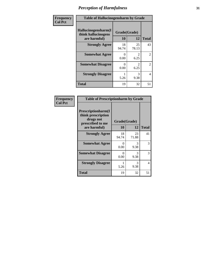| Frequency      | <b>Table of Hallucinogensharm by Grade</b>                 |                    |                        |                |
|----------------|------------------------------------------------------------|--------------------|------------------------|----------------|
| <b>Col Pct</b> | Hallucinogensharm(I<br>think hallucinogens<br>are harmful) | Grade(Grade)<br>10 | 12                     | <b>Total</b>   |
|                | <b>Strongly Agree</b>                                      | 18<br>94.74        | 25<br>78.13            | 43             |
|                | <b>Somewhat Agree</b>                                      | 0<br>0.00          | $\mathcal{L}$<br>6.25  | $\overline{2}$ |
|                | <b>Somewhat Disagree</b>                                   | 0<br>0.00          | $\mathfrak{D}$<br>6.25 | $\overline{2}$ |
|                | <b>Strongly Disagree</b>                                   | 5.26               | 3<br>9.38              | 4              |
|                | <b>Total</b>                                               | 19                 | 32                     | 51             |

| <b>Table of Prescriptionharm by Grade</b>                                         |              |             |              |  |  |
|-----------------------------------------------------------------------------------|--------------|-------------|--------------|--|--|
| <b>Prescriptionharm</b> (I<br>think prescription<br>drugs not<br>prescribed to me | Grade(Grade) |             |              |  |  |
| are harmful)                                                                      | 10           | 12          | <b>Total</b> |  |  |
| <b>Strongly Agree</b>                                                             | 18<br>94.74  | 23<br>71.88 | 41           |  |  |
| <b>Somewhat Agree</b>                                                             | 0<br>0.00    | 3<br>9.38   | 3            |  |  |
| <b>Somewhat Disagree</b>                                                          | 0<br>0.00    | 3<br>9.38   | 3            |  |  |
| <b>Strongly Disagree</b>                                                          | 5.26         | 3<br>9.38   | 4            |  |  |
| <b>Total</b>                                                                      | 19           | 32          | 51           |  |  |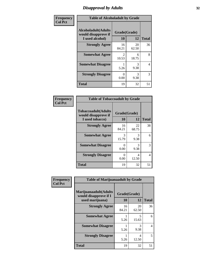## *Disapproval by Adults* **32**

| Frequency      | <b>Table of Alcoholadult by Grade</b>                                 |                    |             |              |
|----------------|-----------------------------------------------------------------------|--------------------|-------------|--------------|
| <b>Col Pct</b> | <b>Alcoholadult</b> (Adults<br>would disapprove if<br>I used alcohol) | Grade(Grade)<br>10 | 12          | <b>Total</b> |
|                | <b>Strongly Agree</b>                                                 | 16<br>84.21        | 20<br>62.50 | 36           |
|                | <b>Somewhat Agree</b>                                                 | 2<br>10.53         | 6<br>18.75  | 8            |
|                | <b>Somewhat Disagree</b>                                              | 5.26               | 3<br>9.38   | 4            |
|                | <b>Strongly Disagree</b>                                              | 0<br>0.00          | 3<br>9.38   | 3            |
|                | <b>Total</b>                                                          | 19                 | 32          | 51           |

| <b>Table of Tobaccoadult by Grade</b>                                 |                    |             |              |  |  |
|-----------------------------------------------------------------------|--------------------|-------------|--------------|--|--|
| <b>Tobaccoadult</b> (Adults<br>would disapprove if<br>I used tobacco) | Grade(Grade)<br>10 | 12          | <b>Total</b> |  |  |
| <b>Strongly Agree</b>                                                 | 16<br>84.21        | 22<br>68.75 | 38           |  |  |
| <b>Somewhat Agree</b>                                                 | 3<br>15.79         | 3<br>9.38   | 6            |  |  |
| <b>Somewhat Disagree</b>                                              | 0<br>0.00          | 3<br>9.38   | 3            |  |  |
| <b>Strongly Disagree</b>                                              | 0<br>0.00          | 4<br>12.50  | 4            |  |  |
| <b>Total</b>                                                          | 19                 | 32          | 51           |  |  |

| Frequency      | <b>Table of Marijuanaadult by Grade</b>                           |                    |             |                |
|----------------|-------------------------------------------------------------------|--------------------|-------------|----------------|
| <b>Col Pct</b> | Marijuanaadult(Adults<br>would disapprove if I<br>used marijuana) | Grade(Grade)<br>10 | 12          | <b>Total</b>   |
|                | <b>Strongly Agree</b>                                             | 16<br>84.21        | 20<br>62.50 | 36             |
|                | <b>Somewhat Agree</b>                                             | 5.26               | 5<br>15.63  | 6              |
|                | <b>Somewhat Disagree</b>                                          | 5.26               | 3<br>9.38   | $\overline{4}$ |
|                | <b>Strongly Disagree</b>                                          | 5.26               | 4<br>12.50  | 5              |
|                | <b>Total</b>                                                      | 19                 | 32          | 51             |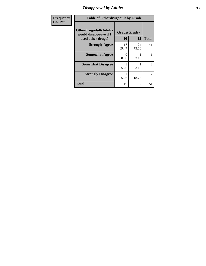## *Disapproval by Adults* **33**

| <b>Frequency</b> | <b>Table of Otherdrugadult by Grade</b>                |                  |             |              |
|------------------|--------------------------------------------------------|------------------|-------------|--------------|
| <b>Col Pct</b>   | <b>Otherdrugadult</b> (Adults<br>would disapprove if I | Grade(Grade)     |             |              |
|                  | used other drugs)                                      | 10               | 12          | <b>Total</b> |
|                  | <b>Strongly Agree</b>                                  | 17<br>89.47      | 24<br>75.00 | 41           |
|                  | <b>Somewhat Agree</b>                                  | $\Omega$<br>0.00 | 3.13        |              |
|                  | <b>Somewhat Disagree</b>                               | 5.26             | 3.13        | 2            |
|                  | <b>Strongly Disagree</b>                               | 5.26             | 6<br>18.75  |              |
|                  | <b>Total</b>                                           | 19               | 32          | 51           |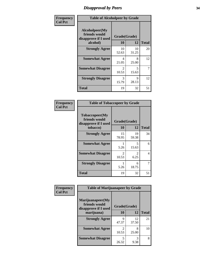# *Disapproval by Peers* **34**

| Frequency      | <b>Table of Alcoholpeer by Grade</b>                    |                         |             |              |  |
|----------------|---------------------------------------------------------|-------------------------|-------------|--------------|--|
| <b>Col Pct</b> | Alcoholpeer(My<br>friends would<br>disapprove if I used | Grade(Grade)            |             |              |  |
|                | alcohol)                                                | 10                      | 12          | <b>Total</b> |  |
|                | <b>Strongly Agree</b>                                   | 10<br>52.63             | 10<br>31.25 | 20           |  |
|                | <b>Somewhat Agree</b>                                   | 4<br>21.05              | 8<br>25.00  | 12           |  |
|                | <b>Somewhat Disagree</b>                                | $\mathfrak{D}$<br>10.53 | 5<br>15.63  | 7            |  |
|                | <b>Strongly Disagree</b>                                | 3<br>15.79              | Q<br>28.13  | 12           |  |
|                | Total                                                   | 19                      | 32          | 51           |  |

| Frequency      | <b>Table of Tobaccopeer by Grade</b>                                |                           |                       |              |
|----------------|---------------------------------------------------------------------|---------------------------|-----------------------|--------------|
| <b>Col Pct</b> | Tobaccopeer(My<br>friends would<br>disapprove if I used<br>tobacco) | Grade(Grade)<br><b>10</b> | 12                    | <b>Total</b> |
|                | <b>Strongly Agree</b>                                               | 15<br>78.95               | 19<br>59.38           | 34           |
|                | <b>Somewhat Agree</b>                                               | 1<br>5.26                 | 5<br>15.63            | 6            |
|                | <b>Somewhat Disagree</b>                                            | 2<br>10.53                | $\mathcal{L}$<br>6.25 | 4            |
|                | <b>Strongly Disagree</b>                                            | 5.26                      | 6<br>18.75            | 7            |
|                | Total                                                               | 19                        | 32                    | 51           |

| Frequency      | <b>Table of Marijuanapeer by Grade</b>                    |                         |             |              |  |
|----------------|-----------------------------------------------------------|-------------------------|-------------|--------------|--|
| <b>Col Pct</b> | Marijuanapeer(My<br>friends would<br>disapprove if I used | Grade(Grade)            |             |              |  |
|                | marijuana)                                                | 10                      | 12          | <b>Total</b> |  |
|                | <b>Strongly Agree</b>                                     | 9<br>47.37              | 12<br>37.50 | 21           |  |
|                | <b>Somewhat Agree</b>                                     | $\mathfrak{D}$<br>10.53 | 8<br>25.00  | 10           |  |
|                | <b>Somewhat Disagree</b>                                  | 5<br>26.32              | 3<br>9.38   | 8            |  |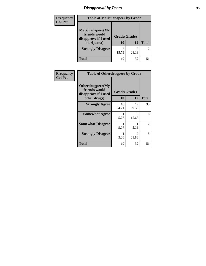# *Disapproval by Peers* **35**

| Frequency<br><b>Col Pct</b> | <b>Table of Marijuanapeer by Grade</b>                                  |                    |            |              |
|-----------------------------|-------------------------------------------------------------------------|--------------------|------------|--------------|
|                             | Marijuanapeer(My<br>friends would<br>disapprove if I used<br>marijuana) | Grade(Grade)<br>10 | 12         | <b>Total</b> |
|                             | <b>Strongly Disagree</b>                                                | 3<br>15.79         | q<br>28.13 | 12           |
|                             | Total                                                                   | 19                 | 32         |              |

| Frequency      | <b>Table of Otherdrugpeer by Grade</b>                                    |                    |             |              |
|----------------|---------------------------------------------------------------------------|--------------------|-------------|--------------|
| <b>Col Pct</b> | Otherdrugpeer(My<br>friends would<br>disapprove if I used<br>other drugs) | Grade(Grade)<br>10 | 12          | <b>Total</b> |
|                | <b>Strongly Agree</b>                                                     | 16<br>84.21        | 19<br>59.38 | 35           |
|                | <b>Somewhat Agree</b>                                                     | 5.26               | 5<br>15.63  | 6            |
|                | <b>Somewhat Disagree</b>                                                  | 5.26               | 3.13        | 2            |
|                | <b>Strongly Disagree</b>                                                  | 5.26               | 7<br>21.88  | 8            |
|                | <b>Total</b>                                                              | 19                 | 32          | 51           |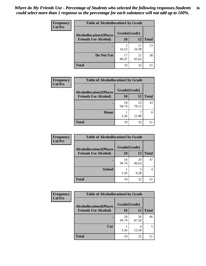#### *Where do My Friends Use - Percentage of Students who selected the following responses.Students could select more than 1 response so the percentage for each substance will not add up to 100%.* **36**

| Frequency      | <b>Table of Alcohollocation1 by Grade</b> |              |             |              |  |
|----------------|-------------------------------------------|--------------|-------------|--------------|--|
| <b>Col Pct</b> | <b>Alcohollocation1(Places</b>            | Grade(Grade) |             |              |  |
|                | <b>Friends Use Alcohol)</b>               | 10           | 12          | <b>Total</b> |  |
|                |                                           | 10.53        | 11<br>34.38 | 13           |  |
|                | Do Not Use                                | 17<br>89.47  | 21<br>65.63 | 38           |  |
|                | <b>Total</b>                              | 19           | 32          | 51           |  |

| Frequency      | <b>Table of Alcohollocation2 by Grade</b>                     |                    |             |              |  |
|----------------|---------------------------------------------------------------|--------------------|-------------|--------------|--|
| <b>Col Pct</b> | <b>Alcohollocation2(Places</b><br><b>Friends Use Alcohol)</b> | Grade(Grade)<br>10 | 12          | <b>Total</b> |  |
|                |                                                               |                    |             |              |  |
|                |                                                               | 18<br>94.74        | 25<br>78.13 | 43           |  |
|                | Home                                                          | 5.26               | 21.88       |              |  |
|                | <b>Total</b>                                                  | 19                 | 32          | 51           |  |

| Frequency      | <b>Table of Alcohollocation 3 by Grade</b> |              |             |              |  |
|----------------|--------------------------------------------|--------------|-------------|--------------|--|
| <b>Col Pct</b> | <b>Alcohollocation3(Places</b>             | Grade(Grade) |             |              |  |
|                | <b>Friends Use Alcohol)</b>                | 10           | 12          | <b>Total</b> |  |
|                |                                            | 18<br>94.74  | 29<br>90.63 | 47           |  |
|                | <b>School</b>                              | 5.26         | 3<br>9.38   |              |  |
|                | Total                                      | 19           | 32          | 51           |  |

| <b>Frequency</b> | <b>Table of Alcohollocation4 by Grade</b>      |             |             |              |  |
|------------------|------------------------------------------------|-------------|-------------|--------------|--|
| <b>Col Pct</b>   | Grade(Grade)<br><b>Alcohollocation4(Places</b> |             |             |              |  |
|                  | <b>Friends Use Alcohol)</b>                    | 10          | 12          | <b>Total</b> |  |
|                  |                                                | 18<br>94.74 | 28<br>87.50 | 46           |  |
|                  | Car                                            | 5.26        | 4<br>12.50  | 5            |  |
|                  | <b>Total</b>                                   | 19          | 32          | 51           |  |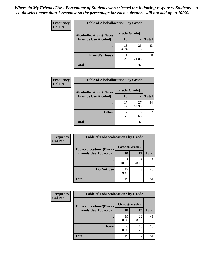| Frequency<br><b>Col Pct</b> | <b>Table of Alcohollocation5 by Grade</b>      |             |             |              |  |
|-----------------------------|------------------------------------------------|-------------|-------------|--------------|--|
|                             | Grade(Grade)<br><b>Alcohollocation5(Places</b> |             |             |              |  |
|                             | <b>Friends Use Alcohol)</b>                    | 10          | 12          | <b>Total</b> |  |
|                             |                                                | 18<br>94.74 | 25<br>78.13 | 43           |  |
|                             | <b>Friend's House</b>                          | 5.26        | 21.88       | 8            |  |
|                             | <b>Total</b>                                   | 19          | 32          | 51           |  |

| <b>Frequency</b> | <b>Table of Alcohollocation6 by Grade</b> |              |             |              |
|------------------|-------------------------------------------|--------------|-------------|--------------|
| <b>Col Pct</b>   | <b>Alcohollocation6(Places</b>            | Grade(Grade) |             |              |
|                  | <b>Friends Use Alcohol)</b>               | <b>10</b>    | 12          | <b>Total</b> |
|                  |                                           | 17<br>89.47  | 27<br>84.38 | 44           |
|                  | <b>Other</b>                              | 2<br>10.53   | 15.63       |              |
|                  | <b>Total</b>                              | 19           | 32          | 51           |

| <b>Frequency</b>            | <b>Table of Tobaccolocation1 by Grade</b> |              |              |    |
|-----------------------------|-------------------------------------------|--------------|--------------|----|
| <b>Col Pct</b>              | <b>Tobaccolocation1(Places</b>            | Grade(Grade) |              |    |
| <b>Friends Use Tobacco)</b> | 10                                        | 12           | <b>Total</b> |    |
|                             |                                           | 10.53        | Q<br>28.13   | 11 |
|                             | Do Not Use                                | 17<br>89.47  | 23<br>71.88  | 40 |
|                             | <b>Total</b>                              | 19           | 32           | 51 |

| <b>Frequency</b> | <b>Table of Tobaccolocation2 by Grade</b> |              |             |              |
|------------------|-------------------------------------------|--------------|-------------|--------------|
| <b>Col Pct</b>   | <b>Tobaccolocation2(Places</b>            | Grade(Grade) |             |              |
|                  | <b>Friends Use Tobacco)</b>               | 10           | 12          | <b>Total</b> |
|                  |                                           | 19<br>100.00 | 22<br>68.75 | 41           |
|                  | Home                                      | 0.00         | 10<br>31.25 | 10           |
|                  | <b>Total</b>                              | 19           | 32          | 51           |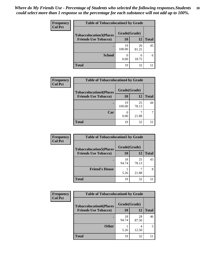| Frequency      | <b>Table of Tobaccolocation 3 by Grade</b> |              |             |              |
|----------------|--------------------------------------------|--------------|-------------|--------------|
| <b>Col Pct</b> | <b>Tobaccolocation3(Places</b>             | Grade(Grade) |             |              |
|                | <b>Friends Use Tobacco)</b>                | 10           | 12          | <b>Total</b> |
|                | ٠                                          | 19<br>100.00 | 26<br>81.25 | 45           |
|                | <b>School</b>                              | 0.00         | 6<br>18.75  | 6            |
|                | <b>Total</b>                               | 19           | 32          | 51           |

| Frequency      | <b>Table of Tobaccolocation4 by Grade</b> |              |             |              |
|----------------|-------------------------------------------|--------------|-------------|--------------|
| <b>Col Pct</b> | <b>Tobaccolocation4(Places</b>            | Grade(Grade) |             |              |
|                | <b>Friends Use Tobacco)</b>               | <b>10</b>    | 12          | <b>Total</b> |
|                |                                           | 19<br>100.00 | 25<br>78.13 | 44           |
|                | Car                                       | 0.00         | 21.88       |              |
|                | <b>Total</b>                              | 19           | 32          | 51           |

| Frequency      |                                | <b>Table of Tobaccolocation5 by Grade</b> |             |              |  |
|----------------|--------------------------------|-------------------------------------------|-------------|--------------|--|
| <b>Col Pct</b> | <b>Tobaccolocation5(Places</b> | Grade(Grade)                              |             |              |  |
|                | <b>Friends Use Tobacco)</b>    | 10                                        | 12          | <b>Total</b> |  |
|                |                                | 18<br>94.74                               | 25<br>78.13 | 43           |  |
|                | <b>Friend's House</b>          | 5.26                                      | 21.88       |              |  |
|                | <b>Total</b>                   | 19                                        | 32          | 51           |  |

| Frequency      | <b>Table of Tobaccolocation6 by Grade</b> |              |             |              |
|----------------|-------------------------------------------|--------------|-------------|--------------|
| <b>Col Pct</b> | <b>Tobaccolocation6(Places</b>            | Grade(Grade) |             |              |
|                | <b>Friends Use Tobacco)</b>               | <b>10</b>    | 12          | <b>Total</b> |
|                |                                           | 18<br>94.74  | 28<br>87.50 | 46           |
|                | <b>Other</b>                              | 5.26         | 12.50       |              |
|                | <b>Total</b>                              | 19           | 32          | 51           |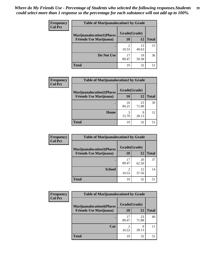| <b>Frequency</b> | <b>Table of Marijuanalocation1 by Grade</b> |              |             |              |
|------------------|---------------------------------------------|--------------|-------------|--------------|
| <b>Col Pct</b>   | <b>Marijuanalocation1(Places</b>            | Grade(Grade) |             |              |
|                  | <b>Friends Use Marijuana</b> )              | 10           | 12          | <b>Total</b> |
|                  | ٠                                           | ി<br>10.53   | 13<br>40.63 | 15           |
|                  | Do Not Use                                  | 17<br>89.47  | 19<br>59.38 | 36           |
|                  | Total                                       | 19           | 32          | 51           |

| <b>Frequency</b> | <b>Table of Marijuanalocation2 by Grade</b>                        |                    |             |              |
|------------------|--------------------------------------------------------------------|--------------------|-------------|--------------|
| <b>Col Pct</b>   | <b>Marijuanalocation2(Places</b><br><b>Friends Use Marijuana</b> ) | Grade(Grade)<br>10 | 12          | <b>Total</b> |
|                  |                                                                    | 16<br>84.21        | 23<br>71.88 | 39           |
|                  | <b>Home</b>                                                        | 3<br>15.79         | Q<br>28.13  | 12           |
|                  | <b>Total</b>                                                       | 19                 | 32          | 51           |

| Frequency<br><b>Col Pct</b> | <b>Table of Marijuanalocation3 by Grade</b> |              |             |              |
|-----------------------------|---------------------------------------------|--------------|-------------|--------------|
|                             | <b>Marijuanalocation3</b> (Places           | Grade(Grade) |             |              |
|                             | <b>Friends Use Marijuana</b> )              | <b>10</b>    | 12          | <b>Total</b> |
|                             |                                             | 17<br>89.47  | 20<br>62.50 | 37           |
|                             | <b>School</b>                               | 10.53        | 12<br>37.50 | 14           |
|                             | <b>Total</b>                                | 19           | 32          | 51           |

| Frequency      | <b>Table of Marijuanalocation4 by Grade</b> |              |             |              |  |
|----------------|---------------------------------------------|--------------|-------------|--------------|--|
| <b>Col Pct</b> | <b>Marijuanalocation4(Places</b>            | Grade(Grade) |             |              |  |
|                | <b>Friends Use Marijuana</b> )              | <b>10</b>    | 12          | <b>Total</b> |  |
|                |                                             | 17<br>89.47  | 23<br>71.88 | 40           |  |
|                | Car                                         | 10.53        | 9<br>28.13  |              |  |
|                | <b>Total</b>                                | 19           | 32          |              |  |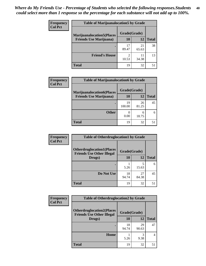| <b>Frequency</b> | <b>Table of Marijuanalocation5 by Grade</b> |              |             |              |
|------------------|---------------------------------------------|--------------|-------------|--------------|
| <b>Col Pct</b>   | <b>Marijuanalocation5(Places</b>            | Grade(Grade) |             |              |
|                  | <b>Friends Use Marijuana</b> )              | 10           | 12          | <b>Total</b> |
|                  |                                             | 17<br>89.47  | 21<br>65.63 | 38           |
|                  | <b>Friend's House</b>                       | っ<br>10.53   | 11<br>34.38 | 13           |
|                  | <b>Total</b>                                | 19           | 32          | 51           |

| <b>Frequency</b> | <b>Table of Marijuanalocation6 by Grade</b>                        |                           |             |              |
|------------------|--------------------------------------------------------------------|---------------------------|-------------|--------------|
| <b>Col Pct</b>   | <b>Marijuanalocation6(Places</b><br><b>Friends Use Marijuana</b> ) | Grade(Grade)<br><b>10</b> | 12          | <b>Total</b> |
|                  |                                                                    | 19<br>100.00              | 26<br>81.25 | 45           |
|                  | <b>Other</b>                                                       | 0.00                      | 6<br>18.75  | 6            |
|                  | <b>Total</b>                                                       | 19                        | 32          | 51           |

| <b>Frequency</b> | <b>Table of Otherdruglocation1 by Grade</b>                          |              |             |              |
|------------------|----------------------------------------------------------------------|--------------|-------------|--------------|
| <b>Col Pct</b>   | <b>Otherdruglocation1(Places</b><br><b>Friends Use Other Illegal</b> | Grade(Grade) |             |              |
|                  | Drugs)                                                               | 10           | 12          | <b>Total</b> |
|                  |                                                                      | 5.26         | 15.63       | 6            |
|                  | Do Not Use                                                           | 18<br>94.74  | 27<br>84.38 | 45           |
|                  | <b>Total</b>                                                         | 19           | 32          | 51           |

| Frequency<br><b>Col Pct</b>                                          | <b>Table of Otherdruglocation2 by Grade</b> |              |             |                |
|----------------------------------------------------------------------|---------------------------------------------|--------------|-------------|----------------|
| <b>Otherdruglocation2(Places</b><br><b>Friends Use Other Illegal</b> |                                             | Grade(Grade) |             |                |
|                                                                      | Drugs)                                      | 10           | 12          | <b>Total</b>   |
|                                                                      |                                             | 18<br>94.74  | 29<br>90.63 | 47             |
|                                                                      | Home                                        | 5.26         | 3<br>9.38   | $\overline{4}$ |
|                                                                      | <b>Total</b>                                | 19           | 32          | 51             |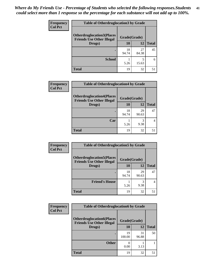| <b>Frequency</b> | <b>Table of Otherdruglocation 3 by Grade</b>                         |              |             |              |  |
|------------------|----------------------------------------------------------------------|--------------|-------------|--------------|--|
| <b>Col Pct</b>   | <b>Otherdruglocation3(Places</b><br><b>Friends Use Other Illegal</b> | Grade(Grade) |             |              |  |
|                  | Drugs)                                                               | 10           | 12          | <b>Total</b> |  |
|                  |                                                                      | 18<br>94.74  | 27<br>84.38 | 45           |  |
|                  | <b>School</b>                                                        | 5.26         | 15.63       | 6            |  |
|                  | <b>Total</b>                                                         | 19           | 32          |              |  |

| <b>Frequency</b> | <b>Table of Otherdruglocation4 by Grade</b>                          |              |             |              |
|------------------|----------------------------------------------------------------------|--------------|-------------|--------------|
| <b>Col Pct</b>   | <b>Otherdruglocation4(Places</b><br><b>Friends Use Other Illegal</b> | Grade(Grade) |             |              |
|                  | Drugs)                                                               | 10           | 12          | <b>Total</b> |
|                  |                                                                      | 18<br>94.74  | 29<br>90.63 | 47           |
|                  | Car                                                                  | 5.26         | 9.38        |              |
|                  | <b>Total</b>                                                         | 19           | 32          | 51           |

| Frequency      | <b>Table of Otherdruglocation5 by Grade</b>                          |              |             |              |
|----------------|----------------------------------------------------------------------|--------------|-------------|--------------|
| <b>Col Pct</b> | <b>Otherdruglocation5(Places</b><br><b>Friends Use Other Illegal</b> | Grade(Grade) |             |              |
|                | Drugs)                                                               | 10           | 12          | <b>Total</b> |
|                |                                                                      | 18<br>94.74  | 29<br>90.63 | 47           |
|                | <b>Friend's House</b>                                                | 5.26         | 3<br>9.38   | 4            |
|                | <b>Total</b>                                                         | 19           | 32          | 51           |

| <b>Frequency</b> | <b>Table of Otherdruglocation6 by Grade</b>                          |              |             |              |
|------------------|----------------------------------------------------------------------|--------------|-------------|--------------|
| <b>Col Pct</b>   | <b>Otherdruglocation6(Places</b><br><b>Friends Use Other Illegal</b> | Grade(Grade) |             |              |
|                  | Drugs)                                                               | <b>10</b>    | 12          | <b>Total</b> |
|                  |                                                                      | 19<br>100.00 | 31<br>96.88 | 50           |
|                  | <b>Other</b>                                                         | 0.00         | 3.13        |              |
|                  | <b>Total</b>                                                         | 19           | 32          | 51           |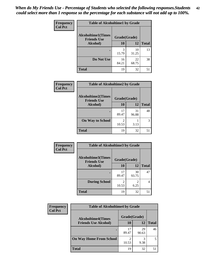| Frequency      | <b>Table of Alcoholtime1 by Grade</b>           |              |             |              |
|----------------|-------------------------------------------------|--------------|-------------|--------------|
| <b>Col Pct</b> | <b>Alcoholtime1(Times</b><br><b>Friends Use</b> | Grade(Grade) |             |              |
|                | Alcohol)                                        | 10           | <b>12</b>   | <b>Total</b> |
|                |                                                 | 3<br>15.79   | 10<br>31.25 | 13           |
|                | Do Not Use                                      | 16<br>84.21  | 22<br>68.75 | 38           |
|                | <b>Total</b>                                    | 19           | 32          | 51           |

| Frequency      | <b>Table of Alcoholtime2 by Grade</b>           |                         |             |              |
|----------------|-------------------------------------------------|-------------------------|-------------|--------------|
| <b>Col Pct</b> | <b>Alcoholtime2(Times</b><br><b>Friends Use</b> | Grade(Grade)            |             |              |
|                | Alcohol)                                        | 10                      | 12          | <b>Total</b> |
|                |                                                 | 17<br>89.47             | 31<br>96.88 | 48           |
|                | <b>On Way to School</b>                         | $\mathfrak{D}$<br>10.53 | 3.13        | 3            |
|                | <b>Total</b>                                    | 19                      | 32          | 51           |

| Frequency      | <b>Table of Alcoholtime3 by Grade</b>           |                         |             |              |
|----------------|-------------------------------------------------|-------------------------|-------------|--------------|
| <b>Col Pct</b> | <b>Alcoholtime3(Times</b><br><b>Friends Use</b> | Grade(Grade)            |             |              |
|                | Alcohol)                                        | 10                      | 12          | <b>Total</b> |
|                |                                                 | 17<br>89.47             | 30<br>93.75 | 47           |
|                | <b>During School</b>                            | $\mathfrak{D}$<br>10.53 | 2<br>6.25   | 4            |
|                | <b>Total</b>                                    | 19                      | 32          | 51           |

| <b>Frequency</b><br><b>Col Pct</b> | <b>Table of Alcoholtime4 by Grade</b> |              |             |              |
|------------------------------------|---------------------------------------|--------------|-------------|--------------|
|                                    | <b>Alcoholtime4(Times</b>             | Grade(Grade) |             |              |
|                                    | <b>Friends Use Alcohol)</b>           | 10           | 12          | <b>Total</b> |
|                                    |                                       | 17<br>89.47  | 29<br>90.63 | 46           |
|                                    | <b>On Way Home From School</b>        | 10.53        | 3<br>9.38   | 5            |
|                                    | <b>Total</b>                          | 19           | 32          | 51           |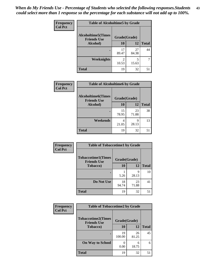*When do My Friends Use - Percentage of Students who selected the following responses.Students could select more than 1 response so the percentage for each substance will not add up to 100%.* **43**

| Frequency      | <b>Table of Alcoholtime5 by Grade</b>           |                         |             |              |
|----------------|-------------------------------------------------|-------------------------|-------------|--------------|
| <b>Col Pct</b> | <b>Alcoholtime5(Times</b><br><b>Friends Use</b> | Grade(Grade)            |             |              |
|                | Alcohol)                                        | 10                      | <b>12</b>   | <b>Total</b> |
|                |                                                 | 17<br>89.47             | 27<br>84.38 | 44           |
|                | Weeknights                                      | $\mathfrak{D}$<br>10.53 | 5<br>15.63  |              |
|                | <b>Total</b>                                    | 19                      | 32          | 51           |

| Frequency      | <b>Table of Alcoholtime6 by Grade</b>           |              |             |              |
|----------------|-------------------------------------------------|--------------|-------------|--------------|
| <b>Col Pct</b> | <b>Alcoholtime6(Times</b><br><b>Friends Use</b> | Grade(Grade) |             |              |
|                | Alcohol)                                        | 10           | 12          | <b>Total</b> |
|                |                                                 | 15<br>78.95  | 23<br>71.88 | 38           |
|                | Weekends                                        | 4<br>21.05   | 9<br>28.13  | 13           |
|                | <b>Total</b>                                    | 19           | 32          | 51           |

| Frequency      | <b>Table of Tobaccotime1 by Grade</b>           |              |             |              |  |
|----------------|-------------------------------------------------|--------------|-------------|--------------|--|
| <b>Col Pct</b> | <b>Tobaccotime1(Times</b><br><b>Friends Use</b> | Grade(Grade) |             |              |  |
|                | Tobacco)                                        | 10           | 12          | <b>Total</b> |  |
|                |                                                 | 5.26         | 9<br>28.13  | 10           |  |
|                | Do Not Use                                      | 18<br>94.74  | 23<br>71.88 | 41           |  |
|                | <b>Total</b>                                    | 19           | 32          | 51           |  |

| Frequency      | <b>Table of Tobaccotime2 by Grade</b>           |              |             |              |
|----------------|-------------------------------------------------|--------------|-------------|--------------|
| <b>Col Pct</b> | <b>Tobaccotime2(Times</b><br><b>Friends Use</b> | Grade(Grade) |             |              |
|                | <b>Tobacco</b> )                                | 10           | 12          | <b>Total</b> |
|                |                                                 | 19<br>100.00 | 26<br>81.25 | 45           |
|                | <b>On Way to School</b>                         | 0.00         | 6<br>18.75  | 6            |
|                | <b>Total</b>                                    | 19           | 32          | 51           |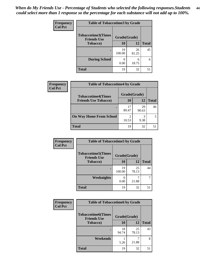| Frequency<br><b>Col Pct</b> | <b>Table of Tobaccotime3 by Grade</b>           |              |             |              |  |
|-----------------------------|-------------------------------------------------|--------------|-------------|--------------|--|
|                             | <b>Tobaccotime3(Times</b><br><b>Friends Use</b> | Grade(Grade) |             |              |  |
|                             | <b>Tobacco</b> )                                | 10           | 12          | <b>Total</b> |  |
|                             | $\bullet$                                       | 19<br>100.00 | 26<br>81.25 | 45           |  |
|                             | <b>During School</b>                            | 0.00         | 6<br>18.75  | 6            |  |
|                             | <b>Total</b>                                    | 19           | 32          | 51           |  |

| <b>Frequency</b> | <b>Table of Tobaccotime4 by Grade</b> |                        |             |              |
|------------------|---------------------------------------|------------------------|-------------|--------------|
| <b>Col Pct</b>   | <b>Tobaccotime4(Times</b>             | Grade(Grade)           |             |              |
|                  | <b>Friends Use Tobacco)</b>           | 10                     | 12          | <b>Total</b> |
|                  |                                       | 17<br>89.47            | 29<br>90.63 | 46           |
|                  | <b>On Way Home From School</b>        | $\mathcal{D}$<br>10.53 | 3<br>9.38   |              |
|                  | <b>Total</b>                          | 19                     | 32          | 51           |

| <b>Frequency</b> | <b>Table of Tobaccotime5 by Grade</b>            |              |             |              |
|------------------|--------------------------------------------------|--------------|-------------|--------------|
| <b>Col Pct</b>   | <b>Tobaccotime5</b> (Times<br><b>Friends Use</b> | Grade(Grade) |             |              |
|                  | <b>Tobacco</b> )                                 | 10           | 12          | <b>Total</b> |
|                  |                                                  | 19<br>100.00 | 25<br>78.13 | 44           |
|                  | Weeknights                                       | 0.00         | 21.88       | 7            |
|                  | <b>Total</b>                                     | 19           | 32          | 51           |

| Frequency        | <b>Table of Tobaccotime6 by Grade</b>           |              |              |    |  |
|------------------|-------------------------------------------------|--------------|--------------|----|--|
| <b>Col Pct</b>   | <b>Tobaccotime6(Times</b><br><b>Friends Use</b> | Grade(Grade) |              |    |  |
| <b>Tobacco</b> ) | 10                                              | <b>12</b>    | <b>Total</b> |    |  |
|                  |                                                 | 18<br>94.74  | 25<br>78.13  | 43 |  |
|                  | Weekends                                        | 5.26         | 21.88        | 8  |  |
|                  | <b>Total</b>                                    | 19           | 32           | 51 |  |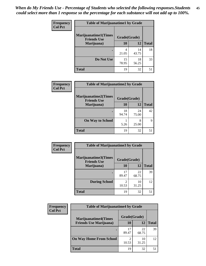| Frequency      | <b>Table of Marijuanatime1 by Grade</b>           |              |             |              |
|----------------|---------------------------------------------------|--------------|-------------|--------------|
| <b>Col Pct</b> | <b>Marijuanatime1(Times</b><br><b>Friends Use</b> | Grade(Grade) |             |              |
|                | Marijuana)                                        | 10           | 12          | <b>Total</b> |
|                |                                                   | 4<br>21.05   | 14<br>43.75 | 18           |
|                | Do Not Use                                        | 15<br>78.95  | 18<br>56.25 | 33           |
|                | <b>Total</b>                                      | 19           | 32          | 51           |

| Frequency      | <b>Table of Marijuanatime2 by Grade</b>           |              |             |              |
|----------------|---------------------------------------------------|--------------|-------------|--------------|
| <b>Col Pct</b> | <b>Marijuanatime2(Times</b><br><b>Friends Use</b> | Grade(Grade) |             |              |
|                | Marijuana)                                        | 10           | 12          | <b>Total</b> |
|                |                                                   | 18<br>94.74  | 24<br>75.00 | 42           |
|                | <b>On Way to School</b>                           | 5.26         | 8<br>25.00  | 9            |
|                | <b>Total</b>                                      | 19           | 32          | 51           |

| <b>Frequency</b> | <b>Table of Marijuanatime3 by Grade</b>    |              |             |              |
|------------------|--------------------------------------------|--------------|-------------|--------------|
| <b>Col Pct</b>   | Marijuanatime3(Times<br><b>Friends Use</b> | Grade(Grade) |             |              |
|                  | Marijuana)                                 | 10           | 12          | <b>Total</b> |
|                  |                                            | 17<br>89.47  | 22<br>68.75 | 39           |
|                  | <b>During School</b>                       | 2<br>10.53   | 10<br>31.25 | 12           |
|                  | <b>Total</b>                               | 19           | 32          | 51           |

| <b>Frequency</b><br><b>Col Pct</b> | <b>Table of Marijuanatime4 by Grade</b> |              |             |              |
|------------------------------------|-----------------------------------------|--------------|-------------|--------------|
|                                    | <b>Marijuanatime4(Times</b>             | Grade(Grade) |             |              |
|                                    | <b>Friends Use Marijuana</b> )          | 10           | 12          | <b>Total</b> |
|                                    |                                         | 17<br>89.47  | 22<br>68.75 | 39           |
|                                    | <b>On Way Home From School</b>          | 10.53        | 10<br>31.25 | 12           |
|                                    | <b>Total</b>                            | 19           | 32          | 51           |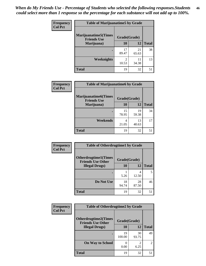| Frequency      | <b>Table of Marijuanatime5 by Grade</b>            |                                   |             |              |
|----------------|----------------------------------------------------|-----------------------------------|-------------|--------------|
| <b>Col Pct</b> | <b>Marijuanatime5</b> (Times<br><b>Friends Use</b> | Grade(Grade)                      |             |              |
|                | Marijuana)                                         | 10                                | 12          | <b>Total</b> |
|                |                                                    | 17<br>89.47                       | 21<br>65.63 | 38           |
|                | Weeknights                                         | $\overline{\mathcal{L}}$<br>10.53 | 11<br>34.38 | 13           |
|                | <b>Total</b>                                       | 19                                | 32          | 51           |

| Frequency      | <b>Table of Marijuanatime6 by Grade</b>            |              |             |              |  |
|----------------|----------------------------------------------------|--------------|-------------|--------------|--|
| <b>Col Pct</b> | <b>Marijuanatime6</b> (Times<br><b>Friends Use</b> | Grade(Grade) |             |              |  |
|                | Marijuana)                                         | 10           | 12          | <b>Total</b> |  |
|                |                                                    | 15<br>78.95  | 19<br>59.38 | 34           |  |
|                | <b>Weekends</b>                                    | 4<br>21.05   | 13<br>40.63 | 17           |  |
|                | <b>Total</b>                                       | 19           | 32          | 51           |  |

| <b>Frequency</b> | <b>Table of Otherdrugtime1 by Grade</b>                  |              |             |              |
|------------------|----------------------------------------------------------|--------------|-------------|--------------|
| <b>Col Pct</b>   | <b>Otherdrugtime1</b> (Times<br><b>Friends Use Other</b> | Grade(Grade) |             |              |
|                  | <b>Illegal Drugs</b> )                                   | 10           | 12          | <b>Total</b> |
|                  |                                                          | 5.26         | 4<br>12.50  | 5            |
|                  | Do Not Use                                               | 18<br>94.74  | 28<br>87.50 | 46           |
|                  | <b>Total</b>                                             | 19           | 32          | 51           |

| <b>Frequency</b><br><b>Col Pct</b> | <b>Table of Otherdrugtime2 by Grade</b>                 |              |             |                |
|------------------------------------|---------------------------------------------------------|--------------|-------------|----------------|
|                                    | <b>Otherdrugtime2(Times</b><br><b>Friends Use Other</b> | Grade(Grade) |             |                |
|                                    | <b>Illegal Drugs</b> )                                  | 10           | 12          | <b>Total</b>   |
|                                    |                                                         | 19<br>100.00 | 30<br>93.75 | 49             |
|                                    | <b>On Way to School</b>                                 | 0.00         | 2<br>6.25   | $\overline{2}$ |
|                                    | <b>Total</b>                                            | 19           | 32          | 51             |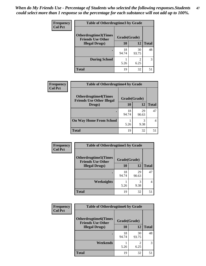| <b>Frequency</b> | <b>Table of Otherdrugtime3 by Grade</b>          |              |                        |              |
|------------------|--------------------------------------------------|--------------|------------------------|--------------|
| <b>Col Pct</b>   | Otherdrugtime3(Times<br><b>Friends Use Other</b> | Grade(Grade) |                        |              |
|                  | <b>Illegal Drugs</b> )                           | 10           | 12                     | <b>Total</b> |
|                  |                                                  | 18<br>94.74  | 30<br>93.75            | 48           |
|                  | <b>During School</b>                             | 5.26         | $\mathfrak{D}$<br>6.25 | 3            |
|                  | <b>Total</b>                                     | 19           | 32                     | 51           |

| Frequency      | <b>Table of Otherdrugtime4 by Grade</b>                         |              |             |              |
|----------------|-----------------------------------------------------------------|--------------|-------------|--------------|
| <b>Col Pct</b> | <b>Otherdrugtime4(Times</b><br><b>Friends Use Other Illegal</b> | Grade(Grade) |             |              |
|                | Drugs)                                                          | 10           | 12          | <b>Total</b> |
|                | ٠                                                               | 18<br>94.74  | 29<br>90.63 | 47           |
|                | <b>On Way Home From School</b>                                  | 5.26         | 3<br>9.38   |              |
|                | <b>Total</b>                                                    | 19           | 32          |              |

| <b>Frequency</b> | <b>Table of Otherdrugtime5 by Grade</b>                  |              |             |              |
|------------------|----------------------------------------------------------|--------------|-------------|--------------|
| <b>Col Pct</b>   | <b>Otherdrugtime5</b> (Times<br><b>Friends Use Other</b> | Grade(Grade) |             |              |
|                  | <b>Illegal Drugs</b> )                                   | 10           | 12          | <b>Total</b> |
|                  |                                                          | 18<br>94.74  | 29<br>90.63 | 47           |
|                  | Weeknights                                               | 5.26         | 3<br>9.38   | 4            |
|                  | <b>Total</b>                                             | 19           | 32          | 51           |

| <b>Frequency</b> | <b>Table of Otherdrugtime6 by Grade</b>                 |              |             |              |
|------------------|---------------------------------------------------------|--------------|-------------|--------------|
| <b>Col Pct</b>   | <b>Otherdrugtime6(Times</b><br><b>Friends Use Other</b> | Grade(Grade) |             |              |
|                  | <b>Illegal Drugs</b> )                                  | 10           | 12          | <b>Total</b> |
|                  |                                                         | 18<br>94.74  | 30<br>93.75 | 48           |
|                  | Weekends                                                | 5.26         | 2<br>6.25   | 3            |
|                  | Total                                                   | 19           | 32          | 51           |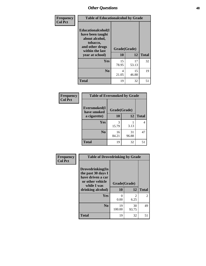| Frequency      | <b>Table of Educationalcohol by Grade</b>                                                                  |              |             |              |
|----------------|------------------------------------------------------------------------------------------------------------|--------------|-------------|--------------|
| <b>Col Pct</b> | Educationalcohol(I<br>have been taught<br>about alcohol,<br>tobacco,<br>and other drugs<br>within the last | Grade(Grade) |             |              |
|                | year at school)                                                                                            | 10           | 12          | <b>Total</b> |
|                | Yes                                                                                                        | 15<br>78.95  | 17<br>53.13 | 32           |
|                | N <sub>0</sub>                                                                                             | 4<br>21.05   | 15<br>46.88 | 19           |
|                | <b>Total</b>                                                                                               | 19           | 32          | 51           |

| Frequency      | <b>Table of Eversmoked by Grade</b> |              |             |              |
|----------------|-------------------------------------|--------------|-------------|--------------|
| <b>Col Pct</b> | Eversmoked(I<br>have smoked         | Grade(Grade) |             |              |
|                | a cigarette)                        | 10           | 12          | <b>Total</b> |
|                | <b>Yes</b>                          | 3<br>15.79   | 3.13        | 4            |
|                | N <sub>0</sub>                      | 16<br>84.21  | 31<br>96.88 | 47           |
|                | <b>Total</b>                        | 19           | 32          | 51           |

| Frequency      | <b>Table of Drovedrinking by Grade</b>                                                                              |                      |                        |              |
|----------------|---------------------------------------------------------------------------------------------------------------------|----------------------|------------------------|--------------|
| <b>Col Pct</b> | Drovedrinking(In<br>the past 30 days I<br>have driven a car<br>or other vehicle<br>while I was<br>drinking alcohol) | Grade(Grade)<br>10   | 12                     | <b>Total</b> |
|                | <b>Yes</b>                                                                                                          | $\mathbf{0}$<br>0.00 | $\mathfrak{D}$<br>6.25 | 2            |
|                | N <sub>0</sub>                                                                                                      | 19<br>100.00         | 30<br>93.75            | 49           |
|                | <b>Total</b>                                                                                                        | 19                   | 32                     | 51           |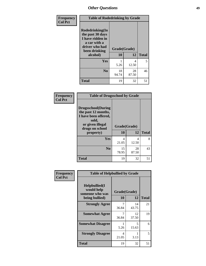| Frequency      | <b>Table of Rodedrinking by Grade</b>                                                                      |              |             |              |  |  |
|----------------|------------------------------------------------------------------------------------------------------------|--------------|-------------|--------------|--|--|
| <b>Col Pct</b> | Rodedrinking(In<br>the past 30 days<br>I have ridden in<br>a car with a<br>driver who had<br>been drinking | Grade(Grade) |             |              |  |  |
|                | alcohol)                                                                                                   | 10           | 12          | <b>Total</b> |  |  |
|                | <b>Yes</b>                                                                                                 | 5.26         | 4<br>12.50  | 5            |  |  |
|                | N <sub>0</sub>                                                                                             | 18<br>94.74  | 28<br>87.50 | 46           |  |  |
|                | <b>Total</b>                                                                                               | 19           | 32          | 51           |  |  |

## **Frequency Col Pct**

| <b>Table of Drugsschool by Grade</b>                                                                                      |              |             |              |  |  |  |
|---------------------------------------------------------------------------------------------------------------------------|--------------|-------------|--------------|--|--|--|
| <b>Drugsschool</b> (During<br>the past 12 months,<br>I have been offered,<br>sold,<br>or given illegal<br>drugs on school | Grade(Grade) |             |              |  |  |  |
| property)                                                                                                                 | 10           | 12          | <b>Total</b> |  |  |  |
| Yes                                                                                                                       | 4<br>21.05   | 4<br>12.50  | 8            |  |  |  |
| N <sub>0</sub>                                                                                                            | 15<br>78.95  | 28<br>87.50 | 43           |  |  |  |
| <b>Total</b>                                                                                                              | 19           | 32          | 51           |  |  |  |

| Frequency      | <b>Table of Helpbullied by Grade</b>                                   |            |                    |              |
|----------------|------------------------------------------------------------------------|------------|--------------------|--------------|
| <b>Col Pct</b> | $Helpb$ ullied $(I$<br>would help<br>someone who was<br>being bullied) | 10         | Grade(Grade)<br>12 | <b>Total</b> |
|                | <b>Strongly Agree</b>                                                  | 7          | 14                 | 21           |
|                |                                                                        | 36.84      | 43.75              |              |
|                | <b>Somewhat Agree</b>                                                  | 36.84      | 12<br>37.50        | 19           |
|                | <b>Somewhat Disagree</b>                                               | 5.26       | 5<br>15.63         | 6            |
|                | <b>Strongly Disagree</b>                                               | 4<br>21.05 | 3.13               | 5            |
|                | <b>Total</b>                                                           | 19         | 32                 | 51           |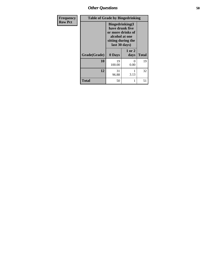*Other Questions* **50**

| <b>Frequency</b> |              | <b>Table of Grade by Bingedrinking</b>                                                                                   |                           |              |
|------------------|--------------|--------------------------------------------------------------------------------------------------------------------------|---------------------------|--------------|
| <b>Row Pct</b>   |              | <b>Bingedrinking</b> (I<br>have drunk five<br>or more drinks of<br>alcohol at one<br>sitting during the<br>last 30 days) |                           |              |
|                  | Grade(Grade) | 0 Days                                                                                                                   | 1 or 2<br>days            | <b>Total</b> |
|                  | 10           | 19<br>100.00                                                                                                             | $\mathbf{\Omega}$<br>0.00 | 19           |
|                  | 12           | 31<br>96.88                                                                                                              | 3.13                      | 32           |
|                  | <b>Total</b> | 50                                                                                                                       |                           | 51           |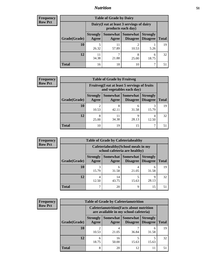## *Nutrition* **51**

| <b>Frequency</b> |
|------------------|
| Row Pct          |

| <b>Table of Grade by Dairy</b> |                          |                                                                 |                               |                                    |              |
|--------------------------------|--------------------------|-----------------------------------------------------------------|-------------------------------|------------------------------------|--------------|
|                                |                          | Dairy (I eat at least 3 servings of dairy<br>products each day) |                               |                                    |              |
| Grade(Grade)                   | <b>Strongly</b><br>Agree | Agree                                                           | Somewhat Somewhat<br>Disagree | <b>Strongly</b><br><b>Disagree</b> | <b>Total</b> |
| 10                             | 5<br>26.32               | 11<br>57.89                                                     | 2<br>10.53                    | 5.26                               | 19           |
| 12                             | 11<br>34.38              | ┑<br>21.88                                                      | 8<br>25.00                    | 6<br>18.75                         | 32           |
| <b>Total</b>                   | 16                       | 18                                                              | 10                            |                                    | 51           |

| <b>Frequency</b> |  |
|------------------|--|
| <b>Row Pct</b>   |  |

| y | <b>Table of Grade by Fruitveg</b> |                          |                                                                          |                             |                                    |              |
|---|-----------------------------------|--------------------------|--------------------------------------------------------------------------|-----------------------------|------------------------------------|--------------|
|   |                                   |                          | Fruitveg(I eat at least 5 servings of fruits<br>and vegetables each day) |                             |                                    |              |
|   | Grade(Grade)                      | <b>Strongly</b><br>Agree | Somewhat  <br>Agree                                                      | <b>Somewhat</b><br>Disagree | <b>Strongly</b><br><b>Disagree</b> | <b>Total</b> |
|   | <b>10</b>                         | 10.53                    | 8<br>42.11                                                               | 6<br>31.58                  | 15.79                              | 19           |
|   | 12                                | 8<br>25.00               | 11<br>34.38                                                              | q<br>28.13                  | 4<br>12.50                         | 32           |
|   | <b>Total</b>                      | 10                       | 19                                                                       | 15                          |                                    | 51           |

| <b>Frequency</b> |
|------------------|
| <b>Row Pct</b>   |

 $\blacksquare$ 

| <b>Table of Grade by Cafeteriahealthy</b> |                          |                                                                       |                 |                                        |              |
|-------------------------------------------|--------------------------|-----------------------------------------------------------------------|-----------------|----------------------------------------|--------------|
|                                           |                          | Cafeteriahealthy (School meals in my<br>school cafeteria are healthy) |                 |                                        |              |
| Grade(Grade)                              | <b>Strongly</b><br>Agree | Somewhat<br>Agree                                                     | <b>Somewhat</b> | <b>Strongly</b><br>Disagree   Disagree | <b>Total</b> |
| 10                                        | 3<br>15.79               | 6<br>31.58                                                            | 21.05           | 6<br>31.58                             | 19           |
| 12                                        | 4<br>12.50               | 14<br>43.75                                                           | 5<br>15.63      | Q<br>28.13                             | 32           |
| <b>Total</b>                              |                          | 20                                                                    | q               | 15                                     |              |

| <b>Frequency</b> |
|------------------|
| <b>Row Pct</b>   |

| <b>Table of Grade by Cafeterianutrition</b> |                          |                                                                                           |                                    |                                    |              |
|---------------------------------------------|--------------------------|-------------------------------------------------------------------------------------------|------------------------------------|------------------------------------|--------------|
|                                             |                          | <b>Cafeterianutrition</b> (Facts about nutrition<br>are available in my school cafeteria) |                                    |                                    |              |
| Grade(Grade)                                | <b>Strongly</b><br>Agree | Somewhat  <br>Agree                                                                       | <b>Somewhat</b><br><b>Disagree</b> | <b>Strongly</b><br><b>Disagree</b> | <b>Total</b> |
| 10                                          | ി<br>10.53               | 4<br>21.05                                                                                | 36.84                              | 6<br>31.58                         | 19           |
| 12                                          | 6<br>18.75               | 16<br>50.00                                                                               | 15.63                              | 5<br>15.63                         | 32           |
| <b>Total</b>                                | 8                        | 20                                                                                        | 12                                 | 11                                 | 51           |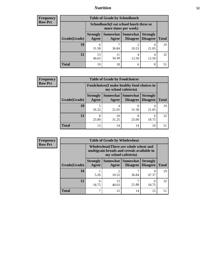# *Nutrition* **52**

| Frequency      |
|----------------|
| <b>Row Pct</b> |

| <b>Table of Grade by Schoollunch</b> |                                                                                                                              |                                                                 |            |            |    |  |
|--------------------------------------|------------------------------------------------------------------------------------------------------------------------------|-----------------------------------------------------------------|------------|------------|----|--|
|                                      |                                                                                                                              | Schoollunch(I eat school lunch three or<br>more times per week) |            |            |    |  |
| Grade(Grade)                         | Somewhat   Somewhat  <br><b>Strongly</b><br><b>Strongly</b><br><b>Disagree</b><br>Agree<br>Disagree<br><b>Total</b><br>Agree |                                                                 |            |            |    |  |
| 10                                   | 6<br>31.58                                                                                                                   | 36.84                                                           | ി<br>10.53 | 4<br>21.05 | 19 |  |
| 12                                   | 13<br>40.63                                                                                                                  | 34.38                                                           | 4<br>12.50 | 4<br>12.50 | 32 |  |
| <b>Total</b>                         | 19                                                                                                                           | 18                                                              | 6          | 8          | 51 |  |

| <b>Frequency</b> |  |
|------------------|--|
| <b>Row Pct</b>   |  |

| <b>y</b> | <b>Table of Grade by Foodchoices</b> |                                                                                                             |             |            |            |    |  |
|----------|--------------------------------------|-------------------------------------------------------------------------------------------------------------|-------------|------------|------------|----|--|
|          |                                      | Foodchoices (I make healthy food choices in                                                                 |             |            |            |    |  |
|          | Grade(Grade)                         | Somewhat   Somewhat  <br><b>Strongly</b><br><b>Strongly</b><br>Agree<br><b>Disagree</b>   Disagree<br>Agree |             |            |            |    |  |
|          | 10                                   | 26.32                                                                                                       | 4<br>21.05  | h<br>31.58 | 4<br>21.05 | 19 |  |
|          | 12                                   | 8<br>25.00                                                                                                  | 10<br>31.25 | 8<br>25.00 | 6<br>18.75 | 32 |  |
|          | <b>Total</b>                         | 13                                                                                                          | 14          | 14         | 10         | 51 |  |

| Frequency      | <b>Table of Grade by Wholewheat</b> |                                                                                                             |                         |                             |                                    |              |  |  |  |
|----------------|-------------------------------------|-------------------------------------------------------------------------------------------------------------|-------------------------|-----------------------------|------------------------------------|--------------|--|--|--|
| <b>Row Pct</b> |                                     | Wholewheat (There are whole wheat and<br>multigrain breads and cereals available in<br>my school cafeteria) |                         |                             |                                    |              |  |  |  |
|                | Grade(Grade)                        | <b>Strongly</b><br>Agree                                                                                    | Somewhat  <br>Agree     | <b>Somewhat</b><br>Disagree | <b>Strongly</b><br><b>Disagree</b> | <b>Total</b> |  |  |  |
|                | 10                                  | 5.26                                                                                                        | $\overline{2}$<br>10.53 | 36.84                       | Q<br>47.37                         | 19           |  |  |  |
|                | 12                                  | 6<br>18.75                                                                                                  | 13<br>40.63             | 21.88                       | 6<br>18.75                         | 32           |  |  |  |
|                | <b>Total</b>                        | −                                                                                                           | 15                      | 14                          | 15                                 | 51           |  |  |  |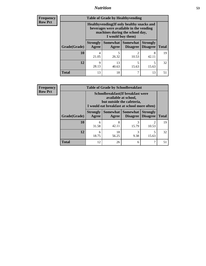## *Nutrition* **53**

**Frequency Row Pct**

| <b>Table of Grade by Healthyvending</b> |                                                                                                                                               |                     |                             |                                    |              |  |  |
|-----------------------------------------|-----------------------------------------------------------------------------------------------------------------------------------------------|---------------------|-----------------------------|------------------------------------|--------------|--|--|
|                                         | Healthyvending (If only healthy snacks and<br>beverages were available in the vending<br>machines during the school day,<br>I would buy them) |                     |                             |                                    |              |  |  |
| Grade(Grade)                            | <b>Strongly</b><br>Agree                                                                                                                      | Somewhat  <br>Agree | <b>Somewhat</b><br>Disagree | <b>Strongly</b><br><b>Disagree</b> | <b>Total</b> |  |  |
| 10                                      | 4<br>21.05                                                                                                                                    | 26.32               | 2<br>10.53                  | 8<br>42.11                         | 19           |  |  |
| 12                                      | Q<br>28.13                                                                                                                                    | 13<br>40.63         | 5<br>15.63                  | 5<br>15.63                         | 32           |  |  |
| <b>Total</b>                            | 13                                                                                                                                            | 18                  | 7                           | 13                                 | 51           |  |  |

**Frequency Row Pct**

| <b>Table of Grade by Schoolbreakfast</b> |                                                                                                                                         |             |                                 |                                    |              |  |  |
|------------------------------------------|-----------------------------------------------------------------------------------------------------------------------------------------|-------------|---------------------------------|------------------------------------|--------------|--|--|
|                                          | Schoolbreakfast (If breakfast were<br>available at school,<br>but outside the cafeteria,<br>I would eat breakfast at school more often) |             |                                 |                                    |              |  |  |
| Grade(Grade)                             | <b>Strongly</b><br>Agree                                                                                                                | Agree       | Somewhat   Somewhat<br>Disagree | <b>Strongly</b><br><b>Disagree</b> | <b>Total</b> |  |  |
| 10                                       | 6<br>31.58                                                                                                                              | 8<br>42.11  | 3<br>15.79                      | っ<br>10.53                         | 19           |  |  |
| 12                                       | 6<br>18.75                                                                                                                              | 18<br>56.25 | 3<br>9.38                       | 5<br>15.63                         | 32           |  |  |
| <b>Total</b>                             | 12                                                                                                                                      | 26          | 6                               | 7                                  | 51           |  |  |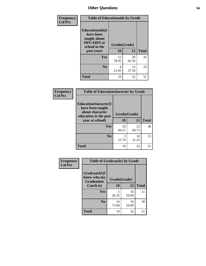| Frequency<br><b>Col Pct</b> | <b>Table of Educationaids by Grade</b>                                                                    |                    |             |              |  |
|-----------------------------|-----------------------------------------------------------------------------------------------------------|--------------------|-------------|--------------|--|
|                             | <b>Educationaids</b> (I<br>have been<br>taught about<br><b>HIV/AIDS</b> at<br>school in the<br>past year) | Grade(Grade)<br>10 | 12          | <b>Total</b> |  |
|                             | Yes                                                                                                       | 15<br>78.95        | 20<br>62.50 | 35           |  |
|                             | N <sub>0</sub>                                                                                            | 4<br>21.05         | 12<br>37.50 | 16           |  |
|                             | <b>Total</b>                                                                                              | 19                 | 32          | 51           |  |

| Frequency      | <b>Table of Educationcharacter by Grade</b>                 |              |             |              |  |  |
|----------------|-------------------------------------------------------------|--------------|-------------|--------------|--|--|
| <b>Col Pct</b> | Educationcharacter(I<br>have been taught<br>about character |              |             |              |  |  |
|                | education in the past                                       | Grade(Grade) |             |              |  |  |
|                | year at school)                                             | 10           | 12          | <b>Total</b> |  |  |
|                | Yes                                                         | 16<br>84.21  | 22<br>68.75 | 38           |  |  |
|                | N <sub>0</sub>                                              | 3<br>15.79   | 10<br>31.25 | 13           |  |  |
|                | <b>Total</b>                                                | 19           | 32          | 51           |  |  |

| <b>Frequency</b> | <b>Table of Gradcoach1 by Grade</b> |              |             |              |
|------------------|-------------------------------------|--------------|-------------|--------------|
| <b>Col Pct</b>   | Gradcoach1(I<br>know who my         | Grade(Grade) |             |              |
|                  | <b>Graduation</b><br>Coach is)      | 10           | 12          | <b>Total</b> |
|                  | Yes                                 | 5<br>26.32   | 16<br>50.00 | 21           |
|                  | N <sub>0</sub>                      | 14<br>73.68  | 16<br>50.00 | 30           |
|                  | <b>Total</b>                        | 19           | 32          | 51           |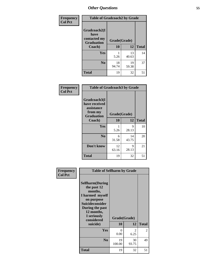| Frequency      | <b>Table of Gradcoach2 by Grade</b> |              |             |              |
|----------------|-------------------------------------|--------------|-------------|--------------|
| <b>Col Pct</b> |                                     |              |             |              |
|                | Gradcoach2(I<br>have                |              |             |              |
|                | contacted my<br><b>Graduation</b>   | Grade(Grade) |             |              |
|                | Coach)                              | 10           | 12          | <b>Total</b> |
|                | Yes                                 | 5.26         | 13<br>40.63 | 14           |
|                | N <sub>0</sub>                      | 18<br>94.74  | 19<br>59.38 | 37           |
|                | <b>Total</b>                        | 19           | 32          | 51           |

| <b>Frequency</b><br><b>Col Pct</b> | <b>Table of Gradcoach3 by Grade</b>                                         |              |             |              |
|------------------------------------|-----------------------------------------------------------------------------|--------------|-------------|--------------|
|                                    | Gradcoach3(I<br>have received<br>assistance<br>from my<br><b>Graduation</b> | Grade(Grade) |             |              |
|                                    | Coach)                                                                      | 10           | 12          | <b>Total</b> |
|                                    | Yes                                                                         | 5.26         | 9<br>28.13  | 10           |
|                                    | N <sub>0</sub>                                                              | 6<br>31.58   | 14<br>43.75 | 20           |
|                                    | Don't know                                                                  | 12<br>63.16  | 9<br>28.13  | 21           |
|                                    | <b>Total</b>                                                                | 19           | 32          | 51           |

| Frequency      | <b>Table of Selfharm by Grade</b>                                                                                                                                                      |              |                                     |              |
|----------------|----------------------------------------------------------------------------------------------------------------------------------------------------------------------------------------|--------------|-------------------------------------|--------------|
| <b>Col Pct</b> | <b>Selfharm</b> (During<br>the past 12<br>months,<br>I harmed myself<br>on purpose<br><b>Suicideconsider</b><br>During the past<br>12 months,<br>I seriously<br>considered<br>suicide) | 10           | Grade(Grade)<br>12                  | <b>Total</b> |
|                | Yes                                                                                                                                                                                    | 0<br>0.00    | $\mathcal{D}_{\mathcal{L}}$<br>6.25 | 2            |
|                | N <sub>0</sub>                                                                                                                                                                         | 19<br>100.00 | 30<br>93.75                         | 49           |
|                | Total                                                                                                                                                                                  | 19           | 32                                  | 51           |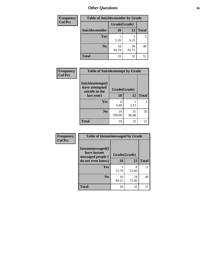| <b>Frequency</b> | <b>Table of Suicideconsider by Grade</b> |              |             |              |  |  |  |
|------------------|------------------------------------------|--------------|-------------|--------------|--|--|--|
| <b>Col Pct</b>   |                                          | Grade(Grade) |             |              |  |  |  |
|                  | Suicideconsider                          | <b>10</b>    | 12          | <b>Total</b> |  |  |  |
|                  | Yes                                      | 5.26         | 6.25        | 3            |  |  |  |
|                  | N <sub>0</sub>                           | 18<br>94.74  | 30<br>93.75 | 48           |  |  |  |
|                  | <b>Total</b>                             | 19           | 32          | 51           |  |  |  |

| Frequency      | <b>Table of Suicideattempt by Grade</b>              |              |             |              |
|----------------|------------------------------------------------------|--------------|-------------|--------------|
| <b>Col Pct</b> | Suicideattempt(I<br>have attempted<br>suicide in the | Grade(Grade) |             |              |
|                | last year)                                           | <b>10</b>    | 12          | <b>Total</b> |
|                | Yes                                                  | 0<br>0.00    | 3.13        |              |
|                | No.                                                  | 19<br>100.00 | 31<br>96.88 | 50           |
|                | <b>Total</b>                                         | 19           | 32          | 51           |

| Frequency      | <b>Table of Instantmessaged by Grade</b>               |              |             |              |
|----------------|--------------------------------------------------------|--------------|-------------|--------------|
| <b>Col Pct</b> | Instantmessaged(I<br>have instant<br>messaged people I | Grade(Grade) |             |              |
|                | do not even know)                                      | 10           | 12          | <b>Total</b> |
|                | Yes                                                    | 3<br>15.79   | 8<br>25.00  | 11           |
|                | N <sub>0</sub>                                         | 16<br>84.21  | 24<br>75.00 | 40           |
|                | <b>Total</b>                                           | 19           | 32          | 51           |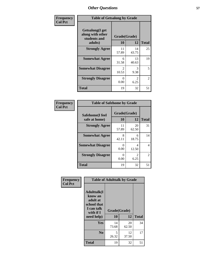| Frequency      | <b>Table of Getsalong by Grade</b>                  |              |             |              |  |  |  |  |
|----------------|-----------------------------------------------------|--------------|-------------|--------------|--|--|--|--|
| <b>Col Pct</b> | Getsalong(I get<br>along with other<br>students and | Grade(Grade) |             |              |  |  |  |  |
|                | adults)                                             | 10           | 12          | <b>Total</b> |  |  |  |  |
|                | <b>Strongly Agree</b>                               | 11<br>57.89  | 14<br>43.75 | 25           |  |  |  |  |
|                | <b>Somewhat Agree</b>                               | 6<br>31.58   | 13<br>40.63 | 19           |  |  |  |  |
|                | <b>Somewhat Disagree</b>                            | 2<br>10.53   | 3<br>9.38   | 5            |  |  |  |  |
|                | <b>Strongly Disagree</b>                            | 0<br>0.00    | 2<br>6.25   | 2            |  |  |  |  |
|                | <b>Total</b>                                        | 19           | 32          | 51           |  |  |  |  |

| Frequency      | <b>Table of Safehome by Grade</b> |                    |              |    |  |  |  |  |
|----------------|-----------------------------------|--------------------|--------------|----|--|--|--|--|
| <b>Col Pct</b> | Safehome(I feel<br>safe at home)  | Grade(Grade)<br>10 | <b>Total</b> |    |  |  |  |  |
|                | <b>Strongly Agree</b>             | 11<br>57.89        | 20<br>62.50  | 31 |  |  |  |  |
|                | <b>Somewhat Agree</b>             | 8<br>42.11         | 6<br>18.75   | 14 |  |  |  |  |
|                | <b>Somewhat Disagree</b>          | 0<br>0.00          | 4<br>12.50   | 4  |  |  |  |  |
|                | <b>Strongly Disagree</b>          | 0<br>0.00          | 6.25         | 2  |  |  |  |  |
|                | <b>Total</b>                      | 19                 | 32           | 51 |  |  |  |  |

| Frequency      | <b>Table of Adulttalk by Grade</b>                                                                |                    |             |              |  |  |  |
|----------------|---------------------------------------------------------------------------------------------------|--------------------|-------------|--------------|--|--|--|
| <b>Col Pct</b> | <b>Adulttalk(I</b><br>know an<br>adult at<br>school that<br>I can talk<br>with if I<br>need help) | Grade(Grade)<br>10 | 12          | <b>Total</b> |  |  |  |
|                |                                                                                                   |                    |             |              |  |  |  |
|                | <b>Yes</b>                                                                                        | 14<br>73.68        | 20<br>62.50 | 34           |  |  |  |
|                | N <sub>0</sub>                                                                                    | 5<br>26.32         | 12<br>37.50 | 17           |  |  |  |
|                | <b>Total</b>                                                                                      | 19                 | 32          | 51           |  |  |  |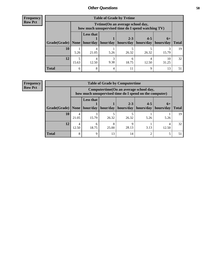**Frequency Row Pct**

| <b>Table of Grade by Tytime</b>                                               |       |                                                                                         |      |       |       |             |              |  |  |  |
|-------------------------------------------------------------------------------|-------|-----------------------------------------------------------------------------------------|------|-------|-------|-------------|--------------|--|--|--|
|                                                                               |       | Tytime (On an average school day,<br>how much unsupervised time do I spend watching TV) |      |       |       |             |              |  |  |  |
|                                                                               |       | <b>Less that</b><br>$2 - 3$<br>$4 - 5$<br>$6+$                                          |      |       |       |             |              |  |  |  |
| Grade(Grade)   None   hour/day   hour/day   hours/day   hours/day   hours/day |       |                                                                                         |      |       |       |             | <b>Total</b> |  |  |  |
| 10                                                                            | 5.26  | 4<br>21.05                                                                              | 5.26 | 26.32 | 26.32 | 15.79       | 19           |  |  |  |
| 12                                                                            | 15.63 | 4<br>12.50                                                                              | 9.38 | 18.75 | 12.50 | 10<br>31.25 | 32           |  |  |  |
| <b>Total</b>                                                                  | 6     | 8                                                                                       |      |       | Q     | 13          |              |  |  |  |

**Frequency Row Pct**

| <b>Table of Grade by Computertime</b> |            |                                                                                                   |                     |                                    |         |                   |              |  |  |  |
|---------------------------------------|------------|---------------------------------------------------------------------------------------------------|---------------------|------------------------------------|---------|-------------------|--------------|--|--|--|
|                                       |            | Computertime (On an average school day,<br>how much unsupervised time do I spend on the computer) |                     |                                    |         |                   |              |  |  |  |
| Grade(Grade)   None                   |            | <b>Less that</b>                                                                                  | hour/day   hour/day | $2 - 3$<br>  hours/day   hours/day | $4 - 5$ | $6+$<br>hours/day | <b>Total</b> |  |  |  |
| 10                                    | 4<br>21.05 | 3<br>15.79                                                                                        | 26.32               | 26.32                              | 5.26    | 5.26              | 19           |  |  |  |
| 12                                    | 4<br>12.50 | 6<br>18.75                                                                                        | 8<br>25.00          | 28.13                              | 3.13    | 12.50             | 32           |  |  |  |
| <b>Total</b>                          | 8          | 9                                                                                                 | 13                  | 14                                 | ◠       |                   | 51           |  |  |  |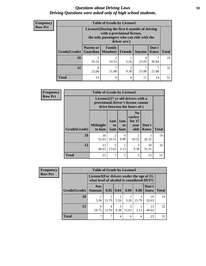## *Questions about Driving Laws* **59** *Driving Questions were asked only of high school students.*

| <b>Frequency</b> |
|------------------|
| <b>Row Pct</b>   |

| <b>Table of Grade by License1</b> |                  |                                                                                                                                           |           |            |               |              |  |  |  |  |
|-----------------------------------|------------------|-------------------------------------------------------------------------------------------------------------------------------------------|-----------|------------|---------------|--------------|--|--|--|--|
|                                   |                  | License1(During the first 6 months of driving<br>with a provisional license,<br>the only passengers who can ride with the<br>driver are:) |           |            |               |              |  |  |  |  |
| Grade(Grade)                      | <b>Parent or</b> | Family<br><b>Guardian   Members  </b>                                                                                                     | Friends   | Anyone     | Don't<br>Know | <b>Total</b> |  |  |  |  |
| <b>10</b>                         | 26.32            | $\mathfrak{D}$<br>10.53                                                                                                                   | 5.26      | 4<br>21.05 | 36.84         | 19           |  |  |  |  |
| 12                                | 8<br>25.00       | 21.88                                                                                                                                     | 3<br>9.38 | 21.88      | ⇁<br>21.88    | 32           |  |  |  |  |
| <b>Total</b>                      | 13               | 9                                                                                                                                         | 4         | 11         | 14            |              |  |  |  |  |

| <b>Frequency</b> | <b>Table of Grade by License2</b>                                                                                                                                                 |             |            |                  |            |             |    |  |  |  |
|------------------|-----------------------------------------------------------------------------------------------------------------------------------------------------------------------------------|-------------|------------|------------------|------------|-------------|----|--|--|--|
| <b>Row Pct</b>   | License2(17 yr old drivers with a<br>provisional driver's license cannot<br>drive between the hours of:)                                                                          |             |            |                  |            |             |    |  |  |  |
|                  | N <sub>0</sub><br>curfew<br>1am<br>for $17$<br>1am<br><b>Midnight</b><br>Don't<br>to<br>to<br>year<br>Grade(Grade)<br>to 6am<br>olds<br><b>Know</b><br><b>Total</b><br>6am<br>5am |             |            |                  |            |             |    |  |  |  |
|                  | 10                                                                                                                                                                                | 10<br>52.63 | 2<br>10.53 | $\Omega$<br>0.00 | 2<br>10.53 | 5<br>26.32  | 19 |  |  |  |
|                  | 12                                                                                                                                                                                | 13<br>40.63 | 5<br>15.63 | 3.13             | 3<br>9.38  | 10<br>31.25 | 32 |  |  |  |
|                  | <b>Total</b>                                                                                                                                                                      | 23          | 7          | 1                | 5          | 15          | 51 |  |  |  |

| Frequency      | <b>Table of Grade by License3</b>                                                      |                      |                  |           |       |       |               |              |
|----------------|----------------------------------------------------------------------------------------|----------------------|------------------|-----------|-------|-------|---------------|--------------|
| <b>Row Pct</b> | License3(For drivers under the age of 21,<br>what level of alcohol is considered DUI?) |                      |                  |           |       |       |               |              |
|                | Grade(Grade)                                                                           | Any<br><b>Amount</b> | $0.02 \mid 0.04$ |           | 0.06  | 0.08  | Don't<br>know | <b>Total</b> |
|                | 10                                                                                     | 5.26                 | 15.79            | 5.26      | 5.26  | 15.79 | 10<br>52.63   | 19           |
|                | 12                                                                                     | 6<br>18.75           | 4<br>12.50       | 3<br>9.38 | 15.63 | 3.13  | 13<br>40.63   | 32           |
|                | <b>Total</b>                                                                           |                      |                  | 4         | 6     | 4     | 23            | 51           |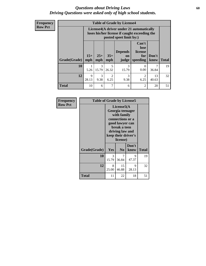## *Questions about Driving Laws* **60** *Driving Questions were asked only of high school students.*

| <b>Frequency</b> |
|------------------|
| <b>Row Pct</b>   |

| <b>Table of Grade by License4</b> |              |                                                                                                                      |                                     |                               |                                             |               |              |
|-----------------------------------|--------------|----------------------------------------------------------------------------------------------------------------------|-------------------------------------|-------------------------------|---------------------------------------------|---------------|--------------|
|                                   |              | License4(A driver under 21 automatically<br>loses his/her license if caught exceeding the<br>posted speet limit by:) |                                     |                               |                                             |               |              |
| Grade(Grade)                      | $15+$<br>mph | $25+$<br>mph                                                                                                         | $35+$<br>mph                        | <b>Depends</b><br>on<br>judge | Can't<br>lose<br>license<br>for<br>speeding | Don't<br>know | <b>Total</b> |
| 10                                | 1<br>5.26    | 3<br>15.79                                                                                                           | 5<br>26.32                          | 3<br>15.79                    | 0<br>0.00                                   | 36.84         | 19           |
| 12                                | 9<br>28.13   | $\mathcal{R}$<br>9.38                                                                                                | $\mathcal{D}_{\mathcal{L}}$<br>6.25 | 3<br>9.38                     | $\mathfrak{D}$<br>6.25                      | 13<br>40.63   | 32           |
| <b>Total</b>                      | 10           | 6                                                                                                                    | 7                                   | 6                             | 2                                           | 20            | 51           |

| Frequency      | <b>Table of Grade by License5</b> |                                                                                                                                                             |                |               |       |  |
|----------------|-----------------------------------|-------------------------------------------------------------------------------------------------------------------------------------------------------------|----------------|---------------|-------|--|
| <b>Row Pct</b> |                                   | License5(A)<br>Georgia teenager<br>with family<br>connections or a<br>good lawyer can<br>break a teen<br>driving law and<br>keep their driver's<br>license) |                |               |       |  |
|                | Grade(Grade)                      | <b>Yes</b>                                                                                                                                                  | N <sub>0</sub> | Don't<br>know | Total |  |
|                | 10                                | 3<br>15.79                                                                                                                                                  | 7<br>36.84     | 9<br>47.37    | 19    |  |
|                | 12                                | 8<br>25.00                                                                                                                                                  | 15<br>46.88    | 9<br>28.13    | 32    |  |
|                | <b>Total</b>                      | 11                                                                                                                                                          | 22             | 18            | 51    |  |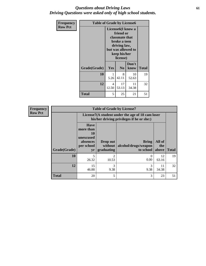## *Questions about Driving Laws* **61** *Driving Questions were asked only of high school students.*

| <b>Frequency</b> | <b>Table of Grade by License6</b> |                                                                                                                                                 |                |               |              |
|------------------|-----------------------------------|-------------------------------------------------------------------------------------------------------------------------------------------------|----------------|---------------|--------------|
| <b>Row Pct</b>   |                                   | License <sub>6</sub> (I know a<br>friend or<br>classmate that<br>broke a teen<br>driving law,<br>but was allowed to<br>keep his/her<br>license) |                |               |              |
|                  | Grade(Grade)                      | <b>Yes</b>                                                                                                                                      | N <sub>0</sub> | Don't<br>know | <b>Total</b> |
|                  | 10                                | 1<br>5.26                                                                                                                                       | 8<br>42.11     | 10<br>52.63   | 19           |
|                  | 12                                | 4<br>12.50                                                                                                                                      | 17<br>53.13    | 11<br>34.38   | 32           |
|                  | <b>Total</b>                      | 5                                                                                                                                               | 25             | 21            | 51           |

| <b>Frequency</b> | <b>Table of Grade by License7</b> |                                                                                               |                                     |                                                   |                        |              |  |  |
|------------------|-----------------------------------|-----------------------------------------------------------------------------------------------|-------------------------------------|---------------------------------------------------|------------------------|--------------|--|--|
| <b>Row Pct</b>   |                                   | License7(A student under the age of 18 cam loser<br>his/her driving privileges if he or she:) |                                     |                                                   |                        |              |  |  |
|                  | Grade(Grade)                      | <b>Have</b><br>more than<br>10<br>unexcused<br>absences<br>per school<br>yr                   | Drop out<br>without  <br>graduating | <b>Bring</b><br>alcohol/drugs/weapon<br>to school | All of<br>the<br>above | <b>Total</b> |  |  |
|                  | 10                                | 5<br>26.32                                                                                    | 2<br>10.53                          | 0.00                                              | 12<br>63.16            | 19           |  |  |
|                  | 12                                | 15<br>46.88                                                                                   | 3<br>9.38                           | 9.38                                              | 11<br>34.38            | 32           |  |  |
|                  | <b>Total</b>                      | 20                                                                                            | 5                                   | 3                                                 | 23                     | 51           |  |  |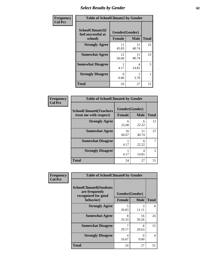# *Select Results by Gender* **62**

| Frequency      | <b>Table of SchoolClimate2 by Gender</b>          |                                 |             |              |  |
|----------------|---------------------------------------------------|---------------------------------|-------------|--------------|--|
| <b>Col Pct</b> | SchoolClimate2(I<br>feel successful at<br>school) | Gender(Gender)<br><b>Female</b> | <b>Male</b> | <b>Total</b> |  |
|                | <b>Strongly Agree</b>                             | 11<br>45.83                     | 11<br>40.74 | 22           |  |
|                | <b>Somewhat Agree</b>                             | 12<br>50.00                     | 11<br>40.74 | 23           |  |
|                | <b>Somewhat Disagree</b>                          | 4.17                            | 4<br>14.81  | 5            |  |
|                | <b>Strongly Disagree</b>                          | 0<br>0.00                       | 3.70        |              |  |
|                | <b>Total</b>                                      | 24                              | 27          | 51           |  |

| Frequency      | <b>Table of SchoolClimate6 by Gender</b>                 |               |                               |              |  |  |
|----------------|----------------------------------------------------------|---------------|-------------------------------|--------------|--|--|
| <b>Col Pct</b> | <b>SchoolClimate6(Teachers</b><br>treat me with respect) | <b>Female</b> | Gender(Gender)<br><b>Male</b> | <b>Total</b> |  |  |
|                | <b>Strongly Agree</b>                                    | 6<br>25.00    | 6<br>22.22                    | 12           |  |  |
|                | <b>Somewhat Agree</b>                                    | 16<br>66.67   | 11<br>40.74                   | 27           |  |  |
|                | <b>Somewhat Disagree</b>                                 | 4.17          | 6<br>22.22                    |              |  |  |
|                | <b>Strongly Disagree</b>                                 | 1<br>4.17     | 4<br>14.81                    | 5            |  |  |
|                | <b>Total</b>                                             | 24            | 27                            | 51           |  |  |

| Frequency      | <b>Table of SchoolClimate8 by Gender</b>                                             |                                 |                      |              |  |
|----------------|--------------------------------------------------------------------------------------|---------------------------------|----------------------|--------------|--|
| <b>Col Pct</b> | <b>SchoolClimate8(Students</b><br>are frequently<br>recognized for good<br>behavior) | Gender(Gender)<br><b>Female</b> | <b>Male</b>          | <b>Total</b> |  |
|                | <b>Strongly Agree</b>                                                                | 5                               | 3                    | 8            |  |
|                | <b>Somewhat Agree</b>                                                                | 20.83<br>8<br>33.33             | 11.11<br>16<br>59.26 | 24           |  |
|                | <b>Somewhat Disagree</b>                                                             | 7<br>29.17                      | 8<br>29.63           | 15           |  |
|                | <b>Strongly Disagree</b>                                                             | 4<br>16.67                      | 0<br>0.00            | 4            |  |
|                | Total                                                                                | 24                              | 27                   | 51           |  |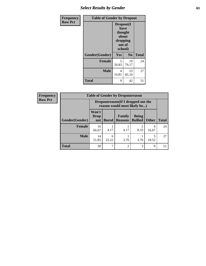# *Select Results by Gender* **63**

| <b>Frequency</b> | <b>Table of Gender by Dropout</b> |                                                                        |             |              |  |
|------------------|-----------------------------------|------------------------------------------------------------------------|-------------|--------------|--|
| <b>Row Pct</b>   |                                   | Dropout(I<br>have<br>thought<br>about<br>dropping<br>out of<br>school) |             |              |  |
|                  | Gender(Gender)                    | Yes                                                                    | No          | <b>Total</b> |  |
|                  | <b>Female</b>                     | 5<br>20.83                                                             | 19<br>79.17 | 24           |  |
|                  | <b>Male</b>                       | 4<br>14.81                                                             | 23<br>85.19 | 27           |  |
|                  | <b>Total</b>                      | 9                                                                      | 42          | 51           |  |

| <b>Frequency</b> | <b>Table of Gender by Dropoutreason</b> |                                                                     |              |                          |                                |              |              |
|------------------|-----------------------------------------|---------------------------------------------------------------------|--------------|--------------------------|--------------------------------|--------------|--------------|
| <b>Row Pct</b>   |                                         | Dropoutreason (If I dropped out the<br>reason would most likely be) |              |                          |                                |              |              |
|                  | <b>Gender(Gender)</b>                   | Won't<br><b>Drop</b><br>out                                         | <b>Bored</b> | Family<br><b>Reasons</b> | <b>Being</b><br><b>Bullied</b> | <b>Other</b> | <b>Total</b> |
|                  | <b>Female</b>                           | 16<br>66.67                                                         | 4.17         | 4.17                     | 8.33                           | 4<br>16.67   | 24           |
|                  | <b>Male</b>                             | 14<br>51.85                                                         | 6<br>22.22   | 3.70                     | 3.70                           | 5<br>18.52   | 27           |
|                  | <b>Total</b>                            | 30                                                                  | 7            | $\mathfrak{D}$           | 3                              | 9            | 51           |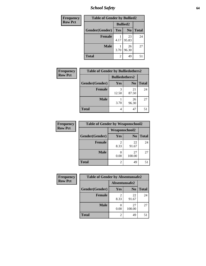*School Safety* **64**

| Frequency      | <b>Table of Gender by Bullied2</b> |                 |                |              |  |  |
|----------------|------------------------------------|-----------------|----------------|--------------|--|--|
| <b>Row Pct</b> |                                    | <b>Bullied2</b> |                |              |  |  |
|                | Gender(Gender)                     | <b>Yes</b>      | N <sub>0</sub> | <b>Total</b> |  |  |
|                | <b>Female</b>                      | 4.17            | 23<br>95.83    | 24           |  |  |
|                | <b>Male</b>                        | 3.70            | 26<br>96.30    | 27           |  |  |
|                | <b>Total</b>                       | $\mathfrak{D}$  | 49             | 51           |  |  |

| Frequency      | <b>Table of Gender by Bulliedothers2</b> |                       |                |              |
|----------------|------------------------------------------|-----------------------|----------------|--------------|
| <b>Row Pct</b> |                                          | <b>Bulliedothers2</b> |                |              |
|                | Gender(Gender)                           | Yes                   | N <sub>0</sub> | <b>Total</b> |
|                | <b>Female</b>                            | 3<br>12.50            | 21<br>87.50    | 24           |
|                | <b>Male</b>                              | 3.70                  | 26<br>96.30    | 27           |
|                | Total                                    | 4                     | 47             |              |

| Frequency      | <b>Table of Gender by Weaponschool2</b> |                      |                |              |  |
|----------------|-----------------------------------------|----------------------|----------------|--------------|--|
| <b>Row Pct</b> |                                         | <b>Weaponschool2</b> |                |              |  |
|                | Gender(Gender)                          | Yes                  | N <sub>0</sub> | <b>Total</b> |  |
|                | <b>Female</b>                           | 8.33                 | 22<br>91.67    | 24           |  |
|                | <b>Male</b>                             | 0.00                 | 27<br>100.00   | 27           |  |
|                | <b>Total</b>                            | 2                    | 49             | 51           |  |

| Frequency      | <b>Table of Gender by Absentunsafe2</b> |               |                |              |
|----------------|-----------------------------------------|---------------|----------------|--------------|
| <b>Row Pct</b> |                                         | Absentunsafe2 |                |              |
|                | Gender(Gender)                          | Yes           | N <sub>0</sub> | <b>Total</b> |
|                | <b>Female</b>                           | 8.33          | 22<br>91.67    | 24           |
|                | <b>Male</b>                             | 0.00          | 27<br>100.00   | 27           |
|                | <b>Total</b>                            |               | 49             | 51           |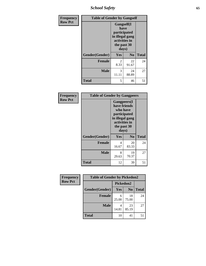*School Safety* **65**

| Frequency      | <b>Table of Gender by Gangself</b> |                                                                                                |                |              |
|----------------|------------------------------------|------------------------------------------------------------------------------------------------|----------------|--------------|
| <b>Row Pct</b> |                                    | Gangself(I<br>have<br>participated<br>in illegal gang<br>activities in<br>the past 30<br>days) |                |              |
|                | Gender(Gender)                     | Yes                                                                                            | N <sub>0</sub> | <b>Total</b> |
|                | <b>Female</b>                      | $\overline{c}$<br>8.33                                                                         | 22<br>91.67    | 24           |
|                | <b>Male</b>                        | 3<br>11.11                                                                                     | 24<br>88.89    | 27           |
|                | <b>Total</b>                       | 5                                                                                              | 46             | 51           |

| Frequency      | <b>Table of Gender by Gangpeers</b> |                                                                                                                             |                |              |
|----------------|-------------------------------------|-----------------------------------------------------------------------------------------------------------------------------|----------------|--------------|
| <b>Row Pct</b> |                                     | <b>Gangpeers</b> (I<br>have friends<br>who have<br>participated<br>in illegal gang<br>activities in<br>the past 30<br>days) |                |              |
|                | Gender(Gender)                      | <b>Yes</b>                                                                                                                  | N <sub>0</sub> | <b>Total</b> |
|                | <b>Female</b>                       | 4<br>16.67                                                                                                                  | 20<br>83.33    | 24           |
|                | <b>Male</b>                         | 8<br>29.63                                                                                                                  | 19<br>70.37    | 27           |
|                | <b>Total</b>                        | 12                                                                                                                          | 39             | 51           |

| Frequency      | <b>Table of Gender by Pickedon2</b> |            |                |              |  |
|----------------|-------------------------------------|------------|----------------|--------------|--|
| <b>Row Pct</b> |                                     | Pickedon2  |                |              |  |
|                | Gender(Gender)                      | <b>Yes</b> | N <sub>0</sub> | <b>Total</b> |  |
|                | <b>Female</b>                       | 6<br>25.00 | 18<br>75.00    | 24           |  |
|                | <b>Male</b>                         | 4<br>14.81 | 23<br>85.19    | 27           |  |
|                | <b>Total</b>                        | 10         | 41             | 51           |  |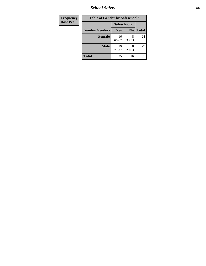*School Safety* **66**

| Frequency      | <b>Table of Gender by Safeschool2</b> |             |                |              |  |
|----------------|---------------------------------------|-------------|----------------|--------------|--|
| <b>Row Pct</b> |                                       | Safeschool2 |                |              |  |
|                | Gender(Gender)                        | Yes         | N <sub>0</sub> | <b>Total</b> |  |
|                | <b>Female</b>                         | 16<br>66.67 | 8<br>33.33     | 24           |  |
|                | <b>Male</b>                           | 19<br>70.37 | 8<br>29.63     | 27           |  |
|                | <b>Total</b>                          | 35          | 16             | 51           |  |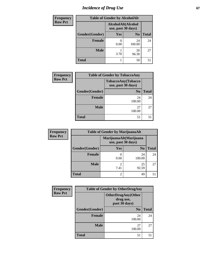# *Incidence of Drug Use* 67

| <b>Frequency</b> | <b>Table of Gender by AlcoholAlt</b> |                                          |                |              |
|------------------|--------------------------------------|------------------------------------------|----------------|--------------|
| <b>Row Pct</b>   |                                      | AlcoholAlt(Alcohol<br>use, past 30 days) |                |              |
|                  | Gender(Gender)                       | Yes                                      | N <sub>0</sub> | <b>Total</b> |
|                  | <b>Female</b>                        | 0.00                                     | 24<br>100.00   | 24           |
|                  | <b>Male</b>                          | 3.70                                     | 26<br>96.30    | 27           |
|                  | <b>Total</b>                         |                                          | 50             | 51           |

| <b>Frequency</b> | <b>Table of Gender by TobaccoAny</b> |                                          |              |  |  |
|------------------|--------------------------------------|------------------------------------------|--------------|--|--|
| <b>Row Pct</b>   |                                      | TobaccoAny(Tobacco<br>use, past 30 days) |              |  |  |
|                  | Gender(Gender)                       | N <sub>0</sub>                           | <b>Total</b> |  |  |
|                  | <b>Female</b>                        | 24<br>100.00                             | 24           |  |  |
|                  | <b>Male</b>                          | 27<br>100.00                             | 27           |  |  |
|                  | <b>Total</b>                         | 51                                       | 51           |  |  |

| <b>Frequency</b> | <b>Table of Gender by MarijuanaAlt</b> |                        |                                              |       |
|------------------|----------------------------------------|------------------------|----------------------------------------------|-------|
| <b>Row Pct</b>   |                                        |                        | MarijuanaAlt(Marijuana<br>use, past 30 days) |       |
|                  | Gender(Gender)                         | <b>Yes</b>             | N <sub>0</sub>                               | Total |
|                  | <b>Female</b>                          | 0.00                   | 24<br>100.00                                 | 24    |
|                  | <b>Male</b>                            | $\overline{c}$<br>7.41 | 25<br>92.59                                  | 27    |
|                  | <b>Total</b>                           | 2                      | 49                                           | 51    |

| Frequency      |                | <b>Table of Gender by OtherDrugAny</b>                  |              |  |
|----------------|----------------|---------------------------------------------------------|--------------|--|
| <b>Row Pct</b> |                | <b>OtherDrugAny(Other</b><br>drug use,<br>past 30 days) |              |  |
|                | Gender(Gender) | N <sub>0</sub>                                          | <b>Total</b> |  |
|                | <b>Female</b>  | 24<br>100.00                                            | 24           |  |
|                | <b>Male</b>    | 27<br>100.00                                            | 27           |  |
|                | <b>Total</b>   | 51                                                      | 51           |  |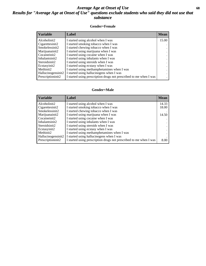## *Average Age at Onset of Use* **68** *Results for "Average Age at Onset of Use" questions exclude students who said they did not use that substance*

## **Gender=Female**

| Variable           | <b>Label</b>                                                       | <b>Mean</b> |
|--------------------|--------------------------------------------------------------------|-------------|
| Alcoholinit2       | I started using alcohol when I was                                 | 15.00       |
| Cigarettesinit2    | I started smoking tobacco when I was                               |             |
| Smokelessinit2     | I started chewing tobacco when I was                               |             |
| Marijuanainit2     | I started using marijuana when I was                               |             |
| Cocaineinit2       | I started using cocaine when I was                                 |             |
| Inhalantsinit2     | I started using inhalants when I was                               |             |
| Steroidsinit2      | I started using steroids when I was                                |             |
| Ecstasyinit2       | I started using ecstasy when I was                                 |             |
| Methinit2          | I started using methamphetamines when I was                        |             |
| Hallucinogensinit2 | I started using hallucinogens when I was                           |             |
| Prescription in t2 | I started using prescription drugs not prescribed to me when I was |             |

## **Gender=Male**

| <b>Variable</b>    | Label                                                              | <b>Mean</b> |
|--------------------|--------------------------------------------------------------------|-------------|
| Alcoholinit2       | I started using alcohol when I was                                 | 14.33       |
| Cigarettesinit2    | I started smoking tobacco when I was                               | 18.00       |
| Smokelessinit2     | I started chewing tobacco when I was                               |             |
| Marijuanainit2     | I started using marijuana when I was                               | 14.50       |
| Cocaineinit2       | I started using cocaine when I was                                 |             |
| Inhalantsinit2     | I started using inhalants when I was                               |             |
| Steroidsinit2      | I started using steroids when I was                                |             |
| Ecstasyinit2       | I started using ecstasy when I was                                 |             |
| Methinit2          | I started using methamphetamines when I was                        |             |
| Hallucinogensinit2 | I started using hallucinogens when I was                           |             |
| Prescriptioninit2  | I started using prescription drugs not prescribed to me when I was | 8.00        |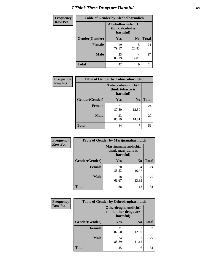# *I Think These Drugs are Harmful* **69**

| <b>Frequency</b> | <b>Table of Gender by Alcoholharmdich</b> |                                                   |                |              |
|------------------|-------------------------------------------|---------------------------------------------------|----------------|--------------|
| <b>Row Pct</b>   |                                           | Alcoholharmdich(I<br>think alcohol is<br>harmful) |                |              |
|                  | Gender(Gender)                            | <b>Yes</b>                                        | N <sub>0</sub> | <b>Total</b> |
|                  | <b>Female</b>                             | 19<br>79.17                                       | 5<br>20.83     | 24           |
|                  | <b>Male</b>                               | 23<br>85.19                                       | 4<br>14.81     | 27           |
|                  | <b>Total</b>                              | 42                                                | 9              | 51           |

| Frequency      | <b>Table of Gender by Tobaccoharmdich</b> |                  |                               |              |
|----------------|-------------------------------------------|------------------|-------------------------------|--------------|
| <b>Row Pct</b> |                                           | think tobacco is | Tobaccoharmdich(I<br>harmful) |              |
|                | Gender(Gender)                            | <b>Yes</b>       | N <sub>0</sub>                | <b>Total</b> |
|                | <b>Female</b>                             | 21<br>87.50      | 3<br>12.50                    | 24           |
|                | <b>Male</b>                               | 23<br>85.19      | 4<br>14.81                    | 27           |
|                | <b>Total</b>                              | 44               |                               | 51           |

| Frequency      | <b>Table of Gender by Marijuanaharmdich</b> |                                                       |                |              |
|----------------|---------------------------------------------|-------------------------------------------------------|----------------|--------------|
| <b>Row Pct</b> |                                             | Marijuanaharmdich(I<br>think marijuana is<br>harmful) |                |              |
|                | Gender(Gender)                              | <b>Yes</b>                                            | N <sub>0</sub> | <b>Total</b> |
|                | <b>Female</b>                               | 20<br>83.33                                           | 4<br>16.67     | 24           |
|                | <b>Male</b>                                 | 18<br>66.67                                           | Q<br>33.33     | 27           |
|                | <b>Total</b>                                | 38                                                    | 13             | 51           |

| Frequency      | <b>Table of Gender by Otherdrugharmdich</b> |                                                          |                |              |
|----------------|---------------------------------------------|----------------------------------------------------------|----------------|--------------|
| <b>Row Pct</b> |                                             | Otherdrugharmdich(I<br>think other drugs are<br>harmful) |                |              |
|                | Gender(Gender)                              | <b>Yes</b>                                               | N <sub>0</sub> | <b>Total</b> |
|                | <b>Female</b>                               | 21<br>87.50                                              | 3<br>12.50     | 24           |
|                | <b>Male</b>                                 | 24<br>88.89                                              | 3              | 27           |
|                | <b>Total</b>                                | 45                                                       | 6              | 51           |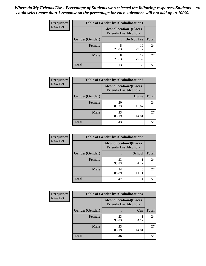| <b>Frequency</b> | <b>Table of Gender by Alcohollocation1</b> |                                                               |             |              |
|------------------|--------------------------------------------|---------------------------------------------------------------|-------------|--------------|
| <b>Row Pct</b>   |                                            | <b>Alcohollocation1(Places</b><br><b>Friends Use Alcohol)</b> |             |              |
|                  | Gender(Gender)                             |                                                               | Do Not Use  | <b>Total</b> |
|                  | <b>Female</b>                              | 20.83                                                         | 19<br>79.17 | 24           |
|                  | <b>Male</b>                                | 8<br>29.63                                                    | 19<br>70.37 | 27           |
|                  | Total                                      | 13                                                            | 38          | 51           |

| <b>Frequency</b> | <b>Table of Gender by Alcohollocation2</b> |                                                               |       |              |
|------------------|--------------------------------------------|---------------------------------------------------------------|-------|--------------|
| <b>Row Pct</b>   |                                            | <b>Alcohollocation2(Places</b><br><b>Friends Use Alcohol)</b> |       |              |
|                  | Gender(Gender)                             |                                                               | Home  | <b>Total</b> |
|                  | <b>Female</b>                              | 20<br>83.33                                                   | 16.67 | 24           |
|                  | <b>Male</b>                                | 23<br>85.19                                                   | 14.81 | 27           |
|                  | <b>Total</b>                               | 43                                                            | 8     |              |

| Frequency      | <b>Table of Gender by Alcohollocation3</b> |                                                               |               |              |
|----------------|--------------------------------------------|---------------------------------------------------------------|---------------|--------------|
| <b>Row Pct</b> |                                            | <b>Alcohollocation3(Places</b><br><b>Friends Use Alcohol)</b> |               |              |
|                | Gender(Gender)                             |                                                               | <b>School</b> | <b>Total</b> |
|                | <b>Female</b>                              | 23<br>95.83                                                   | 4.17          | 24           |
|                | <b>Male</b>                                | 24<br>88.89                                                   | 11.11         | 27           |
|                | <b>Total</b>                               | 47                                                            | 4             | 51           |

| <b>Frequency</b> | <b>Table of Gender by Alcohollocation4</b> |             |                                                               |              |
|------------------|--------------------------------------------|-------------|---------------------------------------------------------------|--------------|
| <b>Row Pct</b>   |                                            |             | <b>Alcohollocation4(Places</b><br><b>Friends Use Alcohol)</b> |              |
|                  | Gender(Gender)                             |             | Car                                                           | <b>Total</b> |
|                  | <b>Female</b>                              | 23<br>95.83 | 4.17                                                          | 24           |
|                  | <b>Male</b>                                | 23<br>85.19 | 14.81                                                         | 27           |
|                  | <b>Total</b>                               | 46          | 5                                                             | 51           |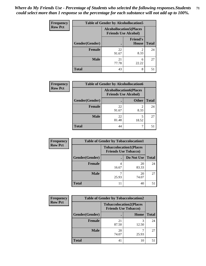| <b>Frequency</b> | <b>Table of Gender by Alcohollocation5</b> |                                                               |                                 |              |
|------------------|--------------------------------------------|---------------------------------------------------------------|---------------------------------|--------------|
| <b>Row Pct</b>   |                                            | <b>Alcohollocation5(Places</b><br><b>Friends Use Alcohol)</b> |                                 |              |
|                  | Gender(Gender)                             |                                                               | <b>Friend's</b><br><b>House</b> | <b>Total</b> |
|                  | <b>Female</b>                              | 22<br>91.67                                                   | 8.33                            | 24           |
|                  | <b>Male</b>                                | 21<br>77.78                                                   | 6<br>22.22                      | 27           |
|                  | <b>Total</b>                               | 43                                                            | 8                               | 51           |

| Frequency      | <b>Table of Gender by Alcohollocation6</b> |                                                               |                        |              |
|----------------|--------------------------------------------|---------------------------------------------------------------|------------------------|--------------|
| <b>Row Pct</b> |                                            | <b>Alcohollocation6(Places</b><br><b>Friends Use Alcohol)</b> |                        |              |
|                | Gender(Gender)                             |                                                               | <b>Other</b>           | <b>Total</b> |
|                | <b>Female</b>                              | 22<br>91.67                                                   | $\mathfrak{D}$<br>8.33 | 24           |
|                | <b>Male</b>                                | 22<br>81.48                                                   | 18.52                  | 27           |
|                | <b>Total</b>                               | 44                                                            | ⇁                      | 51           |

| Frequency      | <b>Table of Gender by Tobaccolocation1</b> |                                                               |             |              |  |
|----------------|--------------------------------------------|---------------------------------------------------------------|-------------|--------------|--|
| <b>Row Pct</b> |                                            | <b>Tobaccolocation1(Places</b><br><b>Friends Use Tobacco)</b> |             |              |  |
|                | Gender(Gender)                             |                                                               | Do Not Use  | <b>Total</b> |  |
|                | Female                                     | 16.67                                                         | 20<br>83.33 | 24           |  |
|                | <b>Male</b>                                | 25.93                                                         | 20<br>74.07 | 27           |  |
|                | <b>Total</b>                               | 11                                                            | 40          | 51           |  |

| <b>Frequency</b> | <b>Table of Gender by Tobaccolocation2</b> |                                                               |       |              |
|------------------|--------------------------------------------|---------------------------------------------------------------|-------|--------------|
| <b>Row Pct</b>   |                                            | <b>Tobaccolocation2(Places</b><br><b>Friends Use Tobacco)</b> |       |              |
|                  | Gender(Gender)                             |                                                               | Home  | <b>Total</b> |
|                  | Female                                     | 21<br>87.50                                                   | 12.50 | 24           |
|                  | <b>Male</b>                                | 20<br>74.07                                                   | 25.93 | 27           |
|                  | <b>Total</b>                               | 41                                                            | 10    | 51           |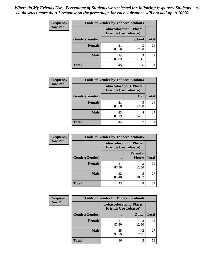| <b>Frequency</b> | <b>Table of Gender by Tobaccolocation3</b> |                                                               |               |              |  |
|------------------|--------------------------------------------|---------------------------------------------------------------|---------------|--------------|--|
| <b>Row Pct</b>   |                                            | <b>Tobaccolocation3(Places</b><br><b>Friends Use Tobacco)</b> |               |              |  |
|                  | Gender(Gender)                             |                                                               | <b>School</b> | <b>Total</b> |  |
|                  | <b>Female</b>                              | 21<br>87.50                                                   | 12.50         | 24           |  |
|                  | <b>Male</b>                                | 24<br>88.89                                                   | 3<br>11.11    | 27           |  |
|                  | <b>Total</b>                               | 45                                                            | 6             | 51           |  |

| <b>Frequency</b> | <b>Table of Gender by Tobaccolocation4</b> |                                                               |            |              |
|------------------|--------------------------------------------|---------------------------------------------------------------|------------|--------------|
| <b>Row Pct</b>   |                                            | <b>Tobaccolocation4(Places</b><br><b>Friends Use Tobacco)</b> |            |              |
|                  | Gender(Gender)                             |                                                               | Car        | <b>Total</b> |
|                  | <b>Female</b>                              | 21<br>87.50                                                   | 3<br>12.50 | 24           |
|                  | <b>Male</b>                                | 23<br>85.19                                                   | 14.81      | 27           |
|                  | <b>Total</b>                               | 44                                                            |            |              |

| <b>Frequency</b> | <b>Table of Gender by Tobaccolocation5</b> |                                                               |                                 |              |
|------------------|--------------------------------------------|---------------------------------------------------------------|---------------------------------|--------------|
| <b>Row Pct</b>   |                                            | <b>Tobaccolocation5(Places</b><br><b>Friends Use Tobacco)</b> |                                 |              |
|                  | Gender(Gender)                             |                                                               | <b>Friend's</b><br><b>House</b> | <b>Total</b> |
|                  | Female                                     | 21<br>87.50                                                   | 3<br>12.50                      | 24           |
|                  | <b>Male</b>                                | 22<br>81.48                                                   | 18.52                           | 27           |
|                  | <b>Total</b>                               | 43                                                            | 8                               | 51           |

| <b>Frequency</b> | <b>Table of Gender by Tobaccolocation6</b> |                                                               |              |              |
|------------------|--------------------------------------------|---------------------------------------------------------------|--------------|--------------|
| <b>Row Pct</b>   |                                            | <b>Tobaccolocation6(Places</b><br><b>Friends Use Tobacco)</b> |              |              |
|                  | Gender(Gender)                             |                                                               | <b>Other</b> | <b>Total</b> |
|                  | Female                                     | 21<br>87.50                                                   | 12.50        | 24           |
|                  | <b>Male</b>                                | 25<br>92.59                                                   | 7.41         | 27           |
|                  | <b>Total</b>                               | 46                                                            | 5            | 51           |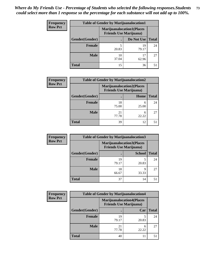| <b>Frequency</b> | <b>Table of Gender by Marijuanalocation1</b> |                                                                    |             |              |  |
|------------------|----------------------------------------------|--------------------------------------------------------------------|-------------|--------------|--|
| <b>Row Pct</b>   |                                              | <b>Marijuanalocation1(Places</b><br><b>Friends Use Marijuana</b> ) |             |              |  |
|                  | Gender(Gender)                               |                                                                    | Do Not Use  | <b>Total</b> |  |
|                  | <b>Female</b>                                | 20.83                                                              | 19<br>79.17 | 24           |  |
|                  | <b>Male</b>                                  | 10<br>37.04                                                        | 17<br>62.96 | 27           |  |
|                  | Total                                        | 15                                                                 | 36          | 51           |  |

| <b>Frequency</b> | <b>Table of Gender by Marijuanalocation2</b> |                                                                    |            |              |  |
|------------------|----------------------------------------------|--------------------------------------------------------------------|------------|--------------|--|
| <b>Row Pct</b>   |                                              | <b>Marijuanalocation2(Places</b><br><b>Friends Use Marijuana</b> ) |            |              |  |
|                  | Gender(Gender)                               |                                                                    | Home       | <b>Total</b> |  |
|                  | <b>Female</b>                                | 18<br>75.00                                                        | 6<br>25.00 | 24           |  |
|                  | <b>Male</b>                                  | 21<br>77.78                                                        | 6<br>22.22 | 27           |  |
|                  | <b>Total</b>                                 | 39                                                                 | 12         | 51           |  |

| Frequency      | <b>Table of Gender by Marijuanalocation3</b> |                                                                    |               |              |
|----------------|----------------------------------------------|--------------------------------------------------------------------|---------------|--------------|
| <b>Row Pct</b> |                                              | <b>Marijuanalocation3(Places</b><br><b>Friends Use Marijuana</b> ) |               |              |
|                | Gender(Gender)                               |                                                                    | <b>School</b> | <b>Total</b> |
|                | Female                                       | 19<br>79.17                                                        | 20.83         | 24           |
|                | <b>Male</b>                                  | 18<br>66.67                                                        | Q<br>33.33    | 27           |
|                | <b>Total</b>                                 | 37                                                                 | 14            | 51           |

| <b>Frequency</b> | <b>Table of Gender by Marijuanalocation4</b> |                                |                                  |              |
|------------------|----------------------------------------------|--------------------------------|----------------------------------|--------------|
| <b>Row Pct</b>   |                                              | <b>Friends Use Marijuana</b> ) | <b>Marijuanalocation4(Places</b> |              |
|                  | Gender(Gender)                               |                                | Car                              | <b>Total</b> |
|                  | <b>Female</b>                                | 19<br>79.17                    | 20.83                            | 24           |
|                  | <b>Male</b>                                  | 21<br>77.78                    | 6<br>22.22                       | 27           |
|                  | <b>Total</b>                                 | 40                             |                                  |              |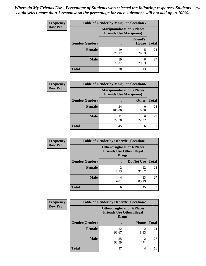| <b>Frequency</b> | <b>Table of Gender by Marijuanalocation5</b> |                                                                     |                          |              |
|------------------|----------------------------------------------|---------------------------------------------------------------------|--------------------------|--------------|
| <b>Row Pct</b>   |                                              | <b>Marijuanalocation5</b> (Places<br><b>Friends Use Marijuana</b> ) |                          |              |
|                  | Gender(Gender)                               |                                                                     | <b>Friend's</b><br>House | <b>Total</b> |
|                  | Female                                       | 19<br>79.17                                                         | 20.83                    | 24           |
|                  | <b>Male</b>                                  | 19<br>70.37                                                         | 8<br>29.63               | 27           |
|                  | <b>Total</b>                                 | 38                                                                  | 13                       | 51           |

| <b>Frequency</b> | <b>Table of Gender by Marijuanalocation6</b> |                                                                    |              |              |
|------------------|----------------------------------------------|--------------------------------------------------------------------|--------------|--------------|
| <b>Row Pct</b>   |                                              | <b>Marijuanalocation6(Places</b><br><b>Friends Use Marijuana</b> ) |              |              |
|                  | <b>Gender</b> (Gender)                       |                                                                    | <b>Other</b> | <b>Total</b> |
|                  | <b>Female</b>                                | 24<br>100.00                                                       | 0.00         | 24           |
|                  | <b>Male</b>                                  | 21<br>77.78                                                        | 6<br>22.22   | 27           |
|                  | <b>Total</b>                                 | 45                                                                 | 6            |              |

| Frequency      | <b>Table of Gender by Otherdruglocation1</b> |                                                                                |             |              |
|----------------|----------------------------------------------|--------------------------------------------------------------------------------|-------------|--------------|
| <b>Row Pct</b> |                                              | <b>Otherdruglocation1(Places</b><br><b>Friends Use Other Illegal</b><br>Drugs) |             |              |
|                | Gender(Gender)                               |                                                                                | Do Not Use  | <b>Total</b> |
|                | Female                                       | 8.33                                                                           | 22<br>91.67 | 24           |
|                | <b>Male</b>                                  | 4<br>14.81                                                                     | 23<br>85.19 | 27           |
|                | <b>Total</b>                                 | 6                                                                              | 45          | 51           |

| Frequency      | <b>Table of Gender by Otherdruglocation2</b> |                                            |                                  |              |
|----------------|----------------------------------------------|--------------------------------------------|----------------------------------|--------------|
| <b>Row Pct</b> |                                              | <b>Friends Use Other Illegal</b><br>Drugs) | <b>Otherdruglocation2(Places</b> |              |
|                | Gender(Gender)                               |                                            | Home                             | <b>Total</b> |
|                | Female                                       | 22<br>91.67                                | $\overline{2}$<br>8.33           | 24           |
|                | <b>Male</b>                                  | 25<br>92.59                                | ↑<br>7.41                        | 27           |
|                | <b>Total</b>                                 | 47                                         | 4                                | 51           |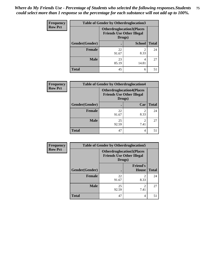| Frequency      | <b>Table of Gender by Otherdruglocation3</b> |                                                                                |               |              |
|----------------|----------------------------------------------|--------------------------------------------------------------------------------|---------------|--------------|
| <b>Row Pct</b> |                                              | <b>Otherdruglocation3(Places</b><br><b>Friends Use Other Illegal</b><br>Drugs) |               |              |
|                | Gender(Gender)                               |                                                                                | <b>School</b> | <b>Total</b> |
|                | <b>Female</b>                                | 22<br>91.67                                                                    | っ<br>8.33     | 24           |
|                | <b>Male</b>                                  | 23<br>85.19                                                                    | 4<br>14.81    | 27           |
|                | <b>Total</b>                                 | 45                                                                             | 6             | 51           |

| <b>Frequency</b> | <b>Table of Gender by Otherdruglocation4</b> |                                                                                |                        |              |  |
|------------------|----------------------------------------------|--------------------------------------------------------------------------------|------------------------|--------------|--|
| <b>Row Pct</b>   |                                              | <b>Otherdruglocation4(Places</b><br><b>Friends Use Other Illegal</b><br>Drugs) |                        |              |  |
|                  | Gender(Gender)                               |                                                                                | Car                    | <b>Total</b> |  |
|                  | Female                                       | 22<br>91.67                                                                    | $\mathfrak{D}$<br>8.33 | 24           |  |
|                  | <b>Male</b>                                  | 25<br>92.59                                                                    | ∍<br>7.41              | 27           |  |
|                  | <b>Total</b>                                 | 47                                                                             | 4                      | 51           |  |

| <b>Frequency</b> | <b>Table of Gender by Otherdruglocation5</b> |                                            |                                  |              |
|------------------|----------------------------------------------|--------------------------------------------|----------------------------------|--------------|
| <b>Row Pct</b>   |                                              | <b>Friends Use Other Illegal</b><br>Drugs) | <b>Otherdruglocation5(Places</b> |              |
|                  | Gender(Gender)                               |                                            | <b>Friend's</b><br><b>House</b>  | <b>Total</b> |
|                  | <b>Female</b>                                | 22<br>91.67                                | ∍<br>8.33                        | 24           |
|                  | <b>Male</b>                                  | 25<br>92.59                                | 7.41                             | 27           |
|                  | <b>Total</b>                                 | 47                                         | 4                                | 51           |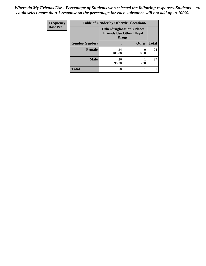| Frequency      | <b>Table of Gender by Otherdruglocation6</b> |                                            |                                  |              |
|----------------|----------------------------------------------|--------------------------------------------|----------------------------------|--------------|
| <b>Row Pct</b> |                                              | <b>Friends Use Other Illegal</b><br>Drugs) | <b>Otherdruglocation6(Places</b> |              |
|                | Gender(Gender)                               |                                            | <b>Other</b>                     | <b>Total</b> |
|                | <b>Female</b>                                | 24<br>100.00                               | 0.00                             | 24           |
|                | <b>Male</b>                                  | 26<br>96.30                                | 3.70                             | 27           |
|                | <b>Total</b>                                 | 50                                         |                                  | 51           |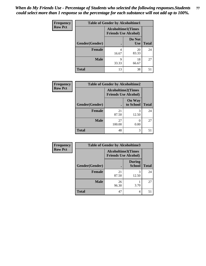| <b>Frequency</b> | <b>Table of Gender by Alcoholtime1</b> |                                                          |                      |              |
|------------------|----------------------------------------|----------------------------------------------------------|----------------------|--------------|
| <b>Row Pct</b>   |                                        | <b>Alcoholtime1(Times</b><br><b>Friends Use Alcohol)</b> |                      |              |
|                  | Gender(Gender)                         | $\bullet$                                                | Do Not<br><b>Use</b> | <b>Total</b> |
|                  | <b>Female</b>                          | 4<br>16.67                                               | 20<br>83.33          | 24           |
|                  | <b>Male</b>                            | 9<br>33.33                                               | 18<br>66.67          | 27           |
|                  | <b>Total</b>                           | 13                                                       | 38                   | 51           |

| <b>Frequency</b> | <b>Table of Gender by Alcoholtime2</b> |                                                          |                            |              |
|------------------|----------------------------------------|----------------------------------------------------------|----------------------------|--------------|
| <b>Row Pct</b>   |                                        | <b>Alcoholtime2(Times</b><br><b>Friends Use Alcohol)</b> |                            |              |
|                  | Gender(Gender)                         |                                                          | <b>On Way</b><br>to School | <b>Total</b> |
|                  | <b>Female</b>                          | 21<br>87.50                                              | 3<br>12.50                 | 24           |
|                  | <b>Male</b>                            | 27<br>100.00                                             | 0<br>0.00                  | 27           |
|                  | <b>Total</b>                           | 48                                                       | 3                          | 51           |

| <b>Frequency</b> | <b>Table of Gender by Alcoholtime3</b> |                                                          |                                |              |
|------------------|----------------------------------------|----------------------------------------------------------|--------------------------------|--------------|
| <b>Row Pct</b>   |                                        | <b>Alcoholtime3(Times</b><br><b>Friends Use Alcohol)</b> |                                |              |
|                  | Gender(Gender)                         |                                                          | <b>During</b><br><b>School</b> | <b>Total</b> |
|                  | <b>Female</b>                          | 21<br>87.50                                              | 3<br>12.50                     | 24           |
|                  | <b>Male</b>                            | 26<br>96.30                                              | 3.70                           | 27           |
|                  | <b>Total</b>                           | 47                                                       | 4                              | 51           |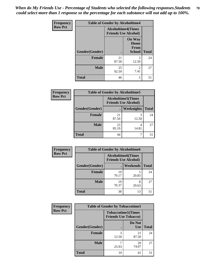*When do My Friends Use - Percentage of Students who selected the following responses.Students could select more than 1 response so the percentage for each substance will not add up to 100%.* **78**

| <b>Frequency</b> | <b>Table of Gender by Alcoholtime4</b> |                                                          |                                                |              |
|------------------|----------------------------------------|----------------------------------------------------------|------------------------------------------------|--------------|
| <b>Row Pct</b>   |                                        | <b>Alcoholtime4(Times</b><br><b>Friends Use Alcohol)</b> |                                                |              |
|                  | Gender(Gender)                         | $\bullet$                                                | <b>On Way</b><br>Home<br>From<br><b>School</b> | <b>Total</b> |
|                  | <b>Female</b>                          | 21<br>87.50                                              | 3<br>12.50                                     | 24           |
|                  | <b>Male</b>                            | 25<br>92.59                                              | 2<br>7.41                                      | 27           |
|                  | <b>Total</b>                           | 46                                                       | 5                                              | 51           |

| <b>Frequency</b> | <b>Table of Gender by Alcoholtime5</b> |                                                           |            |              |
|------------------|----------------------------------------|-----------------------------------------------------------|------------|--------------|
| <b>Row Pct</b>   |                                        | <b>Alcoholtime5</b> (Times<br><b>Friends Use Alcohol)</b> |            |              |
|                  | Gender(Gender)                         |                                                           | Weeknights | <b>Total</b> |
|                  | <b>Female</b>                          | 21<br>87.50                                               | 3<br>12.50 | 24           |
|                  | <b>Male</b>                            | 23<br>85.19                                               | 4<br>14.81 | 27           |
|                  | <b>Total</b>                           | 44                                                        |            | 51           |

| <b>Frequency</b> | <b>Table of Gender by Alcoholtime6</b> |                                                          |                 |              |  |
|------------------|----------------------------------------|----------------------------------------------------------|-----------------|--------------|--|
| <b>Row Pct</b>   |                                        | <b>Alcoholtime6(Times</b><br><b>Friends Use Alcohol)</b> |                 |              |  |
|                  | Gender(Gender)                         |                                                          | <b>Weekends</b> | <b>Total</b> |  |
|                  | <b>Female</b>                          | 19<br>79.17                                              | 5<br>20.83      | 24           |  |
|                  | <b>Male</b>                            | 19<br>70.37                                              | 8<br>29.63      | 27           |  |
|                  | <b>Total</b>                           | 38                                                       | 13              | 51           |  |

| Frequency      | <b>Table of Gender by Tobaccotime1</b> |                                                          |                      |              |
|----------------|----------------------------------------|----------------------------------------------------------|----------------------|--------------|
| <b>Row Pct</b> |                                        | <b>Tobaccotime1(Times</b><br><b>Friends Use Tobacco)</b> |                      |              |
|                | Gender(Gender)                         |                                                          | Do Not<br><b>Use</b> | <b>Total</b> |
|                | <b>Female</b>                          | 3<br>12.50                                               | 21<br>87.50          | 24           |
|                | <b>Male</b>                            | 25.93                                                    | 20<br>74.07          | 27           |
|                | <b>Total</b>                           | 10                                                       | 41                   | 51           |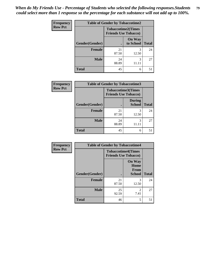*When do My Friends Use - Percentage of Students who selected the following responses.Students could select more than 1 response so the percentage for each substance will not add up to 100%.* **79**

| Frequency      | <b>Table of Gender by Tobaccotime2</b> |                                                          |                            |              |
|----------------|----------------------------------------|----------------------------------------------------------|----------------------------|--------------|
| <b>Row Pct</b> |                                        | <b>Tobaccotime2(Times</b><br><b>Friends Use Tobacco)</b> |                            |              |
|                | Gender(Gender)                         | $\bullet$                                                | <b>On Way</b><br>to School | <b>Total</b> |
|                | Female                                 | 21<br>87.50                                              | 3<br>12.50                 | 24           |
|                | <b>Male</b>                            | 24<br>88.89                                              | 3                          | 27           |
|                | <b>Total</b>                           | 45                                                       | 6                          | 51           |

| <b>Frequency</b> | <b>Table of Gender by Tobaccotime3</b> |                                                          |                                |              |
|------------------|----------------------------------------|----------------------------------------------------------|--------------------------------|--------------|
| <b>Row Pct</b>   |                                        | <b>Tobaccotime3(Times</b><br><b>Friends Use Tobacco)</b> |                                |              |
|                  | Gender(Gender)                         |                                                          | <b>During</b><br><b>School</b> | <b>Total</b> |
|                  | <b>Female</b>                          | 21<br>87.50                                              | 3<br>12.50                     | 24           |
|                  | <b>Male</b>                            | 24<br>88.89                                              | 3                              | 27           |
|                  | <b>Total</b>                           | 45                                                       | 6                              | 51           |

| <b>Frequency</b> | <b>Table of Gender by Tobaccotime4</b> |                                                          |                                                |              |
|------------------|----------------------------------------|----------------------------------------------------------|------------------------------------------------|--------------|
| <b>Row Pct</b>   |                                        | <b>Tobaccotime4(Times</b><br><b>Friends Use Tobacco)</b> |                                                |              |
|                  | <b>Gender</b> (Gender)                 |                                                          | <b>On Way</b><br>Home<br>From<br><b>School</b> | <b>Total</b> |
|                  | <b>Female</b>                          | 21<br>87.50                                              | 3<br>12.50                                     | 24           |
|                  | <b>Male</b>                            | 25<br>92.59                                              | $\mathfrak{D}$<br>7.41                         | 27           |
|                  | <b>Total</b>                           | 46                                                       | 5                                              | 51           |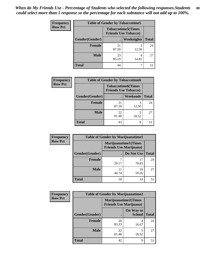| <b>Frequency</b> | <b>Table of Gender by Tobaccotime5</b> |                                                           |                   |              |  |
|------------------|----------------------------------------|-----------------------------------------------------------|-------------------|--------------|--|
| <b>Row Pct</b>   |                                        | <b>Tobaccotime5</b> (Times<br><b>Friends Use Tobacco)</b> |                   |              |  |
|                  | <b>Gender</b> (Gender)                 |                                                           | <b>Weeknights</b> | <b>Total</b> |  |
|                  | <b>Female</b>                          | 21<br>87.50                                               | 12.50             | 24           |  |
|                  | <b>Male</b>                            | 23<br>85.19                                               | 4<br>14.81        | 27           |  |
|                  | Total                                  | 44                                                        |                   | 51           |  |

| Frequency      |                | <b>Table of Gender by Tobaccotime6</b>                   |                 |              |
|----------------|----------------|----------------------------------------------------------|-----------------|--------------|
| <b>Row Pct</b> |                | <b>Tobaccotime6(Times</b><br><b>Friends Use Tobacco)</b> |                 |              |
|                | Gender(Gender) |                                                          | <b>Weekends</b> | <b>Total</b> |
|                | <b>Female</b>  | 21<br>87.50                                              | 3<br>12.50      | 24           |
|                | <b>Male</b>    | 22<br>81.48                                              | 18.52           | 27           |
|                | <b>Total</b>   | 43                                                       | 8               | 51           |

| Frequency      |                | <b>Table of Gender by Marijuanatime1</b>                      |             |              |
|----------------|----------------|---------------------------------------------------------------|-------------|--------------|
| <b>Row Pct</b> |                | <b>Marijuanatime1(Times</b><br><b>Friends Use Marijuana</b> ) |             |              |
|                | Gender(Gender) |                                                               | Do Not Use  | <b>Total</b> |
|                | <b>Female</b>  | 29.17                                                         | 17<br>70.83 | 24           |
|                | <b>Male</b>    | 11<br>40.74                                                   | 16<br>59.26 | 27           |
|                | <b>Total</b>   | 18                                                            | 33          | 51           |

| <b>Frequency</b> | <b>Table of Gender by Marijuanatime2</b> |                                                               |                            |              |
|------------------|------------------------------------------|---------------------------------------------------------------|----------------------------|--------------|
| <b>Row Pct</b>   |                                          | <b>Marijuanatime2(Times</b><br><b>Friends Use Marijuana</b> ) |                            |              |
|                  | Gender(Gender)                           |                                                               | On Way to<br><b>School</b> | <b>Total</b> |
|                  | Female                                   | 20<br>83.33                                                   | 4<br>16.67                 | 24           |
|                  | <b>Male</b>                              | 22<br>81.48                                                   | 5<br>18.52                 | 27           |
|                  | <b>Total</b>                             | 42                                                            | 9                          | 51           |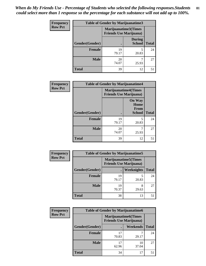*When do My Friends Use - Percentage of Students who selected the following responses.Students could select more than 1 response so the percentage for each substance will not add up to 100%.* **81**

| <b>Frequency</b> | <b>Table of Gender by Marijuanatime3</b> |                                                        |                                |              |
|------------------|------------------------------------------|--------------------------------------------------------|--------------------------------|--------------|
| <b>Row Pct</b>   |                                          | Marijuanatime3(Times<br><b>Friends Use Marijuana</b> ) |                                |              |
|                  | Gender(Gender)                           |                                                        | <b>During</b><br><b>School</b> | <b>Total</b> |
|                  | Female                                   | 19<br>79.17                                            | 20.83                          | 24           |
|                  | <b>Male</b>                              | 20<br>74.07                                            | 25.93                          | 27           |
|                  | <b>Total</b>                             | 39                                                     | 12                             | 51           |

| Frequency      | <b>Table of Gender by Marijuanatime4</b> |                                |                                                       |              |
|----------------|------------------------------------------|--------------------------------|-------------------------------------------------------|--------------|
| <b>Row Pct</b> |                                          | <b>Friends Use Marijuana</b> ) | <b>Marijuanatime4(Times</b>                           |              |
|                | <b>Gender</b> (Gender)                   |                                | <b>On Way</b><br>Home<br><b>From</b><br><b>School</b> | <b>Total</b> |
|                | <b>Female</b>                            | 19<br>79.17                    | 5<br>20.83                                            | 24           |
|                | <b>Male</b>                              | 20<br>74.07                    | 25.93                                                 | 27           |
|                | <b>Total</b>                             | 39                             | 12                                                    | 51           |

| Frequency      | <b>Table of Gender by Marijuanatime5</b> |                                                                |            |              |  |
|----------------|------------------------------------------|----------------------------------------------------------------|------------|--------------|--|
| <b>Row Pct</b> |                                          | <b>Marijuanatime5</b> (Times<br><b>Friends Use Marijuana</b> ) |            |              |  |
|                | Gender(Gender)                           |                                                                | Weeknights | <b>Total</b> |  |
|                | <b>Female</b>                            | 19<br>79.17                                                    | 20.83      | 24           |  |
|                | <b>Male</b>                              | 19<br>70.37                                                    | 8<br>29.63 | 27           |  |
|                | <b>Total</b>                             | 38                                                             | 13         | 51           |  |

| <b>Frequency</b> | <b>Table of Gender by Marijuanatime6</b> |                                                               |                 |              |
|------------------|------------------------------------------|---------------------------------------------------------------|-----------------|--------------|
| <b>Row Pct</b>   |                                          | <b>Marijuanatime6(Times</b><br><b>Friends Use Marijuana</b> ) |                 |              |
|                  | Gender(Gender)                           |                                                               | <b>Weekends</b> | <b>Total</b> |
|                  | Female                                   | 17<br>70.83                                                   | 29.17           | 24           |
|                  | <b>Male</b>                              | 62.96                                                         | 10<br>37.04     | 27           |
|                  | <b>Total</b>                             | 34                                                            | 17              | 51           |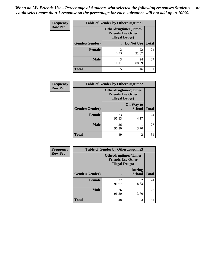| <b>Frequency</b> | <b>Table of Gender by Otherdrugtime1</b> |                                                                                   |                    |    |  |
|------------------|------------------------------------------|-----------------------------------------------------------------------------------|--------------------|----|--|
| <b>Row Pct</b>   |                                          | <b>Otherdrugtime1</b> (Times<br><b>Friends Use Other</b><br><b>Illegal Drugs)</b> |                    |    |  |
|                  | Gender(Gender)                           |                                                                                   | Do Not Use   Total |    |  |
|                  | <b>Female</b>                            | 2<br>8.33                                                                         | 22<br>91.67        | 24 |  |
|                  | <b>Male</b>                              | 3<br>11.11                                                                        | 24<br>88.89        | 27 |  |
|                  | <b>Total</b>                             | 5                                                                                 | 46                 | 51 |  |

| Frequency      | <b>Table of Gender by Otherdrugtime2</b> |                                                    |                             |              |
|----------------|------------------------------------------|----------------------------------------------------|-----------------------------|--------------|
| <b>Row Pct</b> |                                          | <b>Friends Use Other</b><br><b>Illegal Drugs</b> ) | <b>Otherdrugtime2(Times</b> |              |
|                | Gender(Gender)                           |                                                    | On Way to<br><b>School</b>  | <b>Total</b> |
|                | <b>Female</b>                            | 23<br>95.83                                        | 4.17                        | 24           |
|                | <b>Male</b>                              | 26<br>96.30                                        | 3.70                        | 27           |
|                | <b>Total</b>                             | 49                                                 | 2                           | 51           |

| Frequency      | <b>Table of Gender by Otherdrugtime3</b> |                                                    |                                |              |
|----------------|------------------------------------------|----------------------------------------------------|--------------------------------|--------------|
| <b>Row Pct</b> |                                          | <b>Friends Use Other</b><br><b>Illegal Drugs</b> ) | Otherdrugtime3(Times           |              |
|                | Gender(Gender)                           |                                                    | <b>During</b><br><b>School</b> | <b>Total</b> |
|                | <b>Female</b>                            | 22<br>91.67                                        | $\overline{2}$<br>8.33         | 24           |
|                | <b>Male</b>                              | 26<br>96.30                                        | 3.70                           | 27           |
|                | <b>Total</b>                             | 48                                                 | 3                              | 51           |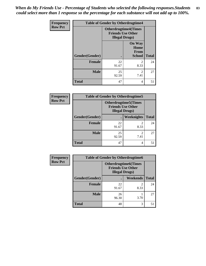*When do My Friends Use - Percentage of Students who selected the following responses.Students could select more than 1 response so the percentage for each substance will not add up to 100%.* **83**

| Frequency      | <b>Table of Gender by Otherdrugtime4</b> |                        |                                                         |              |
|----------------|------------------------------------------|------------------------|---------------------------------------------------------|--------------|
| <b>Row Pct</b> |                                          | <b>Illegal Drugs</b> ) | <b>Otherdrugtime4(Times</b><br><b>Friends Use Other</b> |              |
|                | Gender(Gender)                           |                        | <b>On Way</b><br>Home<br>From<br><b>School</b>          | <b>Total</b> |
|                | <b>Female</b>                            | 22<br>91.67            | $\mathcal{D}_{\mathcal{L}}$<br>8.33                     | 24           |
|                | <b>Male</b>                              | 25<br>92.59            | 2<br>7.41                                               | 27           |
|                | <b>Total</b>                             | 47                     | 4                                                       | 51           |

| <b>Frequency</b> | <b>Table of Gender by Otherdrugtime5</b> |             |                                                                                   |              |
|------------------|------------------------------------------|-------------|-----------------------------------------------------------------------------------|--------------|
| <b>Row Pct</b>   |                                          |             | <b>Otherdrugtime5</b> (Times<br><b>Friends Use Other</b><br><b>Illegal Drugs)</b> |              |
|                  | Gender(Gender)                           | $\bullet$   | Weeknights                                                                        | <b>Total</b> |
|                  | <b>Female</b>                            | 22<br>91.67 | 8.33                                                                              | 24           |
|                  | <b>Male</b>                              | 25<br>92.59 | 7.41                                                                              | 27           |
|                  | <b>Total</b>                             | 47          | 4                                                                                 | 51           |

| <b>Frequency</b> | <b>Table of Gender by Otherdrugtime6</b> |                                                                                   |                        |              |  |
|------------------|------------------------------------------|-----------------------------------------------------------------------------------|------------------------|--------------|--|
| <b>Row Pct</b>   |                                          | <b>Otherdrugtime6(Times</b><br><b>Friends Use Other</b><br><b>Illegal Drugs</b> ) |                        |              |  |
|                  | Gender(Gender)                           |                                                                                   | Weekends               | <b>Total</b> |  |
|                  | <b>Female</b>                            | 22<br>91.67                                                                       | $\mathfrak{D}$<br>8.33 | 24           |  |
|                  | <b>Male</b>                              | 26<br>96.30                                                                       | 3.70                   | 27           |  |
|                  | <b>Total</b>                             | 48                                                                                | 3                      | 51           |  |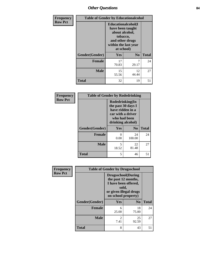# *Other Questions* **84**

| <b>Frequency</b> | <b>Table of Gender by Educationalcohol</b> |                                                                                                                                       |                |              |
|------------------|--------------------------------------------|---------------------------------------------------------------------------------------------------------------------------------------|----------------|--------------|
| <b>Row Pct</b>   |                                            | <b>Educationalcohol</b> (I<br>have been taught<br>about alcohol,<br>tobacco,<br>and other drugs<br>within the last year<br>at school) |                |              |
|                  | Gender(Gender)                             | <b>Yes</b>                                                                                                                            | N <sub>0</sub> | <b>Total</b> |
|                  | <b>Female</b>                              | 17<br>70.83                                                                                                                           | 7<br>29.17     | 24           |
|                  | <b>Male</b>                                | 15<br>55.56                                                                                                                           | 12<br>44.44    | 27           |
|                  | <b>Total</b>                               | 32                                                                                                                                    | 19             | 51           |

| Frequency      | <b>Table of Gender by Rodedrinking</b> |                                                                                                                     |                |              |
|----------------|----------------------------------------|---------------------------------------------------------------------------------------------------------------------|----------------|--------------|
| <b>Row Pct</b> |                                        | Rodedrinking(In<br>the past 30 days I<br>have ridden in a<br>car with a driver<br>who had been<br>drinking alcohol) |                |              |
|                | Gender(Gender)                         | Yes                                                                                                                 | N <sub>0</sub> | <b>Total</b> |
|                | <b>Female</b>                          | 0<br>0.00                                                                                                           | 24<br>100.00   | 24           |
|                | <b>Male</b>                            | 5<br>18.52                                                                                                          | 22<br>81.48    | 27           |
|                | <b>Total</b>                           | 5                                                                                                                   | 46             | 51           |

| Frequency      | <b>Table of Gender by Drugsschool</b> |                                                                                                                                     |                |              |
|----------------|---------------------------------------|-------------------------------------------------------------------------------------------------------------------------------------|----------------|--------------|
| <b>Row Pct</b> |                                       | <b>Drugsschool</b> (During<br>the past 12 months,<br>I have been offered,<br>sold,<br>or given illegal drugs<br>on school property) |                |              |
|                | Gender(Gender)                        | Yes                                                                                                                                 | N <sub>0</sub> | <b>Total</b> |
|                | <b>Female</b>                         | 6<br>25.00                                                                                                                          | 18<br>75.00    | 24           |
|                | <b>Male</b>                           | $\overline{c}$<br>7.41                                                                                                              | 25<br>92.59    | 27           |
|                | <b>Total</b>                          | 8                                                                                                                                   | 43             | 51           |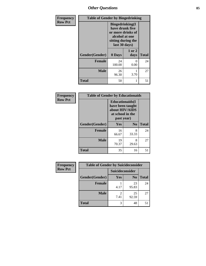*Other Questions* **85**

| <b>Frequency</b> | <b>Table of Gender by Bingedrinking</b> |                                                                                                                          |                |              |
|------------------|-----------------------------------------|--------------------------------------------------------------------------------------------------------------------------|----------------|--------------|
| <b>Row Pct</b>   |                                         | <b>Bingedrinking</b> (I<br>have drunk five<br>or more drinks of<br>alcohol at one<br>sitting during the<br>last 30 days) |                |              |
|                  | Gender(Gender)                          | 0 Days                                                                                                                   | 1 or 2<br>days | <b>Total</b> |
|                  | Female                                  | 24<br>100.00                                                                                                             | 0<br>0.00      | 24           |
|                  | <b>Male</b>                             | 26<br>96.30                                                                                                              | 3.70           | 27           |
|                  | <b>Total</b>                            | 50                                                                                                                       |                | 51           |

| Frequency      | <b>Table of Gender by Educationaids</b> |                                                                                                 |            |              |
|----------------|-----------------------------------------|-------------------------------------------------------------------------------------------------|------------|--------------|
| <b>Row Pct</b> |                                         | <b>Educationaids</b> (I<br>have been taught<br>about HIV/AIDS<br>at school in the<br>past year) |            |              |
|                | Gender(Gender)                          | Yes                                                                                             | $\bf N_0$  | <b>Total</b> |
|                | <b>Female</b>                           | 16<br>66.67                                                                                     | 8<br>33.33 | 24           |
|                | <b>Male</b>                             | 19<br>70.37                                                                                     | 8<br>29.63 | 27           |
|                | <b>Total</b>                            | 35                                                                                              | 16         | 51           |

| <b>Frequency</b> | <b>Table of Gender by Suicideconsider</b> |                 |                |              |
|------------------|-------------------------------------------|-----------------|----------------|--------------|
| <b>Row Pct</b>   |                                           | Suicideconsider |                |              |
|                  | Gender(Gender)                            | Yes             | N <sub>0</sub> | <b>Total</b> |
|                  | <b>Female</b>                             | 4.17            | 23<br>95.83    | 24           |
|                  | <b>Male</b>                               | 2<br>7.41       | 25<br>92.59    | 27           |
|                  | <b>Total</b>                              | 3               | 48             | 51           |